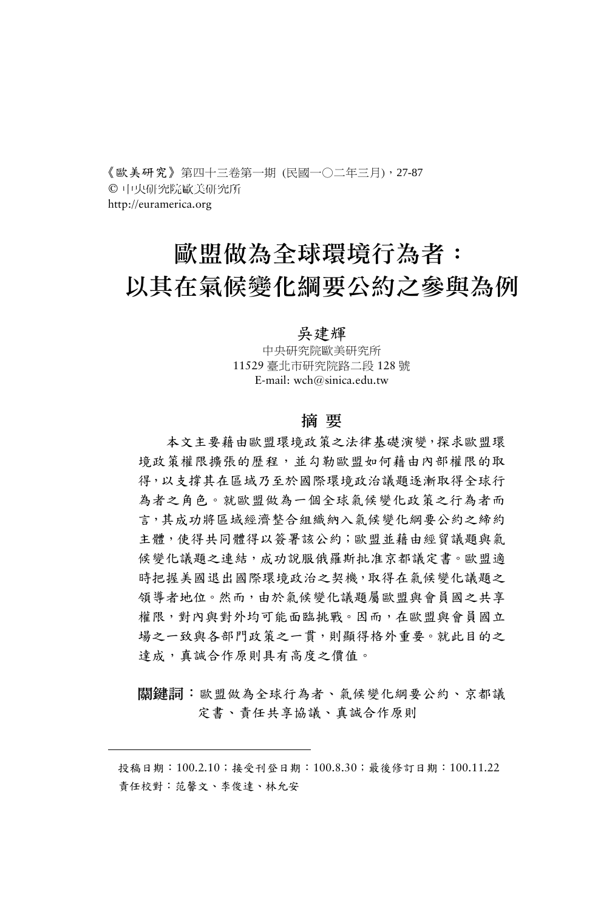《歐美研究》第四十三卷第一期 (民國一○二年三月),27-87 © 中央研究院歐美研究所 http://euramerica.org

# 歐盟做為全球環境行為者: 以其在氣候變化綱要公約之參與為例

#### 吳建輝

中央研究院歐美研究所 11529 臺北市研究院路二段 128 號 E-mail: wch@sinica.edu.tw

#### 摘 要

本文主要藉由歐盟環境政策之法律基礎演變,探求歐盟環 境政策權限擴張的歷程,並勾勒歐盟如何藉由內部權限的取 得,以支撐其在區域乃至於國際環境政治議題逐漸取得全球行 為者之角色。就歐盟做為一個全球氣候變化政策之行為者而 言,其成功將區域經濟整合組織納入氣候變化綱要公約之締約 主體,使得共同體得以簽署該公約;歐盟並藉由經貿議題與氣 候變化議題之連結,成功說服俄羅斯批准京都議定書。歐盟適 時把握美國退出國際環境政治之契機,取得在氣候變化議題之 領導者地位。然而,由於氣候變化議題屬歐盟與會員國之共享 權限,對內與對外均可能面臨挑戰。因而,在歐盟與會員國立 場之一致與各部門政策之一貫,則顯得格外重要。就此目的之 達成,真誠合作原則具有高度之價值。

關鍵詞:歐盟做為全球行為者、氣候變化綱要公約、京都議 定書、責任共享協議、真誠合作原則

<span id="page-0-0"></span>投稿日期:100.2.10;接受刊登日期:100.8.30;最後修訂日期:100.11.22 責任校對:范馨文、李俊達、林允安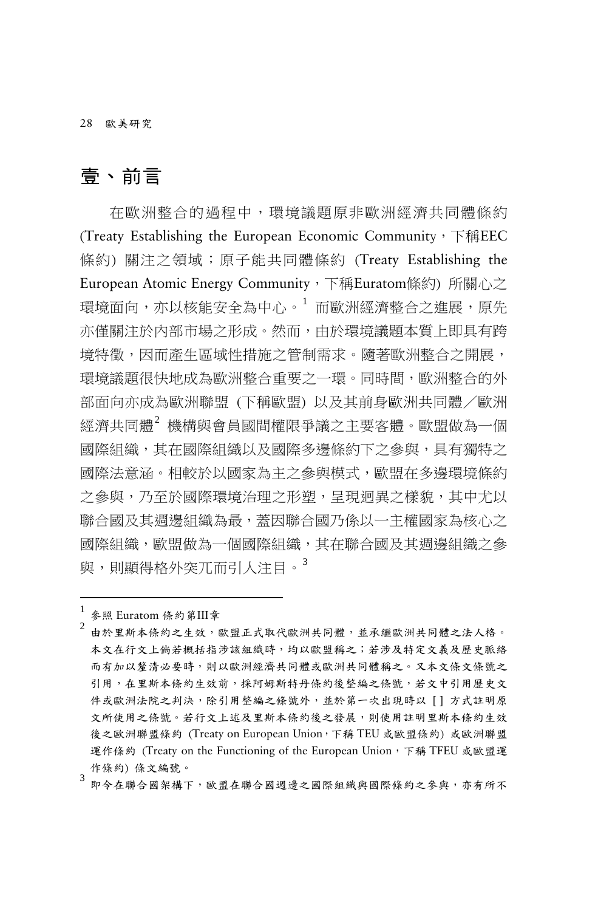28 歐美研究

# 壹、前言

在歐洲整合的過程中,環境議題原非歐洲經濟共同體條約 (Treaty Establishing the European Economic Community, 下稱EEC 條約) 關注之領域;原子能共同體條約 (Treaty Establishing the European Atomic Energy Community,下稱Euratom條約) 所關心之 環境面向, 亦以核能安全為中心。[1](#page-1-0) 而歐洲經濟整合之進展, 原先 亦僅關注於內部市場之形成。然而,由於環境議題本質上即具有跨 境特徵,因而產生區域性措施之管制需求。隨著歐洲整合之開展, 環境議題很快地成為歐洲整合重要之一環。同時間,歐洲整合的外 部面向亦成為歐洲聯盟 (下稱歐盟) 以及其前身歐洲共同體/歐洲 經濟共同體[2](#page-1-1) 機構與會員國間權限爭議之主要客體。歐盟做為一個 國際組織,其在國際組織以及國際多邊條約下之參與,具有獨特之 國際法意涵。相較於以國家為主之參與模式,歐盟在多邊環境條約 之參與,乃至於國際環境治理之形塑,呈現迥異之樣貌,其中尤以 聯合國及其週邊組織為最,蓋因聯合國乃係以一主權國家為核心之 國際組織,歐盟做為一個國際組織,其在聯合國及其週邊組織之參 與,則顯得格外突兀而引人注目。<sup>[3](#page-1-2)</sup>

<span id="page-1-0"></span><sup>1</sup> 參照 Euratom 條約第III<sup>章</sup>

- <span id="page-1-1"></span>由於里斯本條約之生效,歐盟正式取代歐洲共同體,並承繼歐洲共同體之法人格。 本文在行文上倘若概括指涉該組織時,均以歐盟稱之;若涉及特定文義及歷史脈絡 而有加以釐清必要時,則以歐洲經濟共同體或歐洲共同體稱之。又本文條文條號之 引用,在里斯本條約生效前,採阿姆斯特丹條約後整編之條號,若文中引用歷史文 件或歐洲法院之判決,除引用整編之條號外,並於第一次出現時以 [] 方式註明原 文所使用之條號。若行文上述及里斯本條約後之發展,則使用註明里斯本條約生效 後之歐洲聯盟條約 (Treaty on European Union,下稱 TEU 或歐盟條約) 或歐洲聯盟 運作條約 (Treaty on the Functioning of the European Union,下稱 TFEU 或歐盟運 作條約) 條文編號。
- <span id="page-1-2"></span>即今在聯合國架構下,歐盟在聯合國週邊之國際組織與國際條約之參與,亦有所不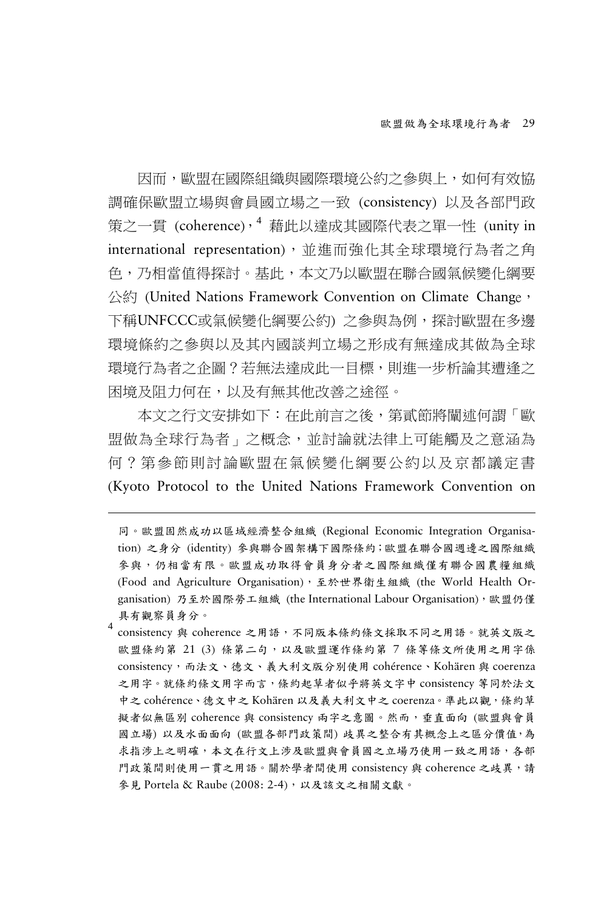因而,歐盟在國際組織與國際環境公約之參與上,如何有效協 調確保歐盟立場與會員國立場之一致 (consistency) 以及各部門政 策之一貫 (coherence),[4](#page-2-0) 藉此以達成其國際代表之單一性 (unity in international representation),並進而強化其全球環境行為者之角 色,乃相當值得探討。基此,本文乃以歐盟在聯合國氣候變化綱要 公約 (United Nations Framework Convention on Climate Change, 下稱UNFCCC或氣候變化綱要公約) 之參與為例,探討歐盟在多邊 環境條約之參與以及其內國談判立場之形成有無達成其做為全球 環境行為者之企圖?若無法達成此一目標,則進一步析論其遭逢之 困境及阻力何在,以及有無其他改善之途徑。

本文之行文安排如下:在此前言之後,第貳節將闡述何謂「歐 盟做為全球行為者」之概念,並討論就法律上可能觸及之意涵為 何?第參節則討論歐盟在氣候變化綱要公約以及京都議定書 (Kyoto Protocol to the United Nations Framework Convention on

-

<span id="page-2-0"></span>consistency 與 coherence 之用語,不同版本條約條文採取不同之用語。就英文版之 歐盟條約第 21 (3) 條第二句,以及歐盟運作條約第 7 條等條文所使用之用字係 consistency,而法文、德文、義大利文版分別使用 cohérence、Kohären 與 coerenza 之用字。就條約條文用字而言,條約起草者似乎將英文字中 consistency 等同於法文 中之 cohérence、德文中之 Kohären 以及義大利文中之 coerenza。準此以觀,條約草 擬者似無區別 coherence 與 consistency 兩字之意圖。然而,垂直面向 (歐盟與會員 國立場) 以及水面面向 (歐盟各部門政策間) 歧異之整合有其概念上之區分價值,為 求指涉上之明確,本文在行文上涉及歐盟與會員國之立場乃使用一致之用語,各部 門政策間則使用一貫之用語。關於學者間使用 consistency 與 coherence 之歧異,請 參見 Portela & Raube (2008: 2-4),以及該文之相關文獻。

同。歐盟固然成功以區域經濟整合組織 (Regional Economic Integration Organisation) 之身分 (identity) 參與聯合國架構下國際條約;歐盟在聯合國週邊之國際組織 參與,仍相當有限。歐盟成功取得會員身分者之國際組織僅有聯合國農糧組織 (Food and Agriculture Organisation), 至於世界衛生組織 (the World Health Organisation) 乃至於國際勞工組織 (the International Labour Organisation),歐盟仍僅 具有觀察員身分。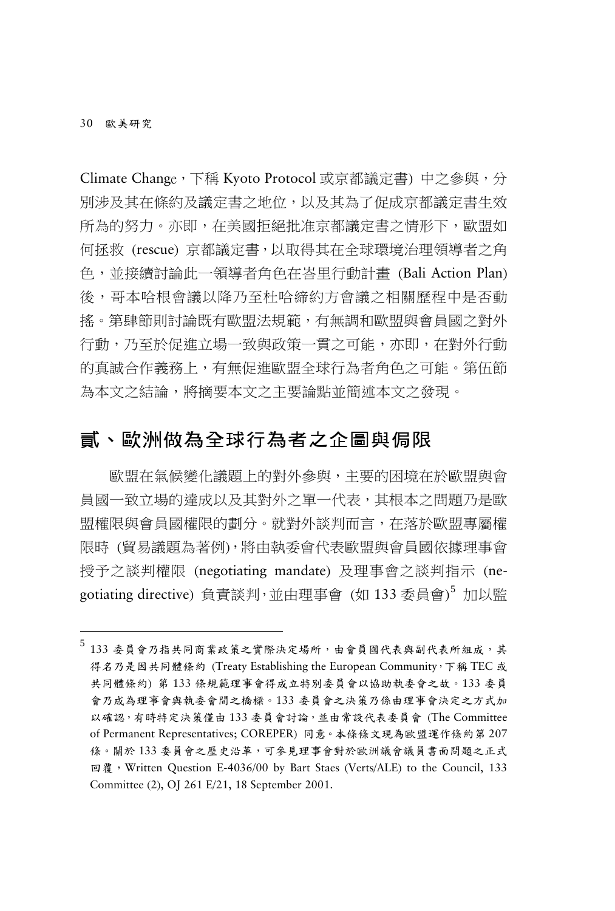-

Climate Change,下稱 Kyoto Protocol 或京都議定書) 中之參與,分 別涉及其在條約及議定書之地位,以及其為了促成京都議定書生效 所為的努力。亦即,在美國拒絕批准京都議定書之情形下,歐盟如 何拯救 (rescue) 京都議定書,以取得其在全球環境治理領導者之角 色,並接續討論此一領導者角色在峇里行動計畫 (Bali Action Plan) 後,哥本哈根會議以降乃至杜哈締約方會議之相關歷程中是否動 搖。第肆節則討論既有歐盟法規範,有無調和歐盟與會員國之對外 行動,乃至於促進立場一致與政策一貫之可能,亦即,在對外行動 的真誠合作義務上,有無促進歐盟全球行為者角色之可能。第伍節 為本文之結論,將摘要本文之主要論點並簡述本文之發現。

# 貳、歐洲做為全球行為者之企圖與侷限

歐盟在氣候變化議題上的對外參與,主要的困境在於歐盟與會 員國一致立場的達成以及其對外之單一代表,其根本之問題乃是歐 盟權限與會員國權限的劃分。就對外談判而言,在落於歐盟專屬權 限時 (貿易議題為著例),將由執委會代表歐盟與會員國依據理事會 授予之談判權限 (negotiating mandate) 及理事會之談判指示 (ne-gotiating directive) 負責談判,並由理事會 (如 133 委員會)<sup>[5](#page-3-0)</sup> 加以監

<span id="page-3-0"></span><sup>5</sup> <sup>133</sup> 委員會乃指共同商業政策之實際決定場所,由會員國代表與副代表所組成,其 得名乃是因共同體條約 (Treaty Establishing the European Community,下稱 TEC 或 共同體條約) 第 133 條規範理事會得成立特別委員會以協助執委會之故。133 委員 會乃成為理事會與執委會間之橋樑。133 委員會之決策乃係由理事會決定之方式加 以確認,有時特定決策僅由 133 委員會討論,並由常設代表委員會 (The Committee of Permanent Representatives; COREPER) 同意。本條條文現為歐盟運作條約第 207 條。關於133委員會之歷史沿革,可參見理事會對於歐洲議會議員書面問題之正式 回覆,Written Question E-4036/00 by Bart Staes (Verts/ALE) to the Council, 133 Committee (2), OJ 261 E/21, 18 September 2001.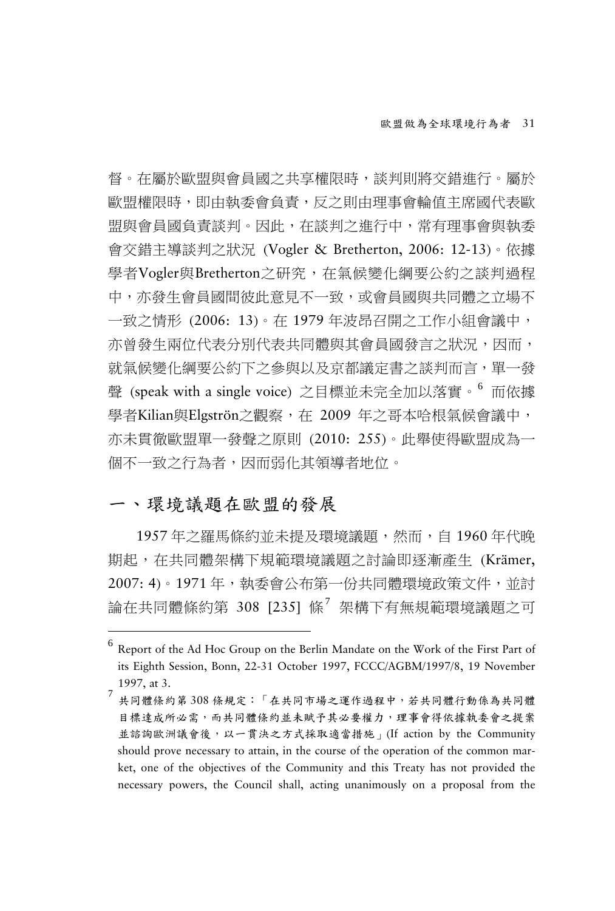督。在屬於歐盟與會員國之共享權限時,談判則將交錯進行。屬於 歐盟權限時,即由執委會負責,反之則由理事會輪值主席國代表歐 盟與會員國負責談判。因此,在談判之進行中,常有理事會與執委 會交錯主導談判之狀況 (Vogler & Bretherton, 2006: 12-13)。依據 學者Vogler與Bretherton之研究,在氣候變化綱要公約之談判過程 中,亦發生會員國間彼此意見不一致,或會員國與共同體之立場不 一致之情形 (2006: 13)。在 1979 年波昂召開之工作小組會議中, 亦曾發生兩位代表分別代表共同體與其會員國發言之狀況,因而, 就氣候變化綱要公約下之參與以及京都議定書之談判而言,單一發 聲 (speak with a single voice) 之目標並未完全加以落實。[6](#page-4-0) 而依據 學者Kilian與Elgströn之觀察, 在 2009 年之哥本哈根氣候會議中, 亦未貫徹歐盟單一發聲之原則 (2010: 255)。此舉使得歐盟成為一 個不一致之行為者,因而弱化其領導者地位。

#### 一、環境議題在歐盟的發展

-

1957 年之羅馬條約並未提及環境議題,然而,自 1960 年代晚 期起,在共同體架構下規範環境議題之討論即逐漸產生 (Krämer, 2007: 4)。1971 年,執委會公布第一份共同體環境政策文件,並討 論在共同體條約第 308 [235] 條<sup>[7](#page-4-1)</sup> 架構下有無規範環境議題之可

<span id="page-4-0"></span><sup>6</sup> Report of the Ad Hoc Group on the Berlin Mandate on the Work of the First Part of its Eighth Session, Bonn, 22-31 October 1997, FCCC/AGBM/1997/8, 19 November 1997, at 3.<br>7 共同體條約第 308 條規定:「在共同市場之運作過程中,若共同體行動係為共同體

<span id="page-4-1"></span>目標達成所必需,而共同體條約並未賦予其必要權力,理事會得依據執委會之提案 並諮詢歐洲議會後,以一貫決之方式採取適當措施」(If action by the Community should prove necessary to attain, in the course of the operation of the common market, one of the objectives of the Community and this Treaty has not provided the necessary powers, the Council shall, acting unanimously on a proposal from the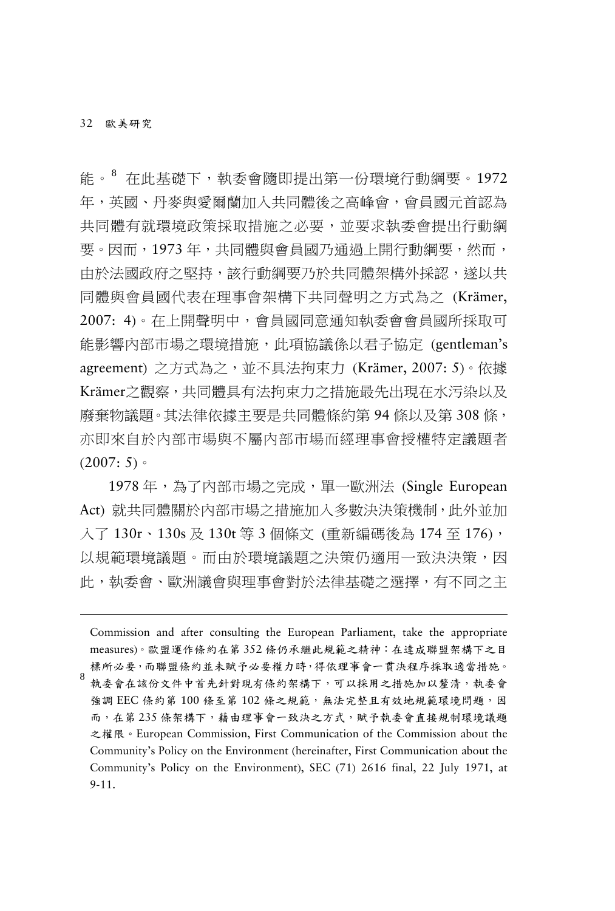-

能。[8](#page-5-0) 在此基礎下,執委會隨即提出第一份環境行動綱要。1972 年,英國、丹麥與愛爾蘭加入共同體後之高峰會,會員國元首認為 共同體有就環境政策採取措施之必要,並要求執委會提出行動綱 要。因而,1973 年,共同體與會員國乃通過上開行動綱要,然而, 由於法國政府之堅持,該行動綱要乃於共同體架構外採認,遂以共 同體與會員國代表在理事會架構下共同聲明之方式為之 (Krämer, 2007: 4)。在上開聲明中,會員國同意通知執委會會員國所採取可 能影響內部市場之環境措施,此項協議係以君子協定 (gentleman's agreement) 之方式為之,並不具法拘束力 (Krämer, 2007: 5)。依據 Krämer之觀察,共同體具有法拘束力之措施最先出現在水污染以及 廢棄物議題。其法律依據主要是共同體條約第 94 條以及第 308 條, 亦即來自於內部市場與不屬內部市場而經理事會授權特定議題者  $(2007: 5)$ 

1978 年,為了內部市場之完成,單一歐洲法 (Single European Act) 就共同體關於內部市場之措施加入多數決決策機制,此外並加 入了 130r、130s 及 130t 等 3 個條文 (重新編碼後為 174 至 176), 以規範環境議題。而由於環境議題之決策仍適用一致決決策,因 此,執委會、歐洲議會與理事會對於法律基礎之選擇,有不同之主

<span id="page-5-0"></span>Commission and after consulting the European Parliament, take the appropriate measures)。歐盟運作條約在第 352 條仍承繼此規範之精神:在達成聯盟架構下之目 標所必要,而聯盟條約並未賦予必要權力時,得依理事會一貫決程序採取適當措施。 執委會在該份文件中首先針對現有條約架構下,可以採用之措施加以釐清,執委會 強調 EEC 條約第 100 條至第 102 條之規範,無法完整且有效地規範環境問題,因 而,在第 235 條架構下,藉由理事會一致決之方式,賦予執委會直接規制環境議題 之權限。European Commission, First Communication of the Commission about the Community's Policy on the Environment (hereinafter, First Communication about the Community's Policy on the Environment), SEC (71) 2616 final, 22 July 1971, at 9-11.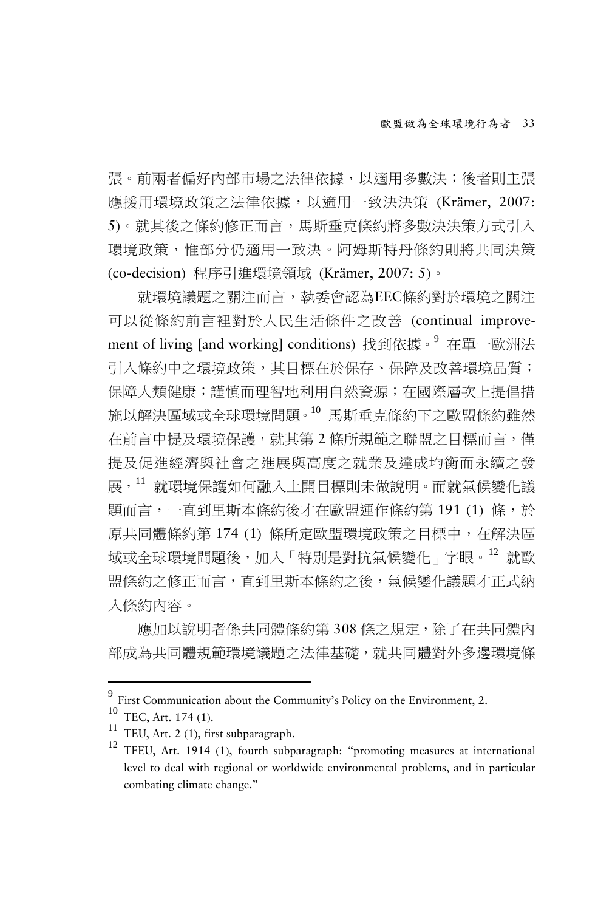張。前兩者偏好內部市場之法律依據,以適用多數決;後者則主張 應援用環境政策之法律依據,以適用一致決決策 (Krämer, 2007: 5)。就其後之條約修正而言,馬斯垂克條約將多數決決策方式引入 環境政策,惟部分仍適用一致決。阿姆斯特丹條約則將共同決策 (co-decision) 程序引進環境領域 (Krämer, 2007: 5)。

就環境議題之關注而言,執委會認為EEC條約對於環境之關注 可以從條約前言裡對於人民生活條件之改善 (continual improvement of living [and working] conditions) 找到依據。[9](#page-6-0) 在單一歐洲法 引入條約中之環境政策,其目標在於保存、保障及改善環境品質; 保障人類健康;謹慎而理智地利用自然資源;在國際層次上提倡措 施以解決區域或全球環境問題。[10](#page-6-1) 馬斯垂克條約下之歐盟條約雖然 在前言中提及環境保護,就其第 2 條所規範之聯盟之目標而言,僅 提及促進經濟與社會之進展與高度之就業及達成均衡而永續之發 展,[11](#page-6-2) 就環境保護如何融入上開目標則未做說明。而就氣候變化議 題而言,一直到里斯本條約後才在歐盟運作條約第 191 (1) 條,於 原共同體條約第 174 (1) 條所定歐盟環境政策之目標中, 在解決區 域或全球環境問題後,加入「特別是對抗氣候變化」字眼。[12](#page-6-3) 就歐 盟條約之修正而言,直到里斯本條約之後,氣候變化議題才正式納 入條約內容。

應加以說明者係共同體條約第 308 條之規定,除了在共同體內 部成為共同體規範環境議題之法律基礎,就共同體對外多邊環境條

<span id="page-6-0"></span>

<span id="page-6-1"></span>

<span id="page-6-3"></span><span id="page-6-2"></span>

First Communication about the Community's Policy on the Environment, 2.<br>
<sup>10</sup> TEC, Art. 174 (1).<br>
<sup>11</sup> TEU, Art. 2 (1), first subparagraph. 12 TFEU, Art. 1914 (1), fourth subparagraph: "promoting measures at international level to deal with regional or worldwide environmental problems, and in particular combating climate change."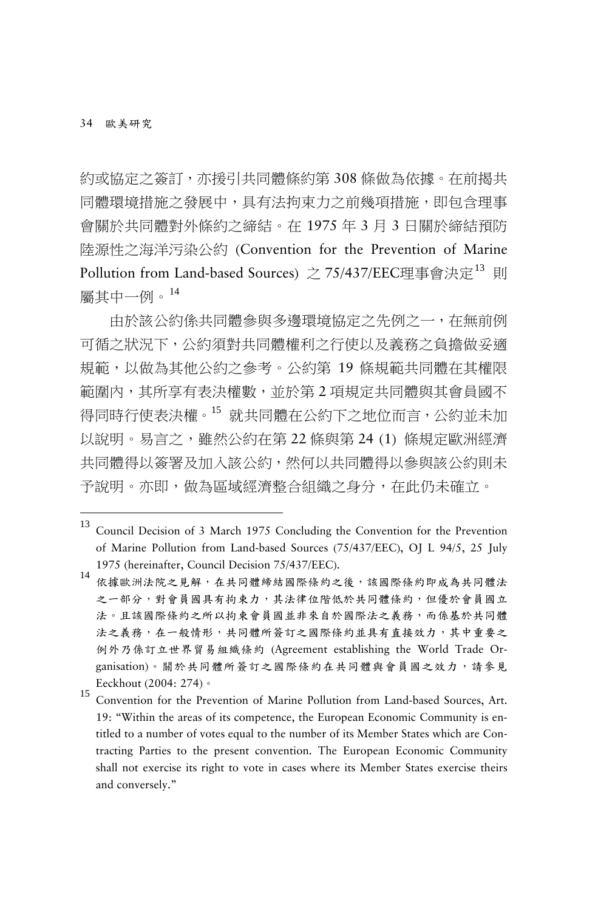-

約或協定之簽訂,亦援引共同體條約第 308 條做為依據。在前揭共 同體環境措施之發展中,具有法拘束力之前幾項措施,即包含理事 會關於共同體對外條約之締結。在 1975 年 3 月 3 日關於締結預防 陸源性之海洋污染公約 (Convention for the Prevention of Marine Pollution from Land-based Sources)  $\geq$  75/437/EEC理事會決定<sup>[13](#page-7-0)</sup> 則 屬其中一例。[14](#page-7-1)

由於該公約係共同體參與多邊環境協定之先例之一,在無前例 可循之狀況下,公約須對共同體權利之行使以及義務之負擔做妥適 規範,以做為其他公約之參考。公約第 19 條規範共同體在其權限 範圍內,其所享有表決權數,並於第 2 項規定共同體與其會員國不 得同時行使表決權。[15](#page-7-2) 就共同體在公約下之地位而言,公約並未加 以說明。易言之,雖然公約在第 22 條與第 24 (1) 條規定歐洲經濟 共同體得以簽署及加入該公約,然何以共同體得以參與該公約則未 予說明。亦即,做為區域經濟整合組織之身分,在此仍未確立。

- <span id="page-7-0"></span><sup>13</sup> Council Decision of <sup>3</sup> March <sup>1975</sup> Concluding the Convention for the Prevention of Marine Pollution from Land-based Sources (75/437/EEC), OJ L 94/5, 25 July 1975 (hereinafter, Council Decision 75/437/EEC).<br><sup>14</sup> 依據歐洲法院之見解,在共同體締結國際條約之後,該國際條約即成為共同體法
- <span id="page-7-1"></span>之一部分,對會員國具有拘束力,其法律位階低於共同體條約,但優於會員國立 法。且該國際條約之所以拘束會員國並非來自於國際法之義務,而係基於共同體 法之義務,在一般情形,共同體所簽訂之國際條約並具有直接效力,其中重要之 例外乃係訂立世界貿易組織條約 (Agreement establishing the World Trade Organisation)。關於共同體所簽訂之國際條約在共同體與會員國之效力,請參見 Eeckhout (2004: 274) <sup>o</sup><br><sup>15</sup> Convention for the Prevention of Marine Pollution from Land-based Sources, Art.
- <span id="page-7-2"></span>19: "Within the areas of its competence, the European Economic Community is entitled to a number of votes equal to the number of its Member States which are Contracting Parties to the present convention. The European Economic Community shall not exercise its right to vote in cases where its Member States exercise theirs and conversely."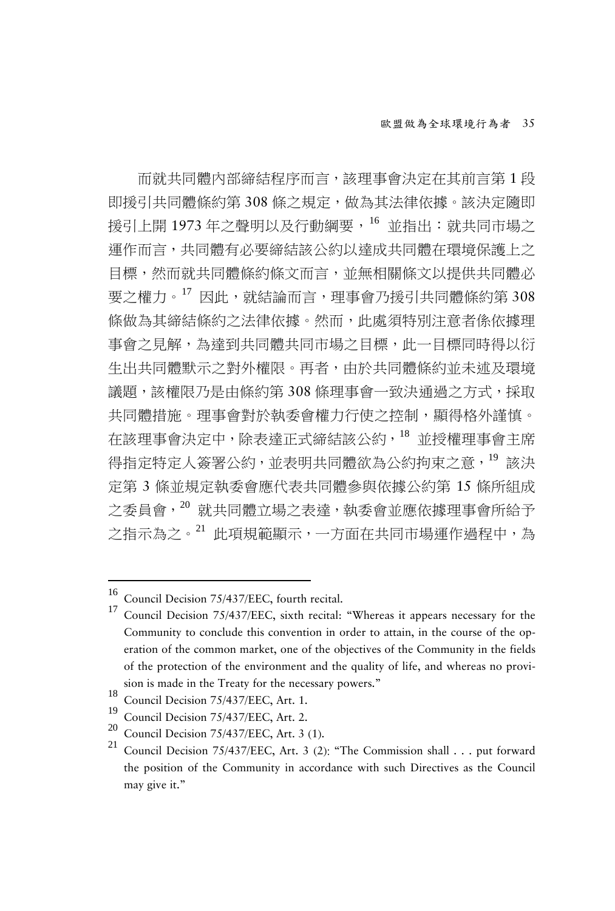而就共同體內部締結程序而言,該理事會決定在其前言第 1 段 即援引共同體條約第 308 條之規定, 做為其法律依據。該決定隨即 援引上開 1973 年之聲明以及行動綱要,[16](#page-8-0) 並指出:就共同市場之 運作而言,共同體有必要締結該公約以達成共同體在環境保護上之 目標,然而就共同體條約條文而言,並無相關條文以提供共同體必 要之權力。[17](#page-8-1) 因此,就結論而言,理事會乃援引共同體條約第 308 條做為其締結條約之法律依據。然而,此處須特別注意者係依據理 事會之見解,為達到共同體共同市場之目標,此一目標同時得以衍 生出共同體默示之對外權限。再者,由於共同體條約並未述及環境 議題,該權限乃是由條約第 308 條理事會一致決通過之方式,採取 共同體措施。理事會對於執委會權力行使之控制,顯得格外謹慎。 在該理事會決定中,除表達正式締結該公約,[18](#page-8-2) 並授權理事會主席 得指定特定人簽署公約,並表明共同體欲為公約拘束之意,[19](#page-8-3) 該決 定第 3 條並規定執委會應代表共同體參與依據公約第 15 條所組成 之委員會,[20](#page-8-4) 就共同體立場之表達,執委會並應依據理事會所給予 之指示為之。[21](#page-8-5) 此項規範顯示,一方面在共同市場運作過程中,為

<span id="page-8-1"></span>

<span id="page-8-0"></span><sup>&</sup>lt;sup>16</sup> Council Decision 75/437/EEC, fourth recital.<br><sup>17</sup> Council Decision 75/437/EEC, sixth recital: "Whereas it appears necessary for the Community to conclude this convention in order to attain, in the course of the operation of the common market, one of the objectives of the Community in the fields of the protection of the environment and the quality of life, and whereas no provision is made in the Treaty for the necessary powers."

<span id="page-8-5"></span><span id="page-8-4"></span>

<span id="page-8-3"></span><span id="page-8-2"></span><sup>&</sup>lt;sup>18</sup> Council Decision 75/437/EEC, Art. 1.<br>
<sup>19</sup> Council Decision 75/437/EEC, Art. 2.<br>
<sup>20</sup> Council Decision 75/437/EEC, Art. 3 (1).<br>
<sup>21</sup> Council Decision 75/437/EEC, Art. 3 (2): "The Commission shall . . . put forward the position of the Community in accordance with such Directives as the Council may give it."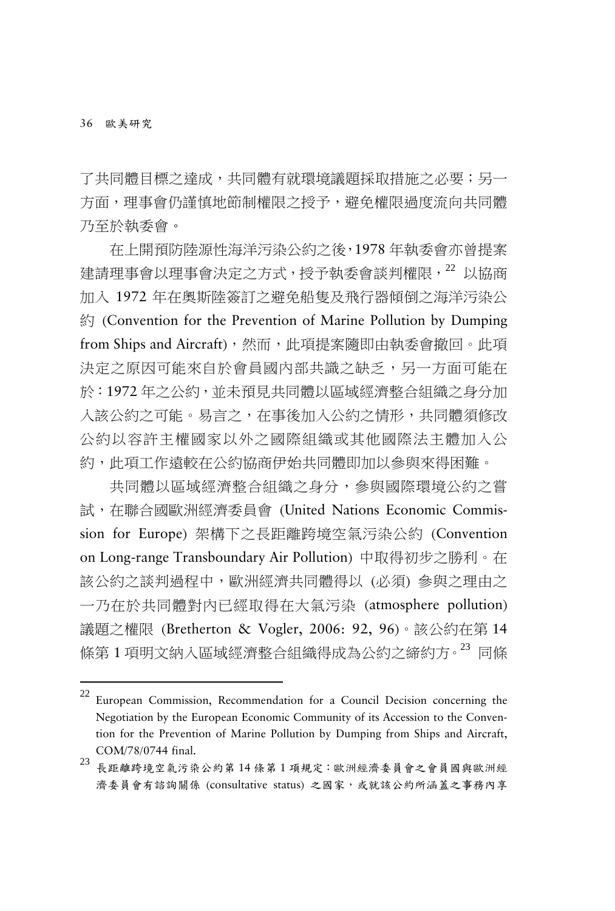-

了共同體目標之達成,共同體有就環境議題採取措施之必要;另一 方面,理事會仍謹慎地節制權限之授予,避免權限過度流向共同體 乃至於執委會。

在上開預防陸源性海洋污染公約之後,1978 年執委會亦曾提案 建請理事會以理事會決定之方式,授予執委會談判權限, [22](#page-9-0) 以協商 加入 1972 年在奧斯陸簽訂之避免船隻及飛行器傾倒之海洋污染公 約 (Convention for the Prevention of Marine Pollution by Dumping from Ships and Aircraft),然而,此項提案隨即由執委會撤回。此項 決定之原因可能來自於會員國內部共識之缺乏,另一方面可能在 於:1972 年之公約,並未預見共同體以區域經濟整合組織之身分加 入該公約之可能。易言之,在事後加入公約之情形,共同體須修改 公約以容許主權國家以外之國際組織或其他國際法主體加入公 約,此項工作遠較在公約協商伊始共同體即加以參與來得困難。

共同體以區域經濟整合組織之身分,參與國際環境公約之嘗 試,在聯合國歐洲經濟委員會 (United Nations Economic Commission for Europe) 架構下之長距離跨境空氣污染公約 (Convention on Long-range Transboundary Air Pollution) 中取得初步之勝利。在 該公約之談判過程中,歐洲經濟共同體得以 (必須) 參與之理由之 一乃在於共同體對內已經取得在大氣污染 (atmosphere pollution) 議題之權限 (Bretherton & Vogler, 2006: 92, 96)。該公約在第 14 條第 1 項明文納入區域經濟整合組織得成為公約之締約方。[23](#page-9-1) 同條

<span id="page-9-0"></span><sup>22</sup> European Commission, Recommendation for <sup>a</sup> Council Decision concerning the Negotiation by the European Economic Community of its Accession to the Convention for the Prevention of Marine Pollution by Dumping from Ships and Aircraft,

<span id="page-9-1"></span>COM/78/0744 final.<br> $^{23}$ 長距離跨境空氣污染公約第 14 條第 1 項規定:歐洲經濟委員會之會員國與歐洲經 濟委員會有諮詢關係 (consultative status) 之國家,或就該公約所涵蓋之事務內享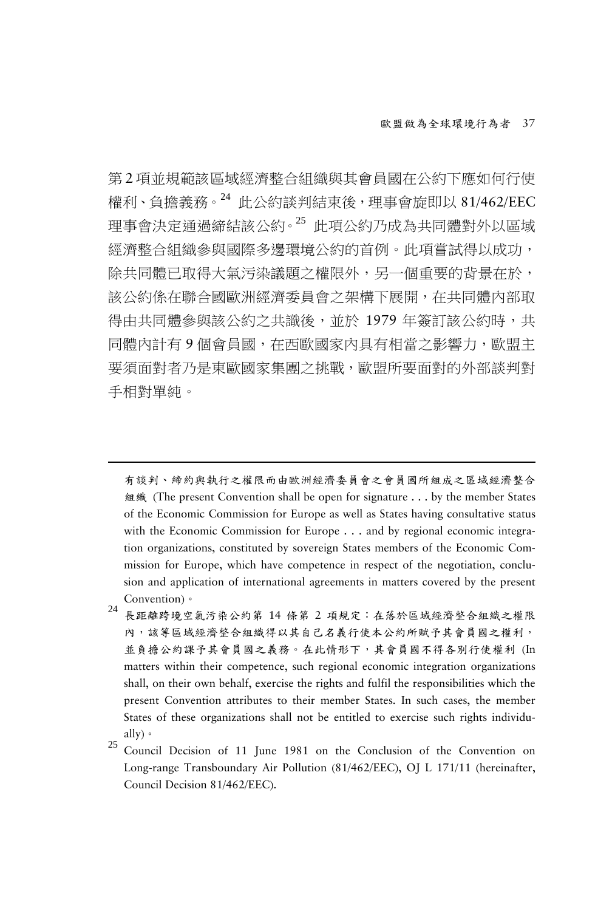第 2 項並規範該區域經濟整合組織與其會員國在公約下應如何行使 權利、負擔義務。[24](#page-10-0) 此公約談判結束後,理事會旋即以 81/462/EEC 理事會決定通過締結該公約。[25](#page-10-1) 此項公約乃成為共同體對外以區域 經濟整合組織參與國際多邊環境公約的首例。此項嘗試得以成功, 除共同體已取得大氣污染議題之權限外,另一個重要的背景在於, 該公約係在聯合國歐洲經濟委員會之架構下展開,在共同體內部取 得由共同體參與該公約之共識後,並於 1979 年簽訂該公約時,共 同體內計有9個會員國,在西歐國家內具有相當之影響力,歐盟主 要須面對者乃是東歐國家集團之挑戰,歐盟所要面對的外部談判對 手相對單純。

有談判、締約與執行之權限而由歐洲經濟委員會之會員國所組成之區域經濟整合 組織 (The present Convention shall be open for signature . . . by the member States of the Economic Commission for Europe as well as States having consultative status with the Economic Commission for Europe . . . and by regional economic integration organizations, constituted by sovereign States members of the Economic Commission for Europe, which have competence in respect of the negotiation, conclusion and application of international agreements in matters covered by the present Convention)。<br><sup>24</sup> 長距離跨境空氣污染公約第 14 條第 2 項規定:在落於區域經濟整合組織之權限

- <span id="page-10-0"></span>內,該等區域經濟整合組織得以其自己名義行使本公約所賦予其會員國之權利, 並負擔公約課予其會員國之義務。在此情形下,其會員國不得各別行使權利 (In matters within their competence, such regional economic integration organizations shall, on their own behalf, exercise the rights and fulfil the responsibilities which the present Convention attributes to their member States. In such cases, the member States of these organizations shall not be entitled to exercise such rights individu-
- <span id="page-10-1"></span>ally)  $\cdot$ <br>25 Council Decision of 11 June 1981 on the Conclusion of the Convention on Long-range Transboundary Air Pollution (81/462/EEC), OJ L 171/11 (hereinafter, Council Decision 81/462/EEC).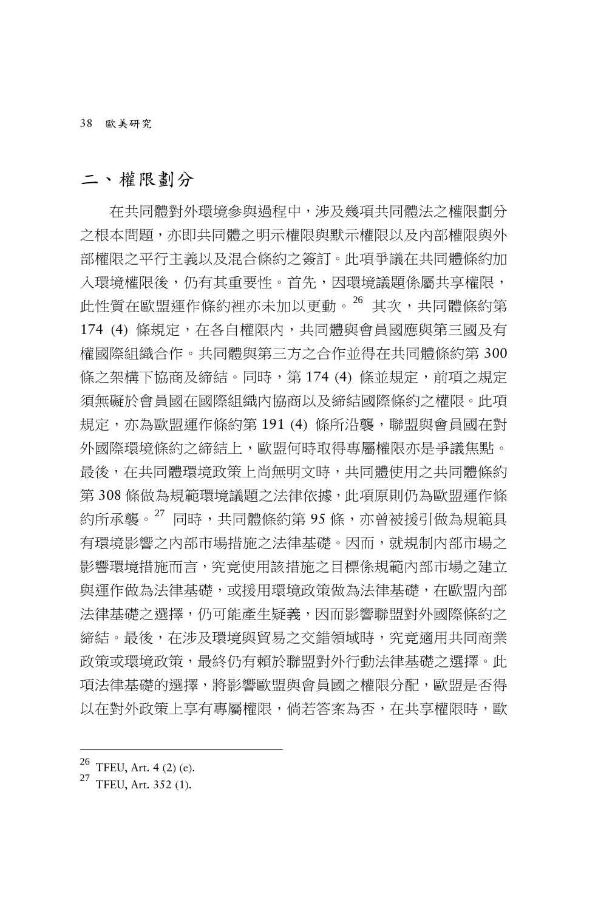38 歐美研究

### 二、權限劃分

在共同體對外環境參與過程中,涉及幾項共同體法之權限劃分 之根本問題,亦即共同體之明示權限與默示權限以及內部權限與外 部權限之平行主義以及混合條約之簽訂。此項爭議在共同體條約加 入環境權限後,仍有其重要性。首先,因環境議題係屬共享權限, 此性質在歐盟運作條約裡亦未加以更動。[26](#page-11-0) 其次,共同體條約第 174 (4) 條規定, 在各自權限內, 共同體與會員國應與第三國及有 權國際組織合作。共同體與第三方之合作並得在共同體條約第 300 條之架構下協商及締結。同時,第 174 (4) 條並規定,前項之規定 須無礙於會員國在國際組織內協商以及締結國際條約之權限。此項 規定,亦為歐盟運作條約第 191 (4) 條所沿襲,聯盟與會員國在對 外國際環境條約之締結上,歐盟何時取得專屬權限亦是爭議焦點。 最後,在共同體環境政策上尚無明文時,共同體使用之共同體條約 第 308 條做為規範環境議題之法律依據,此項原則仍為歐盟運作條 約所承襲。<sup>[27](#page-11-1)</sup> 同時,共同體條約第 95 條,亦曾被援引做為規範具 有環境影響之內部市場措施之法律基礎。因而,就規制內部市場之 影響環境措施而言,究竟使用該措施之目標係規範內部市場之建立 與運作做為法律基礎,或援用環境政策做為法律基礎,在歐盟內部 法律基礎之選擇,仍可能產生疑義,因而影響聯盟對外國際條約之 締結。最後,在涉及環境與貿易之交錯領域時,究竟適用共同商業 政策或環境政策,最終仍有賴於聯盟對外行動法律基礎之選擇。此 項法律基礎的選擇,將影響歐盟與會員國之權限分配,歐盟是否得 以在對外政策上享有專屬權限,倘若答案為否,在共享權限時,歐

<span id="page-11-1"></span><span id="page-11-0"></span> $^{26}$  TFEU, Art. 4 (2) (e).<br><sup>27</sup> TFEU, Art. 352 (1).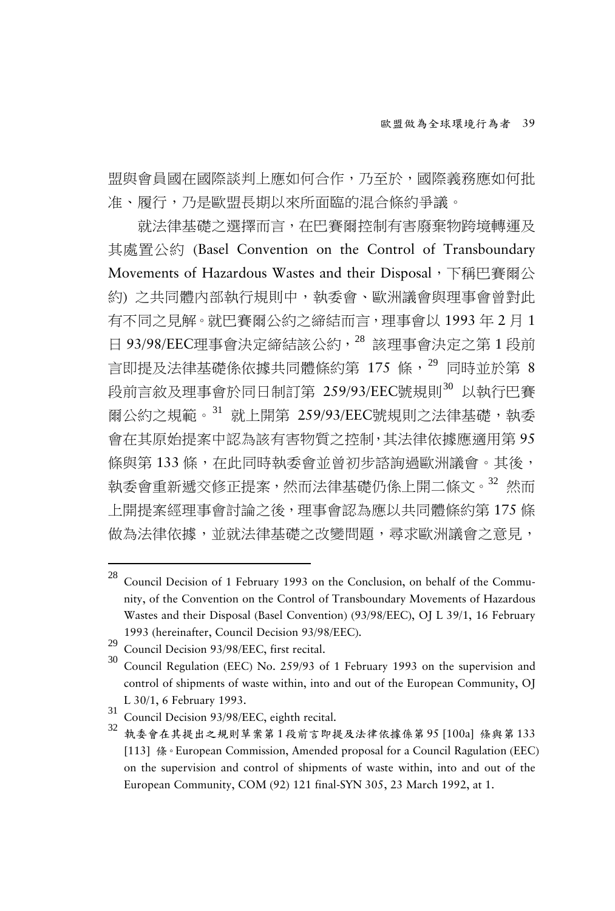盟與會員國在國際談判上應如何合作,乃至於,國際義務應如何批 准、履行,乃是歐盟長期以來所面臨的混合條約爭議。

就法律基礎之選擇而言,在巴賽爾控制有害廢棄物跨境轉運及 其處置公約 (Basel Convention on the Control of Transboundary Movements of Hazardous Wastes and their Disposal, 下稱巴賽爾公 約) 之共同體內部執行規則中,執委會、歐洲議會與理事會曾對此 有不同之見解。就巴賽爾公約之締結而言,理事會以 1993 年 2 月 1 日 93/98/EEC理事會決定締結該公約, [28](#page-12-0) 該理事會決定之第 1 段前 言即提及法律基礎係依據共同體條約第 175 條, <sup>[29](#page-12-1)</sup> 同時並於第 8 段前言敘及理事會於同日制訂第 259/93/EEC號規則<sup>[30](#page-12-2)</sup> 以執行巴賽 爾公約之規範。[31](#page-12-3) 就上開第 259/93/EEC號規則之法律基礎,執委 會在其原始提案中認為該有害物質之控制,其法律依據應適用第 95 條與第 133條, 在此同時執委會並曾初步諮詢過歐洲議會。其後, 執委會重新遞交修正提案,然而法律基礎仍係上開二條文。[32](#page-12-4) 然而 上開提案經理事會討論之後,理事會認為應以共同體條約第 175 條 做為法律依據,並就法律基礎之改變問題,尋求歐洲議會之意見,

<span id="page-12-0"></span><sup>28</sup> Council Decision of 1 February 1993 on the Conclusion, on behalf of the Community, of the Convention on the Control of Transboundary Movements of Hazardous Wastes and their Disposal (Basel Convention) (93/98/EEC), OJ L 39/1, 16 February 1993 (hereinafter, Council Decision 93/98/EEC).<br>
<sup>29</sup> Council Decision 93/98/EEC, first recital.<br>
<sup>30</sup> Council Regulation (EEC) No. 259/93 of 1 February 1993 on the supervision and

<span id="page-12-2"></span><span id="page-12-1"></span>

control of shipments of waste within, into and out of the European Community, OJ

<span id="page-12-4"></span><span id="page-12-3"></span>

L 30/1, 6 February 1993.<br><sup>31</sup> Council Decision 93/98/EEC, eighth recital.<br><sup>32</sup> 執委會在其提出之規則草案第1段前言即提及法律依據係第 95 [100a] 條與第 133 [113] 條。European Commission, Amended proposal for a Council Ragulation (EEC) on the supervision and control of shipments of waste within, into and out of the European Community, COM (92) 121 final-SYN 305, 23 March 1992, at 1.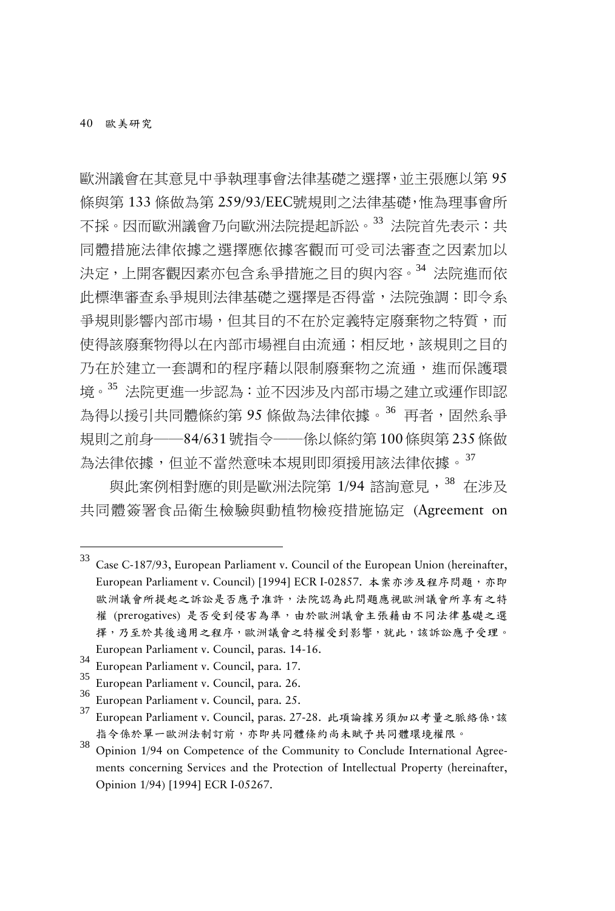-

歐洲議會在其意見中爭執理事會法律基礎之選擇,並主張應以第 95 條與第 133 條做為第 259/93/EEC號規則之法律基礎,惟為理事會所 不採。因而歐洲議會乃向歐洲法院提起訴訟。[33](#page-13-0) 法院首先表示:共 同體措施法律依據之選擇應依據客觀而可受司法審查之因素加以 決定,上開客觀因素亦包含系爭措施之目的與內容。[34](#page-13-1) 法院進而依 此標準審查系爭規則法律基礎之選擇是否得當,法院強調:即令系 爭規則影響內部市場,但其目的不在於定義特定廢棄物之特質,而 使得該廢棄物得以在內部市場裡自由流通;相反地,該規則之目的 乃在於建立一套調和的程序藉以限制廢棄物之流通,進而保護環 境。[35](#page-13-2) 法院更進一步認為:並不因涉及內部市場之建立或運作即認 為得以援引共同體條約第 95 條做為法律依據。<sup>[36](#page-13-3)</sup> 再者,固然系爭 規則之前身──84/631號指令──係以條約第 100條與第 235條做 為法律依據,但並不當然意味本規則即須援用該法律依據。[37](#page-13-4)

與此案例相對應的則是歐洲法院第 1/94 諮詢意見, [38](#page-13-5) 在涉及 共同體簽署食品衛生檢驗與動植物檢疫措施協定 (Agreement on

<span id="page-13-0"></span><sup>33</sup> Case C-187/93, European Parliament v. Council of the European Union (hereinafter, European Parliament v. Council) [1994] ECR I-02857. 本案亦涉及程序問題,亦即 歐洲議會所提起之訴訟是否應予准許,法院認為此問題應視歐洲議會所享有之特 權 (prerogatives) 是否受到侵害為準,由於歐洲議會主張藉由不同法律基礎之選 擇,乃至於其後適用之程序,歐洲議會之特權受到影響,就此,該訴訟應予受理。 European Parliament v. Council, paras. 14-16.<br>
34 European Parliament v. Council, para. 17.<br>
35 European Parliament v. Council, para. 26.<br>
46 European Parliament v. Council, para. 25.<br>
37 European Parliament v. Council,

<span id="page-13-1"></span>

<span id="page-13-2"></span>

<span id="page-13-3"></span>

<span id="page-13-4"></span>指令係於單一歐洲法制訂前,亦即共同體條約尚未賦予共同體環境權限。

<span id="page-13-5"></span><sup>38</sup> Opinion 1/94 on Competence of the Community to Conclude International Agreements concerning Services and the Protection of Intellectual Property (hereinafter, Opinion 1/94) [1994] ECR I-05267.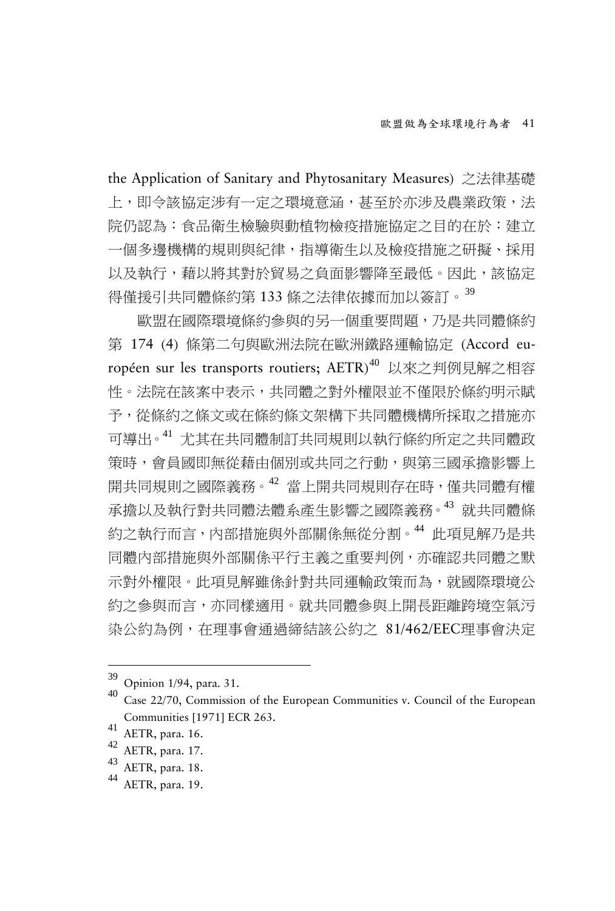the Application of Sanitary and Phytosanitary Measures) 之法律基礎 上,即令該協定涉有一定之環境意涵,甚至於亦涉及農業政策,法 院仍認為:食品衛生檢驗與動植物檢疫措施協定之目的在於:建立 一個多邊機構的規則與紀律,指導衛生以及檢疫措施之研擬、採用 以及執行,藉以將其對於貿易之負面影響降至最低。因此,該協定 得僅援引共同體條約第 133 條之法律依據而加以簽訂。[39](#page-14-0)

歐盟在國際環境條約參與的另一個重要問題,乃是共同體條約 第 174 (4) 條第二句與歐洲法院在歐洲鐵路運輸協定 (Accord européen sur les transports routiers; AETR) [40](#page-14-1) 以來之判例見解之相容 性。法院在該案中表示,共同體之對外權限並不僅限於條約明示賦 予,從條約之條文或在條約條文架構下共同體機構所採取之措施亦 可導出。[41](#page-14-2) 尤其在共同體制訂共同規則以執行條約所定之共同體政 策時,會員國即無從藉由個別或共同之行動,與第三國承擔影響上 開共同規則之國際義務<sup>。[42](#page-14-3)</sup> 當上開共同規則存在時,僅共同體有權 承擔以及執行對共同體法體系產生影響之國際義務。[43](#page-14-4) 就共同體條 約之執行而言,內部措施與外部關係無從分割。[44](#page-14-5) 此項見解乃是共 同體內部措施與外部關係平行主義之重要判例,亦確認共同體之默 示對外權限。此項見解雖係針對共同運輸政策而為,就國際環境公 約之參與而言,亦同樣適用。就共同體參與上開長距離跨境空氣污 染公約為例,在理事會通過締結該公約之 81/462/EEC理事會決定

<span id="page-14-1"></span><span id="page-14-0"></span> $\frac{39}{40}$  Opinion 1/94, para. 31.<br> $\frac{40}{40}$  Case 22/70, Commission of the European Communities v. Council of the European Communities [1971] ECR 263.<br>
<sup>41</sup> AETR, para. 16.<br>
<sup>42</sup> AETR, para. 17.<br>
<sup>44</sup> AETR, para. 18.<br>
<sup>44</sup> AETR, para. 19.

<span id="page-14-2"></span>

<span id="page-14-3"></span>

<span id="page-14-4"></span>

<span id="page-14-5"></span>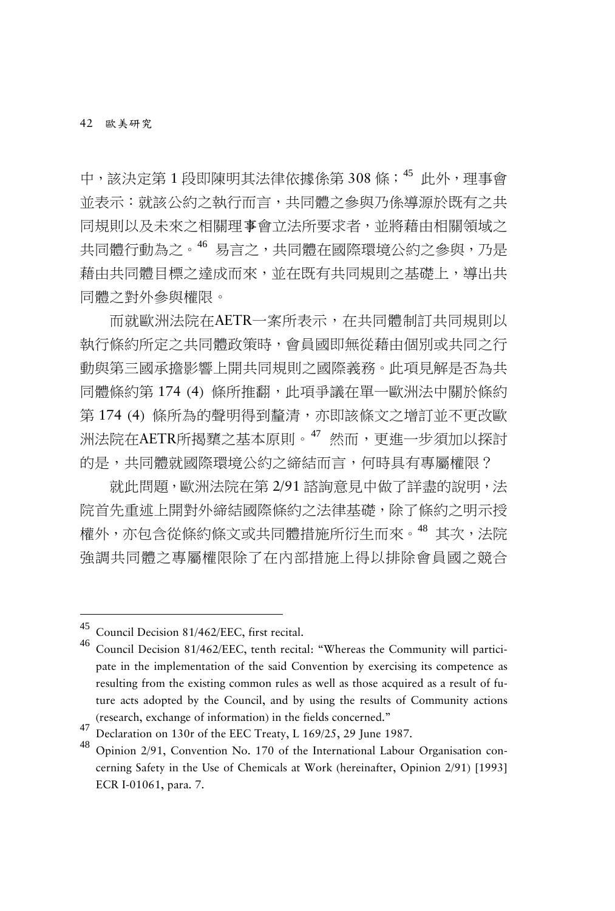中,該決定第1 段即陳明其法律依據係第 308 條; [45](#page-15-0) 此外, 理事會 並表示:就該公約之執行而言,共同體之參與乃係導源於既有之共 同規則以及未來之相關理事會立法所要求者,並將藉由相關領域之 共同體行動為之。[46](#page-15-1) 易言之,共同體在國際環境公約之參與,乃是 藉由共同體目標之達成而來,並在既有共同規則之基礎上,導出共 同體之對外參與權限。

而就歐洲法院在AETR一案所表示,在共同體制訂共同規則以 執行條約所定之共同體政策時,會員國即無從藉由個別或共同之行 動與第三國承擔影響上開共同規則之國際義務。此項見解是否為共 同體條約第 174 (4) 條所推翻,此項爭議在單一歐洲法中關於條約 第 174 (4) 條所為的聲明得到釐清,亦即該條文之增訂並不更改歐 洲法院在AETR所揭櫫之基本原則。<sup>[47](#page-15-2)</sup> 然而,更進一步須加以探討 的是,共同體就國際環境公約之締結而言,何時具有專屬權限?

就此問題,歐洲法院在第 2/91 諮詢意見中做了詳盡的說明,法 院首先重述上開對外締結國際條約之法律基礎,除了條約之明示授 權外,亦包含從條約條文或共同體措施所衍生而來。[48](#page-15-3) 其次,法院 強調共同體之專屬權限除了在內部措施上得以排除會員國之競合

<span id="page-15-1"></span><span id="page-15-0"></span>

Council Decision 81/462/EEC, first recital.<br>Council Decision 81/462/EEC, tenth recital: "Whereas the Community will participate in the implementation of the said Convention by exercising its competence as resulting from the existing common rules as well as those acquired as a result of future acts adopted by the Council, and by using the results of Community actions (research, exchange of information) in the fields concerned."

<span id="page-15-3"></span><span id="page-15-2"></span><sup>47</sup> Declaration on 130r of the EEC Treaty, L 169/25, 29 June 1987.<br><sup>48</sup> Opinion 2/91, Convention No. 170 of the International Labour Organisation concerning Safety in the Use of Chemicals at Work (hereinafter, Opinion 2/91) [1993] ECR I-01061, para. 7.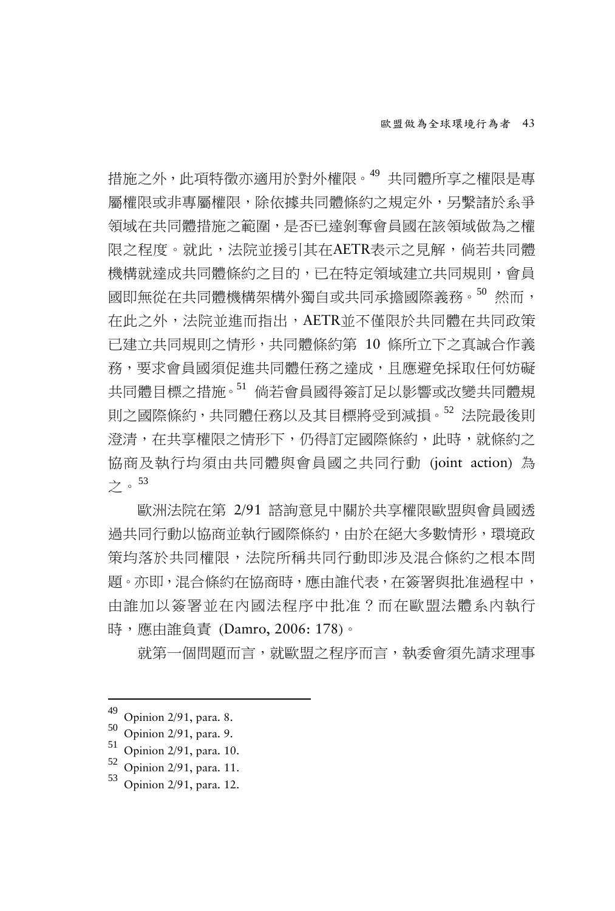措施之外,此項特徵亦適用於對外權限。[49](#page-16-0) 共同體所享之權限是專 屬權限或非專屬權限,除依據共同體條約之規定外,另繫諸於系爭 領域在共同體措施之範圍,是否已達剝奪會員國在該領域做為之權 限之程度。就此,法院並援引其在AETR表示之見解,倘若共同體 機構就達成共同體條約之目的,已在特定領域建立共同規則,會員 國即無從在共同體機構架構外獨自或共同承擔國際義務。<sup>[50](#page-16-1)</sup> 然而, 在此之外,法院並進而指出,AETR並不僅限於共同體在共同政策 已建立共同規則之情形,共同體條約第 10 條所立下之真誠合作義 務,要求會員國須促進共同體任務之達成,且應避免採取任何妨礙 共同體目標之措施。[51](#page-16-2) 倘若會員國得簽訂足以影響或改變共同體規 則之國際條約,共同體任務以及其目標將受到減損。<sup>[52](#page-16-3)</sup>法院最後則 澄清,在共享權限之情形下,仍得訂定國際條約,此時,就條約之 協商及執行均須由共同體與會員國之共同行動 (joint action) 為 之。[53](#page-16-4)

歐洲法院在第 2/91 諮詢意見中關於共享權限歐盟與會員國透 過共同行動以協商並執行國際條約,由於在絕大多數情形,環境政 策均落於共同權限,法院所稱共同行動即涉及混合條約之根本問 題。亦即,混合條約在協商時,應由誰代表,在簽署與批准過程中, 由誰加以簽署並在內國法程序中批准?而在歐盟法體系內執行 時,應由誰負責 (Damro, 2006: 178)。

就第一個問題而言,就歐盟之程序而言,執委會須先請求理事

<span id="page-16-2"></span>

<span id="page-16-4"></span><span id="page-16-3"></span>

<span id="page-16-1"></span><span id="page-16-0"></span><sup>49</sup> Opinion 2/91, para. 8.<br>
50 Opinion 2/91, para. 9.<br>
52 Opinion 2/91, para. 10.<br>
53 Opinion 2/91, para. 11.<br>
53 Opinion 2/91, para. 12.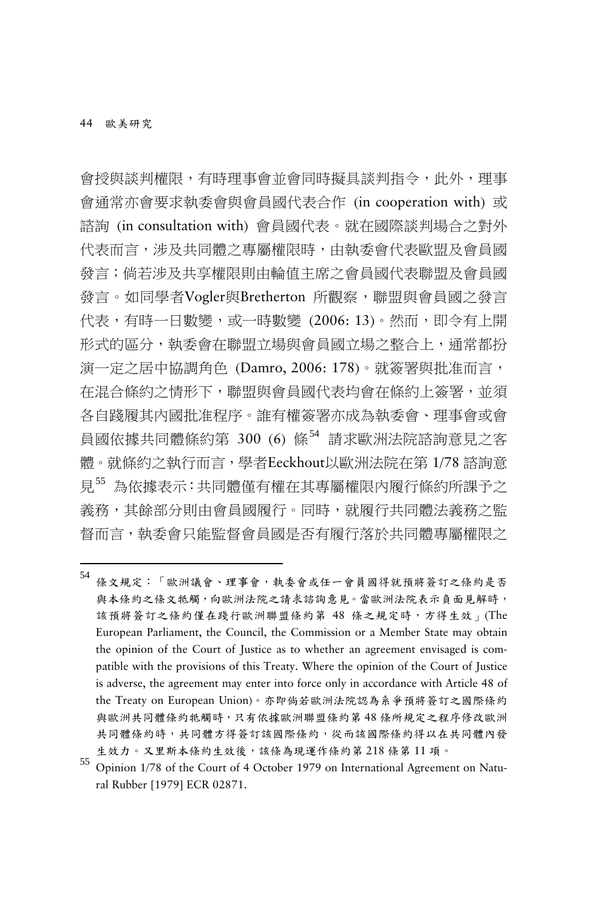會授與談判權限,有時理事會並會同時擬具談判指令,此外,理事 會通常亦會要求執委會與會員國代表合作 (in cooperation with) 或 諮詢 (in consultation with) 會員國代表。就在國際談判場合之對外 代表而言,涉及共同體之專屬權限時,由執委會代表歐盟及會員國 發言;倘若涉及共享權限則由輪值主席之會員國代表聯盟及會員國 發言。如同學者Vogler與Bretherton 所觀察,聯盟與會員國之發言 代表,有時一日數變,或一時數變 (2006: 13)。然而,即令有上開 形式的區分,執委會在聯盟立場與會員國立場之整合上,通常都扮 演一定之居中協調角色 (Damro, 2006: 178)。就簽署與批准而言, 在混合條約之情形下,聯盟與會員國代表均會在條約上簽署,並須 各自踐履其內國批准程序。誰有權簽署亦成為執委會、理事會或會 員國依據共同體條約第 300 (6) 條<sup>[54](#page-17-0)</sup> 請求歐洲法院諮詢意見之客 體。就條約之執行而言,學者Eeckhout以歐洲法院在第 1/78 諮詢意 見[55](#page-17-1) 為依據表示:共同體僅有權在其專屬權限內履行條約所課予之 義務,其餘部分則由會員國履行。同時,就履行共同體法義務之監 督而言,執委會只能監督會員國是否有履行落於共同體專屬權限之

<span id="page-17-0"></span>54 條文規定:「歐洲議會、理事會,執委會或任一會員國得就預將簽訂之條約是否 與本條約之條文牴觸,向歐洲法院之請求諮詢意見。當歐洲法院表示負面見解時, 該預將簽訂之條約僅在踐行歐洲聯盟條約第 48 條之規定時,方得生效 | (The European Parliament, the Council, the Commission or a Member State may obtain the opinion of the Court of Justice as to whether an agreement envisaged is compatible with the provisions of this Treaty. Where the opinion of the Court of Justice is adverse, the agreement may enter into force only in accordance with Article 48 of the Treaty on European Union)。亦即倘若歐洲法院認為系爭預將簽訂之國際條約 與歐洲共同體條約牴觸時,只有依據歐洲聯盟條約第48條所規定之程序修改歐洲 共同體條約時,共同體方得簽訂該國際條約,從而該國際條約得以在共同體內發 生效力。又里斯本條約生效後,該條為現運作條約第 218 條第 11 項。

<span id="page-17-1"></span><sup>55</sup> Opinion 1/78 of the Court of <sup>4</sup> October <sup>1979</sup> on International Agreement on Natural Rubber [1979] ECR 02871.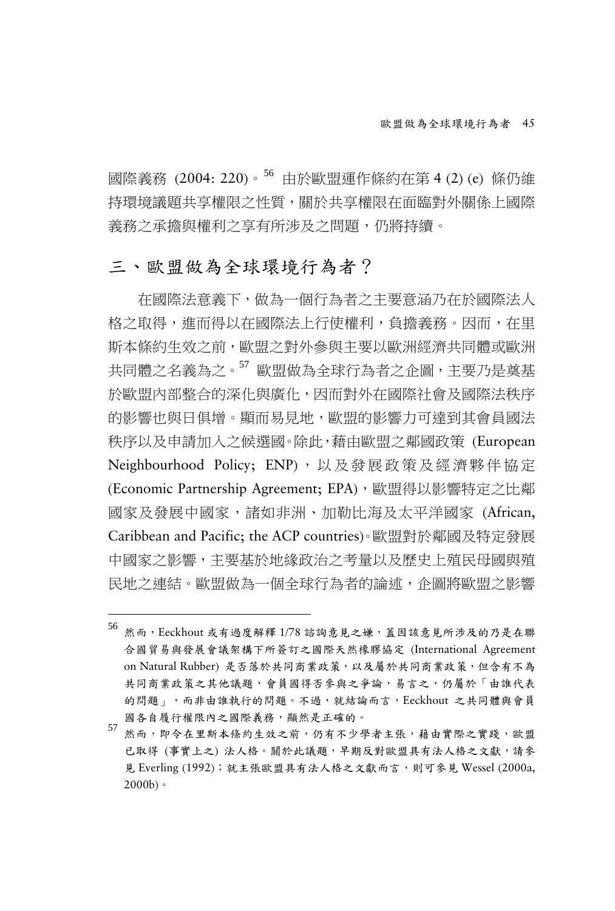國際義務 (2004: 220)。[56](#page-18-0) 由於歐盟運作條約在第 4 (2) (e) 條仍維 持環境議題共享權限之性質,關於共享權限在面臨對外關係上國際 義務之承擔與權利之享有所涉及之問題,仍將持續。

#### 三、歐盟做為全球環境行為者?

-

在國際法意義下,做為一個行為者之主要意涵乃在於國際法人 格之取得,進而得以在國際法上行使權利,負擔義務。因而,在里 斯本條約生效之前,歐盟之對外參與主要以歐洲經濟共同體或歐洲 共同體之名義為之。<sup>[57](#page-18-1)</sup> 歐盟做為全球行為者之企圖,主要乃是奠基 於歐盟內部整合的深化與廣化,因而對外在國際社會及國際法秩序 的影響也與日俱增。顯而易見地,歐盟的影響力可達到其會員國法 秩序以及申請加入之候選國。除此,藉由歐盟之鄰國政策 (European Neighbourhood Policy; ENP), 以及發展政策及經濟夥伴協定 (Economic Partnership Agreement; EPA), 歐盟得以影響特定之比鄰 國家及發展中國家,諸如非洲、加勒比海及太平洋國家 (African, Caribbean and Pacific; the ACP countries)。歐盟對於鄰國及特定發展 中國家之影響,主要基於地緣政治之考量以及歷史上殖民母國與殖 民地之連結。歐盟做為一個全球行為者的論述,企圖將歐盟之影響

<span id="page-18-0"></span><sup>56</sup> 然而,Eeckhout 或有過度解釋 1/78 諮詢意見之嫌,蓋因該意見所涉及的乃是在聯 合國貿易與發展會議架構下所簽訂之國際天然橡膠協定 (International Agreement on Natural Rubber) 是否落於共同商業政策,以及屬於共同商業政策,但含有不為 共同商業政策之其他議題,會員國得否參與之爭論,易言之,仍屬於「由誰代表 的問題」,而非由誰執行的問題。不過,就結論而言,Eeckhout 之共同體與會員 國各自履行權限內之國際義務,顯然是正確的。

<span id="page-18-1"></span><sup>57</sup> 然而,即令在里斯本條約生效之前,仍有不少學者主張,藉由實際之實踐,歐盟 已取得 (事實上之) 法人格。關於此議題,早期反對歐盟具有法人格之文獻,請參 見 Everling (1992);就主張歐盟具有法人格之文獻而言,則可參見 Wessel (2000a,  $2000<sub>b</sub>$ .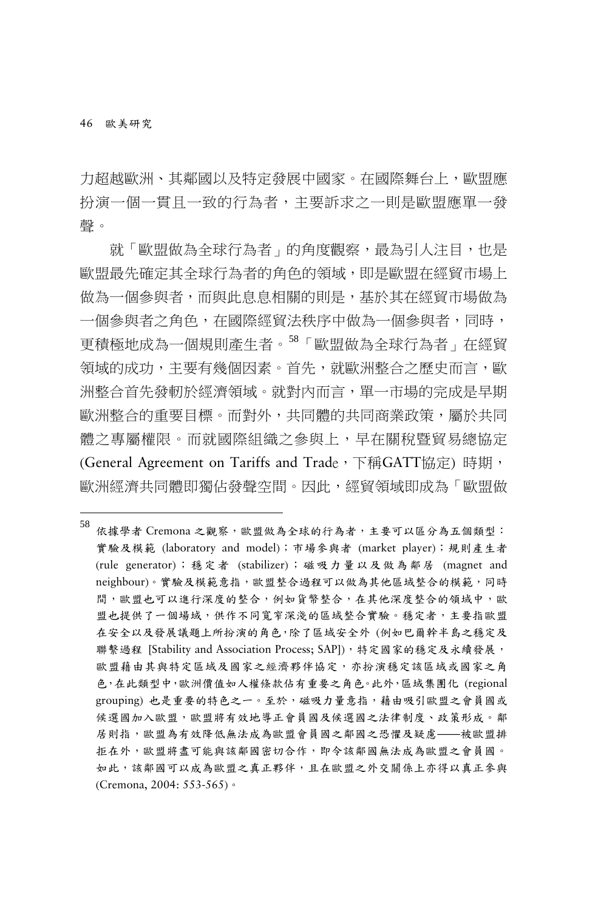46 歐美研究

-

力超越歐洲、其鄰國以及特定發展中國家。在國際舞台上,歐盟應 扮演一個一貫且一致的行為者,主要訴求之一則是歐盟應單一發 聲。

就「歐盟做為全球行為者」的角度觀察,最為引人注目,也是 歐盟最先確定其全球行為者的角色的領域,即是歐盟在經貿市場上 做為一個參與者,而與此息息相關的則是,基於其在經貿市場做為 一個參與者之角色,在國際經貿法秩序中做為一個參與者,同時, 更積極地成為一個規則產生者。[58](#page-19-0)「歐盟做為全球行為者」在經貿 領域的成功,主要有幾個因素。首先,就歐洲整合之歷史而言,歐 洲整合首先發軔於經濟領域。就對內而言,單一市場的完成是早期 歐洲整合的重要目標。而對外,共同體的共同商業政策,屬於共同 體之專屬權限。而就國際組織之參與上,早在關稅暨貿易總協定 (General Agreement on Tariffs and Trade, 下稱GATT協定) 時期, 歐洲經濟共同體即獨佔發聲空間。因此,經貿領域即成為「歐盟做

<span id="page-19-0"></span><sup>58&</sup>lt;br>依據學者 Cremona 之觀察,歐盟做為全球的行為者,主要可以區分為五個類型: 實驗及模範 (laboratory and model);市場參與者 (market player);規則產生者 (rule generator);穩定者 (stabilizer);磁吸力量以及做為鄰居 (magnet and neighbour)。實驗及模範意指,歐盟整合過程可以做為其他區域整合的模範,同時 間,歐盟也可以進行深度的整合,例如貨幣整合,在其他深度整合的領域中,歐 盟也提供了一個場域,供作不同寬窄深淺的區域整合實驗。穩定者,主要指歐盟 在安全以及發展議題上所扮演的角色,除了區域安全外 (例如巴爾幹半島之穩定及 聯繫過程 [Stability and Association Process; SAP]), 特定國家的穩定及永續發展, 歐盟藉由其與特定區域及國家之經濟夥伴協定,亦扮演穩定該區域或國家之角 色,在此類型中,歐洲價值如人權條款佔有重要之角色。此外,區域集團化 (regional grouping) 也是重要的特色之一。至於,磁吸力量意指,藉由吸引歐盟之會員國或 候選國加入歐盟,歐盟將有效地導正會員國及候選國之法律制度、政策形成。鄰 居則指,歐盟為有效降低無法成為歐盟會員國之鄰國之恐懼及疑慮——被歐盟排 拒在外,歐盟將盡可能與該鄰國密切合作,即令該鄰國無法成為歐盟之會員國。 如此,該鄰國可以成為歐盟之真正夥伴,且在歐盟之外交關係上亦得以真正參與 (Cremona, 2004: 553-565)。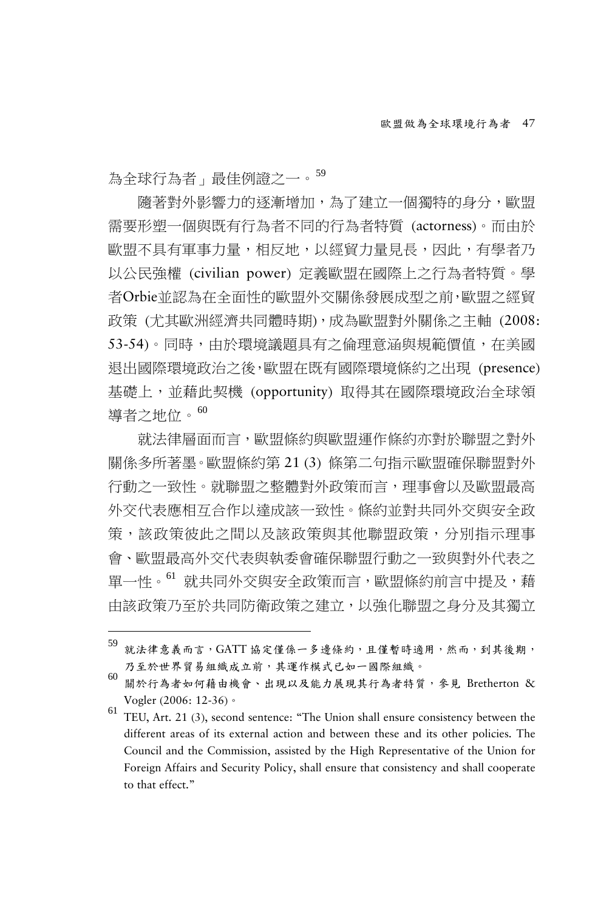為全球行為者」最佳例證之一。[59](#page-20-0)

-

隨著對外影響力的逐漸增加,為了建立一個獨特的身分,歐盟 需要形塑一個與既有行為者不同的行為者特質 (actorness)。而由於 歐盟不具有軍事力量,相反地,以經貿力量見長,因此,有學者乃 以公民強權 (civilian power) 定義歐盟在國際上之行為者特質。學 者Orbie並認為在全面性的歐盟外交關係發展成型之前,歐盟之經貿 政策 (尤其歐洲經濟共同體時期),成為歐盟對外關係之主軸 (2008: 53-54)。同時,由於環境議題具有之倫理意涵與規範價值,在美國 退出國際環境政治之後,歐盟在既有國際環境條約之出現 (presence) 基礎上,並藉此契機 (opportunity) 取得其在國際環境政治全球領 導者之地位。[60](#page-20-1)

就法律層面而言,歐盟條約與歐盟運作條約亦對於聯盟之對外 關係多所著墨。歐盟條約第 21 (3) 條第二句指示歐盟確保聯盟對外 行動之一致性。就聯盟之整體對外政策而言,理事會以及歐盟最高 外交代表應相互合作以達成該一致性。條約並對共同外交與安全政 策,該政策彼此之間以及該政策與其他聯盟政策,分別指示理事 會、歐盟最高外交代表與執委會確保聯盟行動之一致與對外代表之 單一性。<sup>[61](#page-20-2)</sup> 就共同外交與安全政策而言,歐盟條約前言中提及,藉 由該政策乃至於共同防衛政策之建立,以強化聯盟之身分及其獨立

<span id="page-20-0"></span><sup>59</sup> 就法律意義而言,GATT 協定僅係一多邊條約,且僅暫時適用,然而,到其後期, 乃至於世界貿易組織成立前,其運作模式已如一國際組織。

<span id="page-20-1"></span><sup>60</sup> 關於行為者如何藉由機會、出現以及能力展現其行為者特質,參見 Bretherton &

<span id="page-20-2"></span>Vogler (2006: 12-36)  $\circ$ <br><sup>61</sup> TEU, Art. 21 (3), second sentence: "The Union shall ensure consistency between the different areas of its external action and between these and its other policies. The Council and the Commission, assisted by the High Representative of the Union for Foreign Affairs and Security Policy, shall ensure that consistency and shall cooperate to that effect."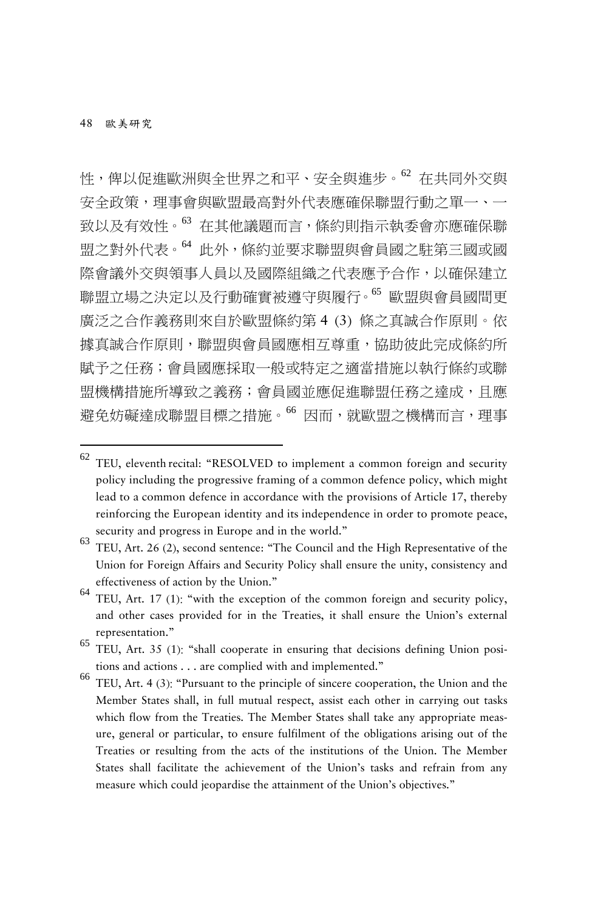-

性, 俾以促進歐洲與全世界之和平、安全與進步。[62](#page-21-0) 存共同外交與 安全政策,理事會與歐盟最高對外代表應確保聯盟行動之單一、一 致以及有效性。[63](#page-21-1) 在其他議題而言,條約則指示執委會亦應確保聯 盟之對外代表。[64](#page-21-2) 此外,條約並要求聯盟與會員國之駐第三國或國 際會議外交與領事人員以及國際組織之代表應予合作,以確保建立 聯盟立場之決定以及行動確實被遵守與履行。[65](#page-21-3) 歐盟與會員國間更 廣泛之合作義務則來自於歐盟條約第 4 (3) 條之真誠合作原則。依 據真誠合作原則,聯盟與會員國應相互尊重,協助彼此完成條約所 賦予之任務;會員國應採取一般或特定之適當措施以執行條約或聯 盟機構措施所導致之義務;會員國並應促進聯盟任務之達成,且應 避免妨礙達成聯盟目標之措施。<sup>[66](#page-21-4)</sup>因而,就歐盟之機構而言,理事

<span id="page-21-0"></span> $62$  TEU, eleventh recital: "RESOLVED to implement a common foreign and security policy including the progressive framing of a common defence policy, which might lead to a common defence in accordance with the provisions of Article 17, thereby reinforcing the European identity and its independence in order to promote peace, security and progress in Europe and in the world."

<span id="page-21-1"></span><sup>63</sup> TEU, Art. 26 (2), second sentence: "The Council and the High Representative of the Union for Foreign Affairs and Security Policy shall ensure the unity, consistency and effectiveness of action by the Union."

<span id="page-21-2"></span><sup>64</sup> TEU, Art. 17 (1): "with the exception of the common foreign and security policy, and other cases provided for in the Treaties, it shall ensure the Union's external representation."

<span id="page-21-3"></span><sup>65</sup> TEU, Art. 35 (1): "shall cooperate in ensuring that decisions defining Union positions and actions . . . are complied with and implemented."

<span id="page-21-4"></span><sup>66</sup> TEU, Art. 4 (3): "Pursuant to the principle of sincere cooperation, the Union and the Member States shall, in full mutual respect, assist each other in carrying out tasks which flow from the Treaties. The Member States shall take any appropriate measure, general or particular, to ensure fulfilment of the obligations arising out of the Treaties or resulting from the acts of the institutions of the Union. The Member States shall facilitate the achievement of the Union's tasks and refrain from any measure which could jeopardise the attainment of the Union's objectives."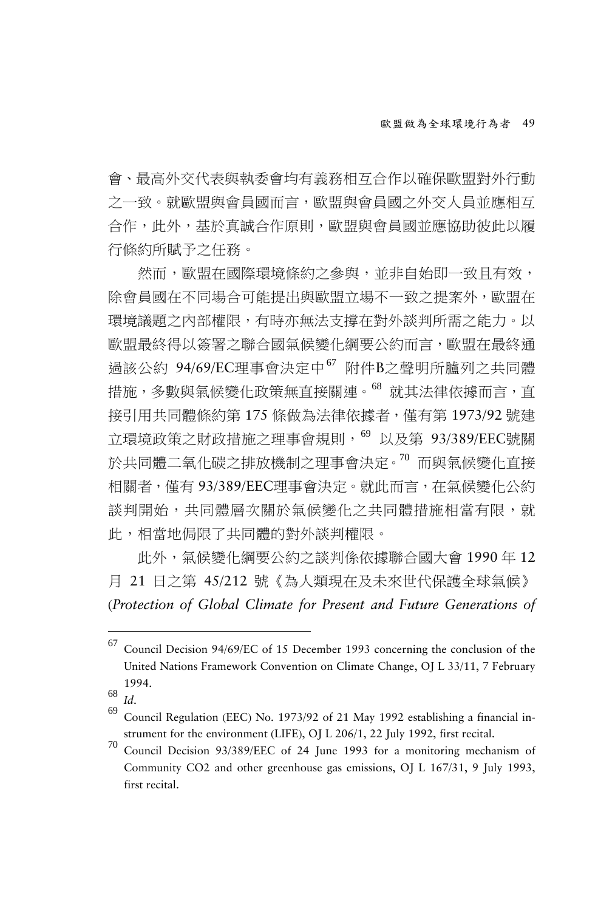會、最高外交代表與執委會均有義務相互合作以確保歐盟對外行動 之一致。就歐盟與會員國而言,歐盟與會員國之外交人員並應相互 合作,此外,基於真誠合作原則,歐盟與會員國並應協助彼此以履 行條約所賦予之任務。

然而,歐盟在國際環境條約之參與,並非自始即一致且有效, 除會員國在不同場合可能提出與歐盟立場不一致之提案外,歐盟在 環境議題之內部權限,有時亦無法支撐在對外談判所需之能力。以 歐盟最終得以簽署之聯合國氣候變化綱要公約而言,歐盟在最終通 過該公約 94/69/EC理事會決定中<sup>[67](#page-22-0)</sup> 附件B之聲明所臚列之共同體 措施,多數與氣候變化政策無直接關連。<sup>[68](#page-22-1)</sup> 就其法律依據而言,直 接引用共同體條約第 175 條做為法律依據者,僅有第 1973/92 號建 立環境政策之財政措施之理事會規則,<sup>[69](#page-22-2)</sup> 以及第 93/389/EEC號關 於共同體二氧化碳之排放機制之理事會決定。[70](#page-22-3) 而與氣候變化直接 相關者,僅有 93/389/EEC理事會決定。就此而言,在氣候變化公約 談判開始,共同體層次關於氣候變化之共同體措施相當有限,就 此,相當地侷限了共同體的對外談判權限。

此外,氣候變化綱要公約之談判係依據聯合國大會 1990 年 12 月 21 日之第 45/212 號《為人類現在及未來世代保護全球氣候》 (*Protection of Global Climate for Present and Future Generations of*

<span id="page-22-0"></span><sup>67</sup> Council Decision 94/69/EC of <sup>15</sup> December <sup>1993</sup> concerning the conclusion of the United Nations Framework Convention on Climate Change, OJ L 33/11, 7 February 1994.<br><sup>68</sup> *Id.* 69 Council Regulation (EEC) No. 1973/92 of 21 May 1992 establishing a financial in-

<span id="page-22-1"></span>

<span id="page-22-2"></span>strument for the environment (LIFE), OJ L 206/1, 22 July 1992, first recital.<br><sup>70</sup> Council Decision 93/389/EEC of 24 June 1993 for a monitoring mechanism of

<span id="page-22-3"></span>Community CO2 and other greenhouse gas emissions, OJ L 167/31, 9 July 1993, first recital.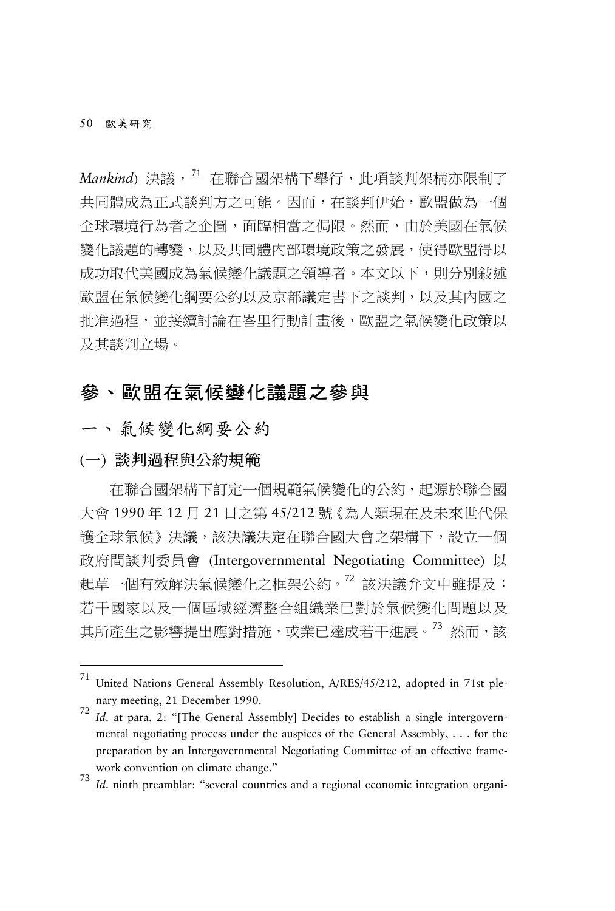50 歐美研究

*Mankind*) 決議, <sup>[71](#page-23-0)</sup> 在聯合國架構下舉行, 此項談判架構亦限制了 共同體成為正式談判方之可能。因而,在談判伊始,歐盟做為一個 全球環境行為者之企圖,面臨相當之侷限。然而,由於美國在氣候 變化議題的轉變,以及共同體內部環境政策之發展,使得歐盟得以 成功取代美國成為氣候變化議題之領導者。本文以下,則分別敍述 歐盟在氣候變化綱要公約以及京都議定書下之談判,以及其內國之 批准過程,並接續討論在峇里行動計畫後,歐盟之氣候變化政策以 及其談判立場。

# 參、歐盟在氣候變化議題之參與

一、氣候變化綱要公約

(一) 談判過程與公約規範

-

在聯合國架構下訂定一個規範氣候變化的公約,起源於聯合國 大會 1990 年 12 月 21 日之第 45/212 號《為人類現在及未來世代保 護全球氣候》決議,該決議決定在聯合國大會之架構下,設立一個 政府間談判委員會 (Intergovernmental Negotiating Committee) 以 起草一個有效解決氣候變化之框架公約。[72](#page-23-1) 該決議弁文中雖提及: 若干國家以及一個區域經濟整合組織業已對於氣候變化問題以及 其所產生之影響提出應對措施,或業已達成若干進展。<sup>[73](#page-23-2)</sup> 然而,該

<span id="page-23-0"></span><sup>71</sup> United Nations General Assembly Resolution, A/RES/45/212, adopted in 71st plenary meeting, 21 December 1990.<br><sup>72</sup> *Id.* at para. 2: "[The General Assembly] Decides to establish a single intergovern-

<span id="page-23-1"></span>mental negotiating process under the auspices of the General Assembly, . . . for the preparation by an Intergovernmental Negotiating Committee of an effective framework convention on climate change."

<span id="page-23-2"></span>*Id.* ninth preamblar: "several countries and a regional economic integration organi-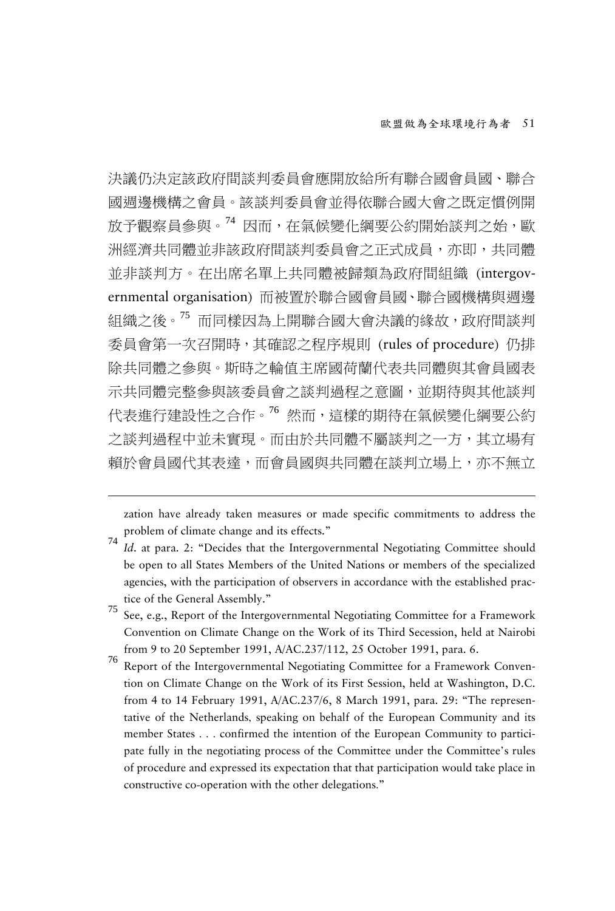決議仍決定該政府間談判委員會應開放給所有聯合國會員國、聯合 國週邊機構之會員。該談判委員會並得依聯合國大會之既定慣例開 放予觀察員參與。[74](#page-24-0) 因而,在氣候變化綱要公約開始談判之始,歐 洲經濟共同體並非該政府間談判委員會之正式成員,亦即,共同體 並非談判方。在出席名單上共同體被歸類為政府間組織 (intergovernmental organisation) 而被置於聯合國會員國、聯合國機構與週邊 組織之後<sup>。[75](#page-24-1)</sup> 而同樣因為上開聯合國大會決議的緣故,政府間談判 委員會第一次召開時,其確認之程序規則 (rules of procedure) 仍排 除共同體之參與。斯時之輪值主席國荷蘭代表共同體與其會員國表 示共同體完整參與該委員會之談判過程之意圖,並期待與其他談判 代表進行建設性之合作。[76](#page-24-2) 然而,這樣的期待在氣候變化綱要公約 之談判過程中並未實現。而由於共同體不屬談判之一方,其立場有 賴於會員國代其表達,而會員國與共同體在談判立場上,亦不無立

zation have already taken measures or made specific commitments to address the problem of climate change and its effects."

- <span id="page-24-1"></span><sup>75</sup> See, e.g., Report of the Intergovernmental Negotiating Committee for <sup>a</sup> Framework Convention on Climate Change on the Work of its Third Secession, held at Nairobi from 9 to 20 September 1991, A/AC.237/112, 25 October 1991, para. 6.<br><sup>76</sup> Report of the Intergovernmental Negotiating Committee for a Framework Conven-
- <span id="page-24-2"></span>tion on Climate Change on the Work of its First Session, held at Washington, D.C. from 4 to 14 February 1991, A/AC.237/6, 8 March 1991, para. 29: "The representative of the Netherlands, speaking on behalf of the European Community and its member States . . . confirmed the intention of the European Community to participate fully in the negotiating process of the Committee under the Committee's rules of procedure and expressed its expectation that that participation would take place in constructive co-operation with the other delegations."

<span id="page-24-0"></span><sup>74</sup> *Id*. at para. 2: "Decides that the Intergovernmental Negotiating Committee should be open to all States Members of the United Nations or members of the specialized agencies, with the participation of observers in accordance with the established practice of the General Assembly."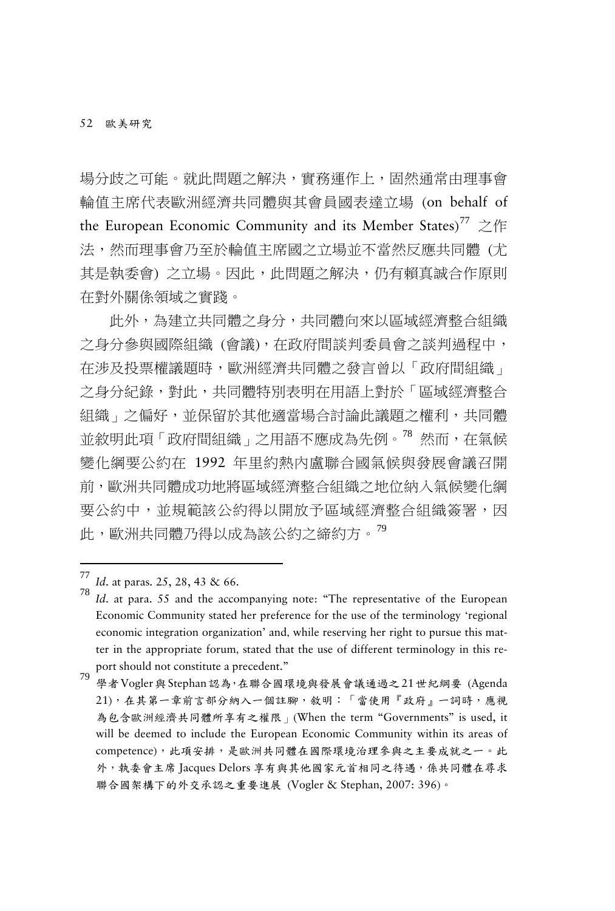場分歧之可能。就此問題之解決,實務運作上,固然通常由理事會 輪值主席代表歐洲經濟共同體與其會員國表達立場 (on behalf of the European Economic Community and its Member States)<sup>[77](#page-25-0)</sup> 之作 法,然而理事會乃至於輪值主席國之立場並不當然反應共同體 (尤 其是執委會) 之立場。因此,此問題之解決,仍有賴真誠合作原則 在對外關係領域之實踐。

此外,為建立共同體之身分,共同體向來以區域經濟整合組織 之身分參與國際組織 (會議),在政府間談判委員會之談判過程中, 在涉及投票權議題時,歐洲經濟共同體之發言曾以「政府間組織」 之身分紀錄,對此,共同體特別表明在用語上對於「區域經濟整合 組織,之偏好,並保留於其他適當場合討論此議題之權利,共同體 並敘明此項「政府間組織」之用語不應成為先例。<sup>[78](#page-25-1)</sup> 然而,在氣候 變化綱要公約在 1992 年里約熱內盧聯合國氣候與發展會議召開 前,歐洲共同體成功地將區域經濟整合組織之地位納入氣候變化綱 要公約中,並規範該公約得以開放予區域經濟整合組織簽署,因 此,歐洲共同體乃得以成為該公約之締約方。[79](#page-25-2)

<span id="page-25-1"></span><span id="page-25-0"></span>

*Id.* at paras. 25, 28, 43 & 66. *Id.* at para. 55 and the accompanying note: "The representative of the European Economic Community stated her preference for the use of the terminology 'regional economic integration organization' and, while reserving her right to pursue this matter in the appropriate forum, stated that the use of different terminology in this report should not constitute a precedent."

<span id="page-25-2"></span>roport should hot constitute a precedent.<br>79 學者Vogler與Stephan認為,在聯合國環境與發展會議通過之21世紀綱要 (Agenda 21),在其第一章前言部分納入一個註腳,敘明:「當使用『政府』一詞時,應視 為包含歐洲經濟共同體所享有之權限」(When the term "Governments" is used, it will be deemed to include the European Economic Community within its areas of competence),此項安排,是歐洲共同體在國際環境治理參與之主要成就之一。此 外,執委會主席 Jacques Delors 享有與其他國家元首相同之待遇,係共同體在尋求 聯合國架構下的外交承認之重要進展 (Vogler & Stephan, 2007: 396)。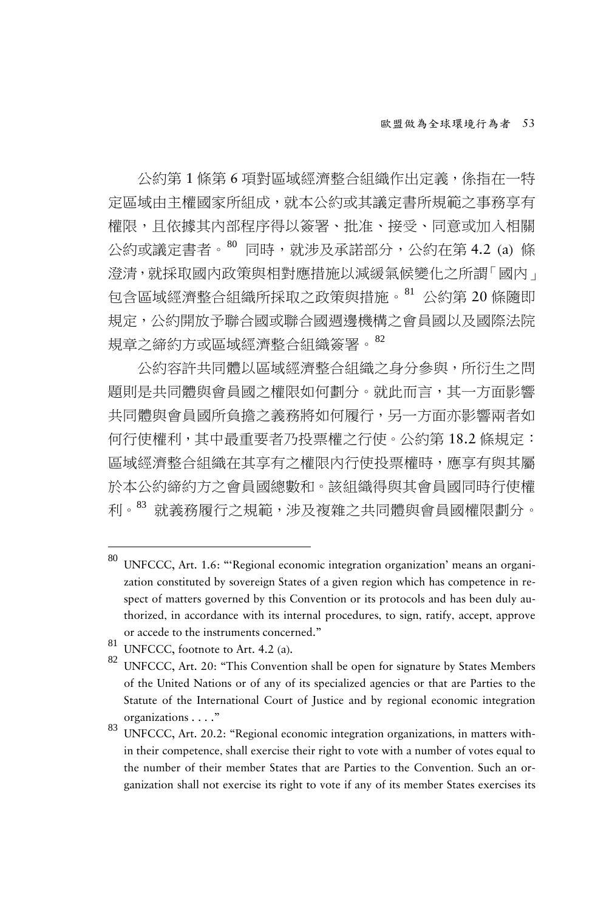公約第 1 條第 6 項對區域經濟整合組織作出定義,係指在一特 定區域由主權國家所組成,就本公約或其議定書所規範之事務享有 權限,且依據其內部程序得以簽署、批准、接受、同意或加入相關 公約或議定書者。[80](#page-26-0) 同時,就涉及承諾部分,公約在第 4.2 (a) 條 澄清,就採取國内政策與相對應措施以減緩氣候變化之所謂「國內」 包含區域經濟整合組織所採取之政策與措施。[81](#page-26-1) 公約第 20 條隨即 規定,公約開放予聯合國或聯合國週邊機構之會員國以及國際法院 規章之締約方或區域經濟整合組織簽署。[82](#page-26-2)

公約容許共同體以區域經濟整合組織之身分參與,所衍生之問 題則是共同體與會員國之權限如何劃分。就此而言,其一方面影響 共同體與會員國所負擔之義務將如何履行,另一方面亦影響兩者如 何行使權利,其中最重要者乃投票權之行使。公約第 18.2 條規定: 區域經濟整合組織在其享有之權限內行使投票權時,應享有與其屬 於本公約締約方之會員國總數和。該組織得與其會員國同時行使權 利。[83](#page-26-3) 就義務履行之規範,涉及複雜之共同體與會員國權限劃分。

<span id="page-26-0"></span><sup>80</sup> UNFCCC, Art. 1.6: "'Regional economic integration organization' means an organization constituted by sovereign States of a given region which has competence in respect of matters governed by this Convention or its protocols and has been duly authorized, in accordance with its internal procedures, to sign, ratify, accept, approve or accede to the instruments concerned."

<span id="page-26-2"></span>

<span id="page-26-1"></span><sup>81</sup> UNFCCC, footnote to Art. 4.2 (a).<br>82 UNFCCC, Art. 20: "This Convention shall be open for signature by States Members of the United Nations or of any of its specialized agencies or that are Parties to the Statute of the International Court of Justice and by regional economic integration organizations . . . ."

<span id="page-26-3"></span><sup>83</sup> UNFCCC, Art. 20.2: "Regional economic integration organizations, in matters within their competence, shall exercise their right to vote with a number of votes equal to the number of their member States that are Parties to the Convention. Such an organization shall not exercise its right to vote if any of its member States exercises its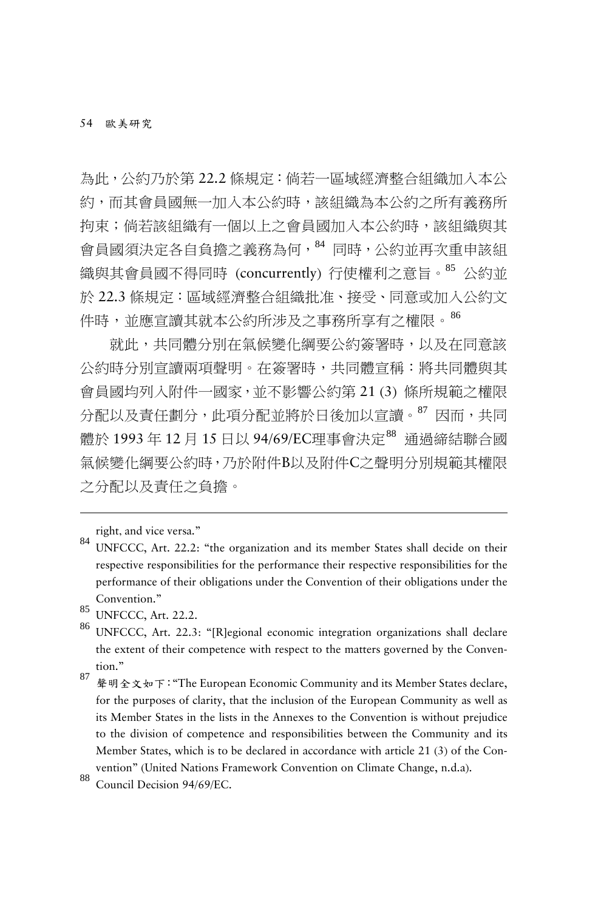為此,公約乃於第 22.2 條規定:倘若一區域經濟整合組織加入本公 約,而其會員國無一加入本公約時,該組織為本公約之所有義務所 拘束;倘若該組織有一個以上之會員國加入本公約時,該組織與其 會員國須決定各自負擔之義務為何, [84](#page-27-0) 同時,公約並再次重申該組 織與其會員國不得同時 (concurrently) 行使權利之意旨。[85](#page-27-1) 公約並 於 22.3 條規定:區域經濟整合組織批准、接受、同意或加入公約文 作時,並應宣讀其就本公約所涉及之事務所享有之權限。[86](#page-27-2)

就此,共同體分別在氣候變化綱要公約簽署時,以及在同意該 公約時分別宣讀兩項聲明。在簽署時,共同體宣稱:將共同體與其 會員國均列入附件一國家,並不影響公約第 21 (3) 條所規範之權限 分配以及責任劃分, 此項分配並將於日後加以宣讀。[87](#page-27-3) 因而, 共同 體於 1993 年 12 月 15 日以 94/69/EC理事會決定[88](#page-27-4) 通過締結聯合國 氣候變化綱要公約時,乃於附件B以及附件C之聲明分別規範其權限 之分配以及責任之負擔。

right, and vice versa."

<span id="page-27-0"></span><sup>84</sup> UNFCCC, Art. 22.2: "the organization and its member States shall decide on their respective responsibilities for the performance their respective responsibilities for the performance of their obligations under the Convention of their obligations under the Convention."

<span id="page-27-2"></span>

<span id="page-27-1"></span><sup>&</sup>lt;sup>85</sup> UNFCCC, Art. 22.2.<br><sup>86</sup> UNFCCC, Art. 22.3: "[R]egional economic integration organizations shall declare the extent of their competence with respect to the matters governed by the Convention."

<span id="page-27-3"></span><sup>87</sup> 聲明全文如下:"The European Economic Community and its Member States declare, for the purposes of clarity, that the inclusion of the European Community as well as its Member States in the lists in the Annexes to the Convention is without prejudice to the division of competence and responsibilities between the Community and its Member States, which is to be declared in accordance with article 21 (3) of the Convention" (United Nations Framework Convention on Climate Change, n.d.a).<br><sup>88</sup> Council Decision 94/69/EC.

<span id="page-27-4"></span>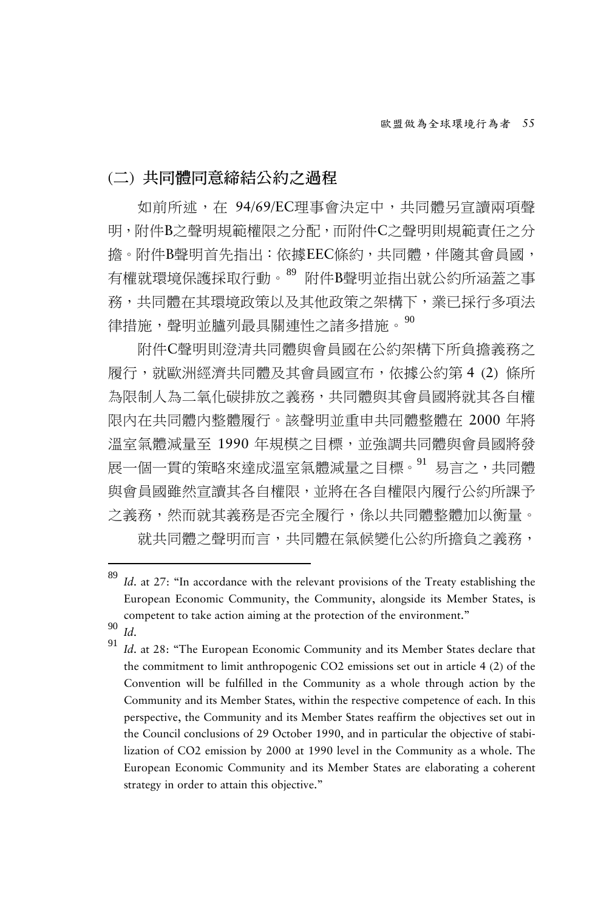(二) 共同體同意締結公約之過程

如前所述,在 94/69/EC理事會決定中,共同體另宣讀兩項聲 明,附件B之聲明規範權限之分配,而附件C之聲明則規範責任之分 擔。附件B聲明首先指出:依據EEC條約,共同體,伴隨其會員國, 有權就環境保護採取行動。[89](#page-28-0) 附件B聲明並指出就公約所涵蓋之事 務,共同體在其環境政策以及其他政策之架構下,業已採行多項法 律措施,聲明並臚列最具關連性之諸多措施。<sup>[90](#page-28-1)</sup>

附件C聲明則澄清共同體與會員國在公約架構下所負擔義務之 履行,就歐洲經濟共同體及其會員國宣布,依據公約第 4 (2) 條所 為限制人為二氧化碳排放之義務,共同體與其會員國將就其各自權 限內在共同體內整體履行。該聲明並重申共同體整體在 2000 年將 溫室氣體減量至 1990 年規模之目標,並強調共同體與會員國將發 展一個一貫的策略來達成溫室氣體減量之目標。[91](#page-28-2) 易言之,共同體 與會員國雖然宣讀其各自權限,並將在各自權限內履行公約所課予 之義務,然而就其義務是否完全履行,係以共同體整體加以衡量。 就共同體之聲明而言,共同體在氣候變化公約所擔負之義務,

<span id="page-28-0"></span><sup>89</sup> Id. at 27: "In accordance with the relevant provisions of the Treaty establishing the European Economic Community, the Community, alongside its Member States, is competent to take action aiming at the protection of the environment."

<span id="page-28-2"></span><span id="page-28-1"></span><sup>90</sup> *Id.*<br>91 *Id.* at 28: "The European Economic Community and its Member States declare that the commitment to limit anthropogenic CO2 emissions set out in article 4 (2) of the Convention will be fulfilled in the Community as a whole through action by the Community and its Member States, within the respective competence of each. In this perspective, the Community and its Member States reaffirm the objectives set out in the Council conclusions of 29 October 1990, and in particular the objective of stabilization of CO2 emission by 2000 at 1990 level in the Community as a whole. The European Economic Community and its Member States are elaborating a coherent strategy in order to attain this objective."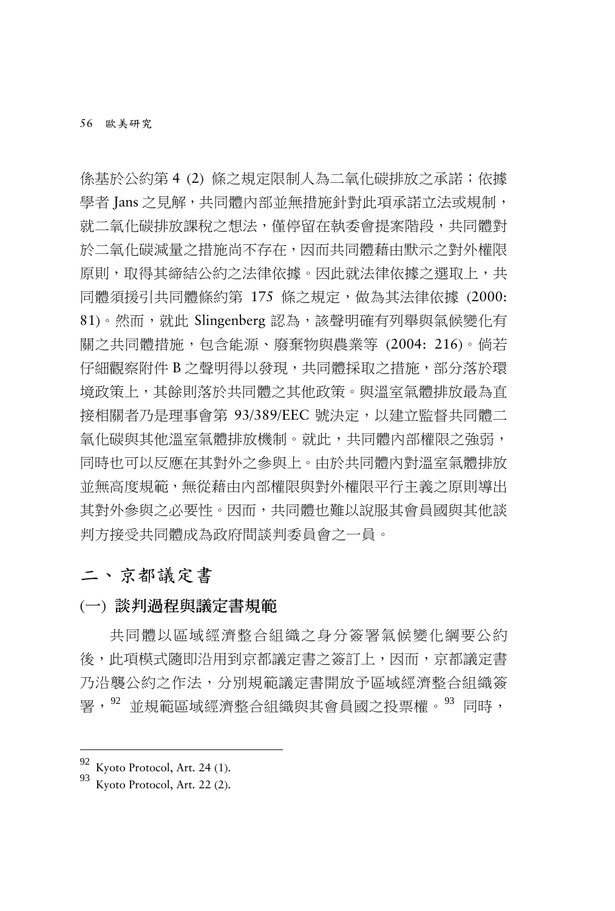係基於公約第 4 (2) 條之規定限制人為二氧化碳排放之承諾;依據 學者 Jans 之見解,共同體內部並無措施針對此項承諾立法或規制, 就二氧化碳排放課稅之想法,僅停留在執委會提案階段,共同體對 於二氧化碳減量之措施尚不存在,因而共同體藉由默示之對外權限 原則,取得其締結公約之法律依據。因此就法律依據之選取上,共 同體須援引共同體條約第 175 條之規定,做為其法律依據 (2000: 81)。然而,就此 Slingenberg 認為,該聲明確有列舉與氣候變化有 關之共同體措施,包含能源、廢棄物與農業等 (2004: 216)。倘若 仔細觀察附件 B 之聲明得以發現,共同體採取之措施,部分落於環 境政策上,其餘則落於共同體之其他政策。與溫室氣體排放最為直 接相關者乃是理事會第 93/389/EEC 號決定,以建立監督共同體二 氧化碳與其他溫室氣體排放機制。就此,共同體內部權限之強弱, 同時也可以反應在其對外之參與上。由於共同體內對溫室氣體排放 並無高度規範,無從藉由內部權限與對外權限平行主義之原則導出 其對外參與之必要性。因而,共同體也難以說服其會員國與其他談 判方接受共同體成為政府間談判委員會之一員。

### 二、京都議定書

#### (一) 談判過程與議定書規範

共同體以區域經濟整合組織之身分簽署氣候變化綱要公約 後,此項模式隨即沿用到京都議定書之簽訂上,因而,京都議定書 乃沿襲公約之作法,分別規範議定書開放予區域經濟整合組織簽 署,<sup>[92](#page-29-0)</sup> 並規範區域經濟整合組織與其會員國之投票權。<sup>[93](#page-29-1)</sup> 同時,

<span id="page-29-0"></span> $\frac{92}{93}$  Kyoto Protocol, Art. 24 (1).<br>Kyoto Protocol, Art. 22 (2).

<span id="page-29-1"></span>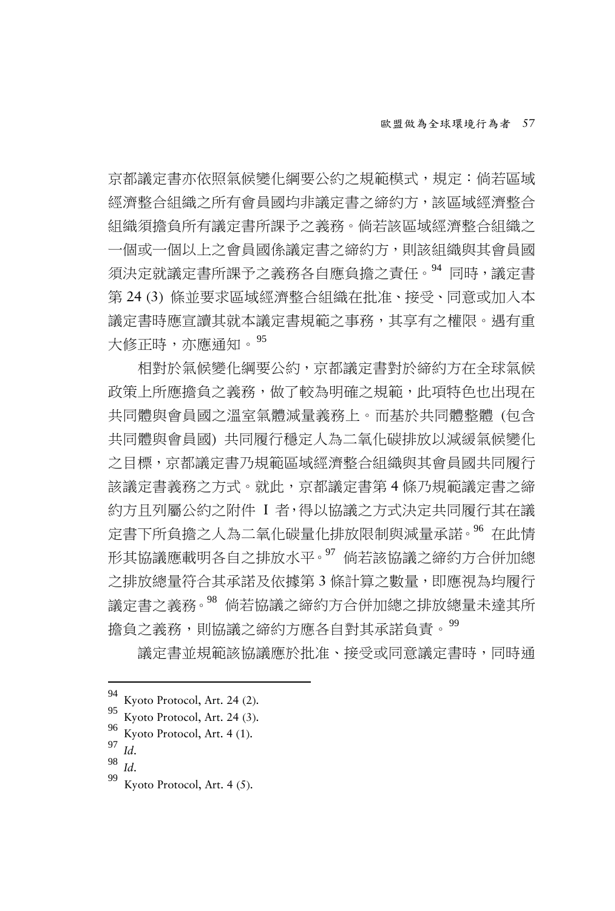京都議定書亦依照氣候變化綱要公約之規範模式,規定:倘若區域 經濟整合組織之所有會員國均非議定書之締約方,該區域經濟整合 組織須擔負所有議定書所課予之義務。倘若該區域經濟整合組織之 一個或一個以上之會員國係議定書之締約方,則該組織與其會員國 須決定就議定書所課予之義務各自應負擔之責任。[94](#page-30-0) 同時,議定書 第 24 (3) 條並要求區域經濟整合組織在批准、接受、同意或加入本 議定書時應宣讀其就本議定書規範之事務,其享有之權限。遇有重 大修正時,亦應通知。[95](#page-30-1)

相對於氣候變化綱要公約,京都議定書對於締約方在全球氣候 政策上所應擔負之義務,做了較為明確之規範,此項特色也出現在 共同體與會員國之溫室氣體減量義務上。而基於共同體整體 (包含 共同體與會員國) 共同履行穩定人為二氧化碳排放以減緩氣候變化 之目標,京都議定書乃規範區域經濟整合組織與其會員國共同履行 該議定書義務之方式。就此,京都議定書第 4 條乃規範議定書之締 約方且列屬公約之附件 I 者,得以協議之方式決定共同履行其在議 定書下所負擔之人為二氧化碳量化排放限制與減量承諾。[96](#page-30-2) 在此情 形其協議應載明各自之排放水平。[97](#page-30-3) 倘若該協議之締約方合併加總 之排放總量符合其承諾及依據第 3 條計算之數量,即應視為均履行 議定書之義務。[98](#page-30-4) 倘若協議之締約方合併加總之排放總量未達其所 擔負之義務,則協議之締約方應各自對其承諾負責。<sup>[99](#page-30-5)</sup>

議定書並規範該協議應於批准、接受或同意議定書時,同時通

<span id="page-30-1"></span><span id="page-30-0"></span><sup>94</sup> Kyoto Protocol, Art. 24 (2).<br>
95 Kyoto Protocol, Art. 24 (3).<br>
96 Kyoto Protocol, Art. 4 (1).<br>
98 *Id.* 99 Kyoto Protocol, Art. 4 (5).

<span id="page-30-2"></span>

<span id="page-30-3"></span>

<span id="page-30-5"></span><span id="page-30-4"></span>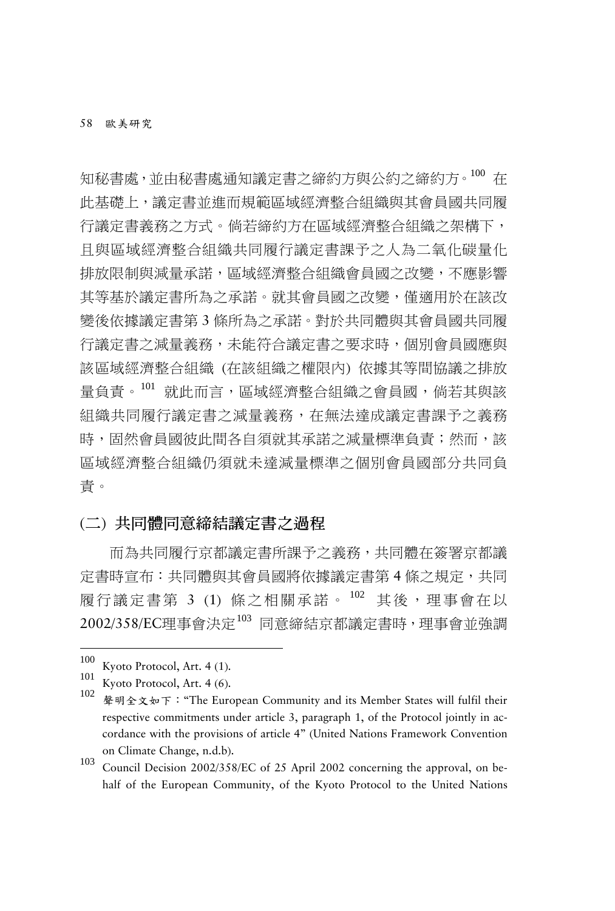知秘書處,並由秘書處通知議定書之締約方與公約之締約方。[100](#page-31-0) 在 此基礎上,議定書並進而規範區域經濟整合組織與其會員國共同履 行議定書義務之方式。倘若締約方在區域經濟整合組織之架構下, 且與區域經濟整合組織共同履行議定書課予之人為二氧化碳量化 排放限制與減量承諾,區域經濟整合組織會員國之改變,不應影響 其等基於議定書所為之承諾。就其會員國之改變,僅適用於在該改 變後依據議定書第 3 條所為之承諾。對於共同體與其會員國共同履 行議定書之減量義務,未能符合議定書之要求時,個別會員國應與 該區域經濟整合組織 (在該組織之權限內) 依據其等間協議之排放 量負責。[101](#page-31-1) 就此而言,區域經濟整合組織之會員國,倘若其與該 組織共同履行議定書之減量義務,在無法達成議定書課予之義務 時,固然會員國彼此間各自須就其承諾之減量標準負責;然而,該 區域經濟整合組織仍須就未達減量標準之個別會員國部分共同負 責。

#### (二) 共同體同意締結議定書之過程

而為共同履行京都議定書所課予之義務,共同體在簽署京都議 定書時宣布:共同體與其會員國將依據議定書第4條之規定,共同 履行議定書第 3 (1) 條之相關承諾。 [102](#page-31-2) 其後,理事會在以 2002/358/EC理事會決定<sup>[103](#page-31-3)</sup> 同意締結京都議定書時,理事會並強調

<sup>100</sup> 

<span id="page-31-2"></span>

<span id="page-31-1"></span><span id="page-31-0"></span><sup>100</sup> Kyoto Protocol, Art. 4 (1).<br>
101 Kyoto Protocol, Art. 4 (6).<br>
102 聲明全文如下:"The European Community and its Member States will fulfil their respective commitments under article 3, paragraph 1, of the Protocol jointly in accordance with the provisions of article 4" (United Nations Framework Convention on Climate Change, n.d.b). <sup>103</sup> Council Decision 2002/358/EC of 25 April 2002 concerning the approval, on be-

<span id="page-31-3"></span>half of the European Community, of the Kyoto Protocol to the United Nations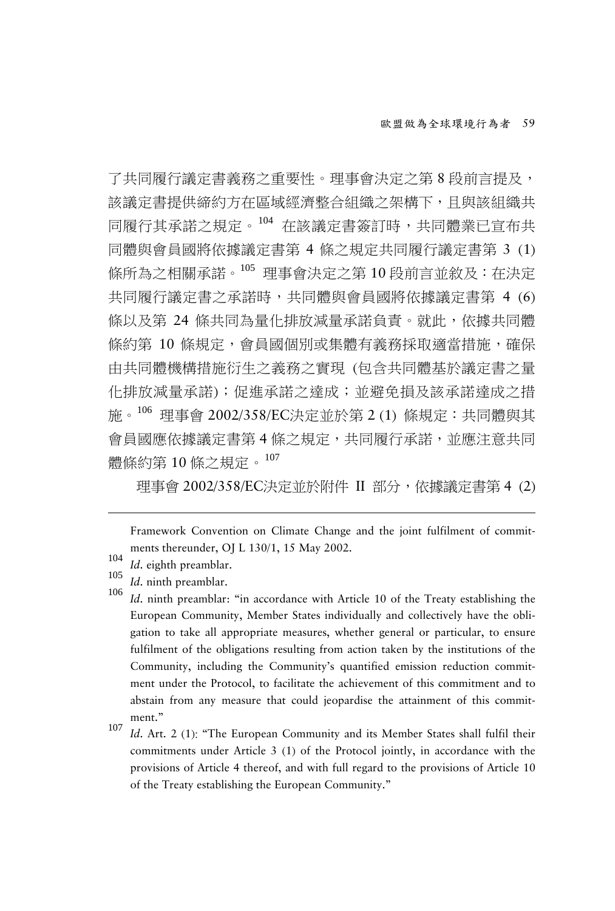了共同履行議定書義務之重要性。理事會決定之第 8 段前言提及, 該議定書提供締約方在區域經濟整合組織之架構下,且與該組織共 同履行其承諾之規定。[104](#page-32-0) 在該議定書簽訂時,共同體業已宣布共 同體與會員國將依據議定書第 4 條之規定共同履行議定書第 3 (1) 條所為之相關承諾。[105](#page-32-1) 理事會決定之第 10 段前言並敘及:在決定 共同履行議定書之承諾時,共同體與會員國將依據議定書第 4 (6) 條以及第 24 條共同為量化排放減量承諾負責。就此,依據共同體 條約第 10 條規定,會員國個別或集體有義務採取適當措施,確保 由共同體機構措施衍生之義務之實現 (包含共同體基於議定書之量 化排放減量承諾);促進承諾之達成;並避免損及該承諾達成之措 施。[106](#page-32-2) 理事會 2002/358/EC決定並於第 2 (1) 條規定:共同體與其 會員國應依據議定書第 4 條之規定,共同履行承諾,並應注意共同 體條約第 10 條之規定。[107](#page-32-3)

理事會 2002/358/EC決定並於附件 II 部分,依據議定書第 4 (2)

Framework Convention on Climate Change and the joint fulfilment of commitments thereunder, OJ L 130/1, 15 May 2002.<br>
104 *Id.* eighth preamblar.<br>
<sup>105</sup> *Id.* ninth preamblar: "in accordance with Article 10 of the Treaty establishing the<br> *Id.* ninth preamblar: "in accordance with Article 10 of

- <span id="page-32-0"></span>
- <span id="page-32-2"></span><span id="page-32-1"></span>

- European Community, Member States individually and collectively have the obligation to take all appropriate measures, whether general or particular, to ensure fulfilment of the obligations resulting from action taken by the institutions of the Community, including the Community's quantified emission reduction commitment under the Protocol, to facilitate the achievement of this commitment and to abstain from any measure that could jeopardise the attainment of this commitment."
- <span id="page-32-3"></span><sup>107</sup> *Id*. Art. 2 (1): "The European Community and its Member States shall fulfil their commitments under Article 3 (1) of the Protocol jointly, in accordance with the provisions of Article 4 thereof, and with full regard to the provisions of Article 10 of the Treaty establishing the European Community."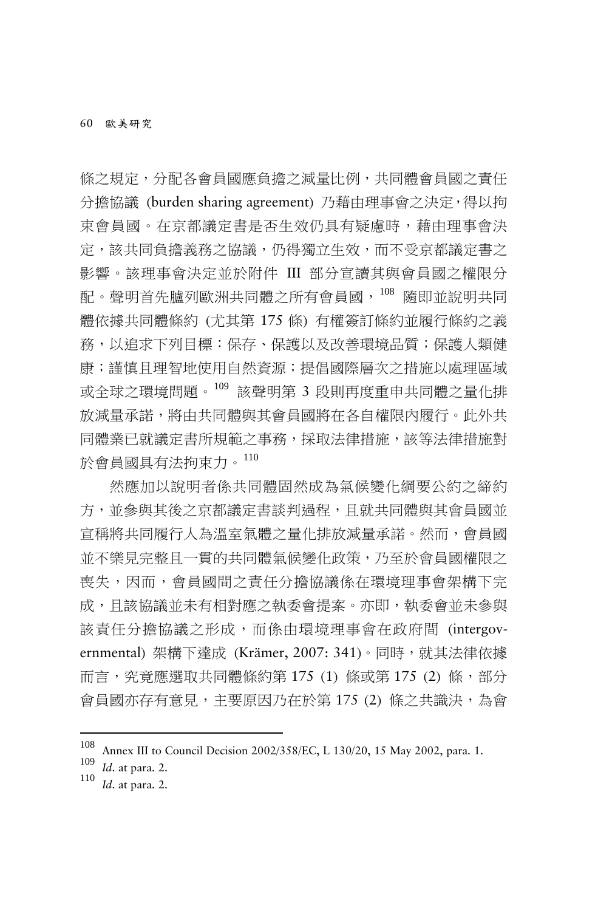條之規定,分配各會員國應負擔之減量比例,共同體會員國之責任 分擔協議 (burden sharing agreement) 乃藉由理事會之決定,得以拘 束會員國。在京都議定書是否生效仍具有疑慮時,藉由理事會決 定,該共同負擔義務之協議,仍得獨立生效,而不受京都議定書之 影響。該理事會決定並於附件 III 部分宣讀其與會員國之權限分 配。聲明首先臚列歐洲共同體之所有會員國,[108](#page-33-0) 隨即並說明共同 體依據共同體條約 (尤其第 175 條) 有權簽訂條約並履行條約之義 務,以追求下列目標:保存、保護以及改善環境品質;保護人類健 康;謹慎日理智地使用自然資源;提倡國際層次之措施以處理區域 或全球之環境問題。[109](#page-33-1) 該聲明第 3 段則再度重申共同體之量化排 放減量承諾,將由共同體與其會員國將在各自權限內履行。此外共 同體業已就議定書所規範之事務,採取法律措施,該等法律措施對 於會員國具有法拘束力。[110](#page-33-2)

然應加以說明者係共同體固然成為氣候變化綱要公約之締約 方,並參與其後之京都議定書談判過程,日就共同體與其會員國並 宣稱將共同履行人為溫室氣體之量化排放減量承諾。然而,會員國 並不樂見完整且一貫的共同體氣候變化政策,乃至於會員國權限之 喪失,因而,會員國間之責任分擔協議係在環境理事會架構下完 成,且該協議並未有相對應之執委會提案。亦即,執委會並未參與 該責任分擔協議之形成,而係由環境理事會在政府間 (intergovernmental) 架構下達成 (Krämer, 2007: 341)。同時,就其法律依據 而言,究竟應選取共同體條約第 175 (1) 條或第 175 (2) 條,部分 會員國亦存有意見,主要原因乃在於第 175 (2) 條之共識決,為會

<span id="page-33-0"></span><sup>108</sup> Annex III to Council Decision 2002/358/EC, L 130/20, 15 May 2002, para. 1. <sup>109</sup> *Id*. at para. 2. <sup>110</sup> *Id*. at para. 2.

<span id="page-33-1"></span>

<span id="page-33-2"></span>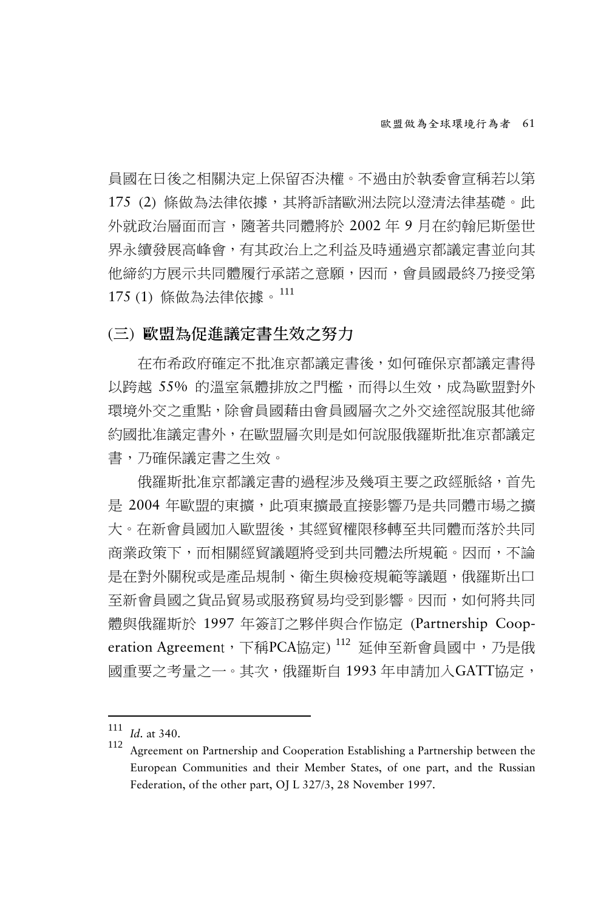員國在日後之相關決定上保留否決權。不過由於執委會宣稱若以第 175 (2) 條做為法律依據,其將訴諸歐洲法院以澄清法律基礎。此 外就政治層面而言,隨著共同體將於 2002 年 9 月在約翰尼斯堡世 界永續發展高峰會,有其政治上之利益及時通過京都議定書並向其 他締約方展示共同體履行承諾之意願,因而,會員國最終乃接受第 175 (1) 條做為法律依據。[111](#page-34-0)

#### (三) 歐盟為促進議定書生效之努力

在布希政府確定不批准京都議定書後,如何確保京都議定書得 以跨越 55% 的溫室氣體排放之門檻,而得以生效,成為歐盟對外 環境外交之重點,除會員國藉由會員國層次之外交途徑說服其他締 約國批准議定書外,在歐盟層次則是如何說服俄羅斯批准京都議定 書,乃確保議定書之生效。

俄羅斯批准京都議定書的過程涉及幾項主要之政經脈絡,首先 是 2004 年歐盟的東擴,此項東擴最直接影響乃是共同體市場之擴 大。在新會員國加入歐盟後,其經貿權限移轉至共同體而落於共同 商業政策下,而相關經貿議題將受到共同體法所規範。因而,不論 是在對外關稅或是產品規制、衛生與檢疫規範等議題,俄羅斯出口 至新會員國之貨品貿易或服務貿易均受到影響。因而,如何將共同 體與俄羅斯於 1997 年簽訂之夥伴與合作協定 (Partnership Coop-eration Agreement, 下稱PCA協定) [112](#page-34-1) 延伸至新會員國中, 乃是俄 國重要之考量之一。其次,俄羅斯自 1993 年申請加入GATT協定,

<span id="page-34-0"></span> $111$  *Id.* at 340.

<span id="page-34-1"></span><sup>&</sup>lt;sup>112</sup> Agreement on Partnership and Cooperation Establishing a Partnership between the European Communities and their Member States, of one part, and the Russian Federation, of the other part, OJ L 327/3, 28 November 1997.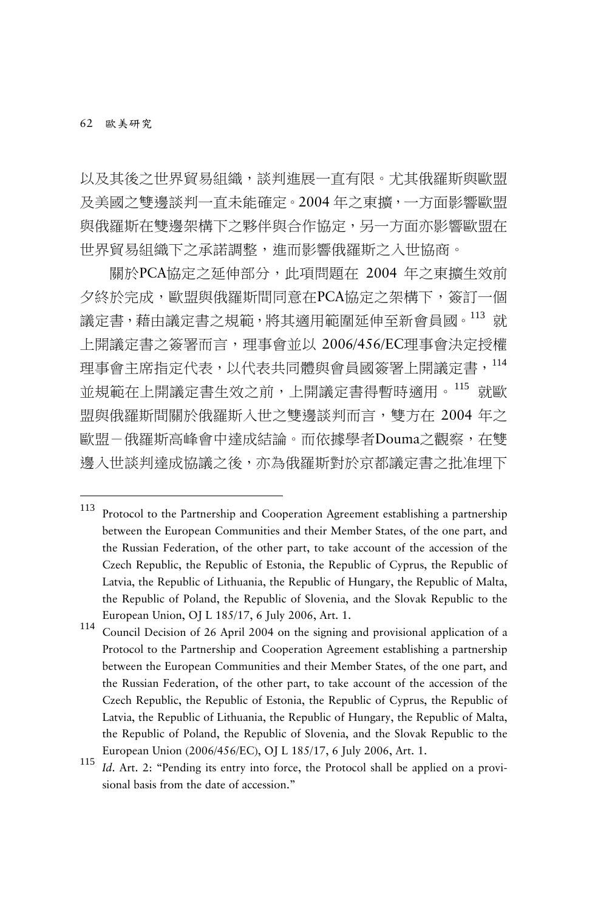以及其後之世界貿易組織,談判進展一直有限。尤其俄羅斯與歐盟 及美國之雙邊談判一直未能確定。2004 年之東擴,一方面影響歐盟 與俄羅斯在雙邊架構下之夥伴與合作協定,另一方面亦影響歐盟在 世界貿易組織下之承諾調整,進而影響俄羅斯之入世協商。

關於PCA協定之延伸部分,此項問題在 2004 年之東擴生效前 夕終於完成,歐盟與俄羅斯間同意在PCA協定之架構下,簽訂一個 議定書,藉由議定書之規範,將其適用範圍延伸至新會員國。 <sup>[113](#page-35-0)</sup> 就 上開議定書之簽署而言,理事會並以 2006/456/EC理事會決定授權 理事會主席指定代表,以代表共同體與會員國簽署上開議定書, 並規範在上開議定書生效之前,上開議定書得暫時適用。[115](#page-35-2) 就歐 盟與俄羅斯間關於俄羅斯入世之雙邊談判而言,雙方在 2004 年之 歐盟-俄羅斯高峰會中達成結論。而依據學者Douma之觀察,在雙 邊入世談判達成協議之後,亦為俄羅斯對於京都議定書之批准埋下

<span id="page-35-0"></span><sup>113</sup> Protocol to the Partnership and Cooperation Agreement establishing a partnership between the European Communities and their Member States, of the one part, and the Russian Federation, of the other part, to take account of the accession of the Czech Republic, the Republic of Estonia, the Republic of Cyprus, the Republic of Latvia, the Republic of Lithuania, the Republic of Hungary, the Republic of Malta, the Republic of Poland, the Republic of Slovenia, and the Slovak Republic to the European Union, OJ L 185/17, 6 July 2006, Art. 1.<br><sup>114</sup> Council Decision of 26 April 2004 on the signing and provisional application of a

<span id="page-35-1"></span>Protocol to the Partnership and Cooperation Agreement establishing a partnership between the European Communities and their Member States, of the one part, and the Russian Federation, of the other part, to take account of the accession of the Czech Republic, the Republic of Estonia, the Republic of Cyprus, the Republic of Latvia, the Republic of Lithuania, the Republic of Hungary, the Republic of Malta, the Republic of Poland, the Republic of Slovenia, and the Slovak Republic to the

<span id="page-35-2"></span>European Union (2006/456/EC), OJ L 185/17, 6 July 2006, Art. 1.<br><sup>115</sup> *Id.* Art. 2: "Pending its entry into force, the Protocol shall be applied on a provisional basis from the date of accession."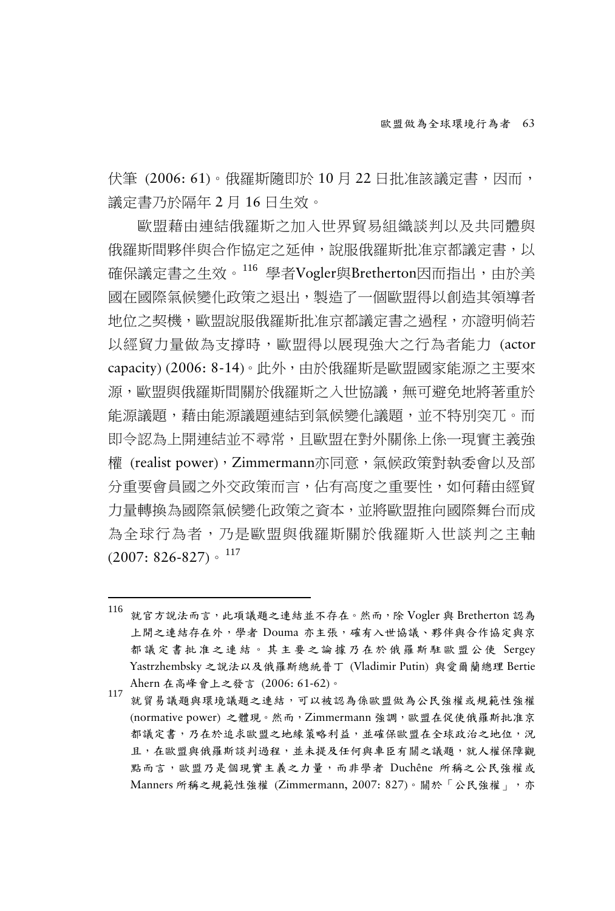伏筆 (2006: 61)。俄羅斯隨即於 10 月 22 日批准該議定書,因而, 議定書乃於隔年 2 月 16 日生效。

歐盟藉由連結俄羅斯之加入世界貿易組織談判以及共同體與 俄羅斯間夥伴與合作協定之延伸,說服俄羅斯批准京都議定書,以 確保議定書之生效。[116](#page-36-0) 學者Vogler與Bretherton因而指出,由於美 國在國際氣候變化政策之退出,製造了一個歐盟得以創造其領導者 地位之契機,歐盟說服俄羅斯批准京都議定書之過程,亦證明倘若 以經貿力量做為支撐時,歐盟得以展現強大之行為者能力 (actor capacity) (2006: 8-14)。此外,由於俄羅斯是歐盟國家能源之主要來 源,歐盟與俄羅斯間關於俄羅斯之入世協議,無可避免地將著重於 能源議題,藉由能源議題連結到氣候變化議題,並不特別突兀。而 即令認為上開連結並不尋常,且歐盟在對外關係上係一現實主義強 權 (realist power),Zimmermann亦同意,氣候政策對執委會以及部 分重要會員國之外交政策而言,佔有高度之重要性,如何藉由經貿 力量轉換為國際氣候變化政策之資本,並將歐盟推向國際舞台而成 為全球行為者,乃是歐盟與俄羅斯關於俄羅斯入世談判之主軸  $(2007: 826 - 827)$   $\cdot$   $^{117}$  $^{117}$  $^{117}$ 

<span id="page-36-0"></span><sup>116</sup> <sup>116</sup> 就官方說法而言,此項議題之連結並不存在。然而,除 Vogler <sup>與</sup> Bretherton 認為 上開之連結存在外,學者 Douma 亦主張,確有入世協議、夥伴與合作協定與京 都議定書批准之連結。其主要之論據乃在於俄羅斯駐歐盟公使 Sergey Yastrzhembsky 之說法以及俄羅斯總統普丁 (Vladimir Putin) 與愛爾蘭總理 Bertie Ahern 在高峰會上之發言 (2006: 61-62)。<br><sup>117</sup> 就貿易議題與環境議題之連結,可以被認為係歐盟做為公民強權或規範性強權

<span id="page-36-1"></span><sup>(</sup>normative power) 之體現。然而,Zimmermann 強調,歐盟在促使俄羅斯批准京 都議定書,乃在於追求歐盟之地緣策略利益,並確保歐盟在全球政治之地位,況 且,在歐盟與俄羅斯談判過程,並未提及任何與車臣有關之議題,就人權保障觀 點而言,歐盟乃是個現實主義之力量,而非學者 Duchêne 所稱之公民強權或 Manners 所稱之規範性強權 (Zimmermann, 2007: 827)。關於「公民強權」,亦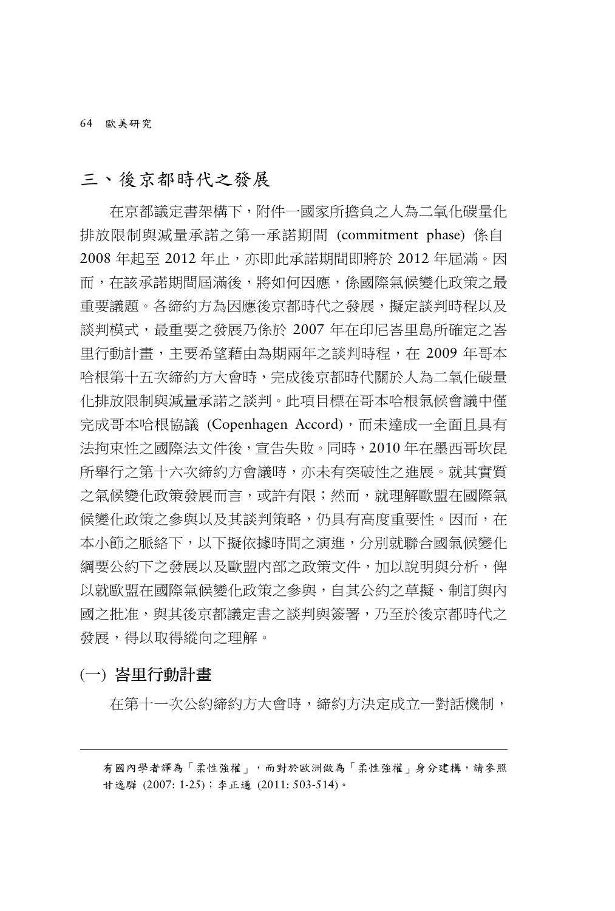64 歐美研究

### 三、後京都時代之發展

在京都議定書架構下,附件一國家所擔負之人為二氧化碳量化 排放限制與減量承諾之第一承諾期間 (commitment phase) 係自 2008 年起至 2012 年止,亦即此承諾期間即將於 2012 年屆滿。因 而,在該承諾期間屆滿後,將如何因應,係國際氣候變化政策之最 重要議題。各締約方為因應後京都時代之發展,擬定談判時程以及 談判模式,最重要之發展乃係於 2007 年在印尼峇里島所確定之峇 里行動計畫,主要希望藉由為期兩年之談判時程,在 2009 年哥本 哈根第十五次締約方大會時,完成後京都時代關於人為二氧化碳量 化排放限制與減量承諾之談判。此項目標在哥本哈根氣候會議中僅 完成哥本哈根協議 (Copenhagen Accord),而未達成一全面且具有 法拘束性之國際法文件後,宣告失敗。同時,2010 年在墨西哥坎昆 所舉行之第十六次締約方會議時,亦未有突破性之進展。就其實質 之氣候變化政策發展而言,或許有限;然而,就理解歐盟在國際氣 候變化政策之參與以及其談判策略,仍具有高度重要性。因而,在 本小節之脈絡下,以下擬依據時間之演進,分別就聯合國氣候變化 **綱要公約下之發展以及歐盟內部之政策文件,加以說明與分析,俾** 以就歐盟在國際氣候變化政策之參與,自其公約之草擬、制訂與內 國之批准,與其後京都議定書之談判與簽署,乃至於後京都時代之 發展,得以取得縱向之理解。

#### (一) 峇里行動計畫

-

在第十一次公約締約方大會時,締約方決定成立一對話機制,

有國內學者譯為「柔性強權」,而對於歐洲做為「柔性強權」身分建構,請參照 甘逸驊 (2007: 1-25);李正通 (2011: 503-514)。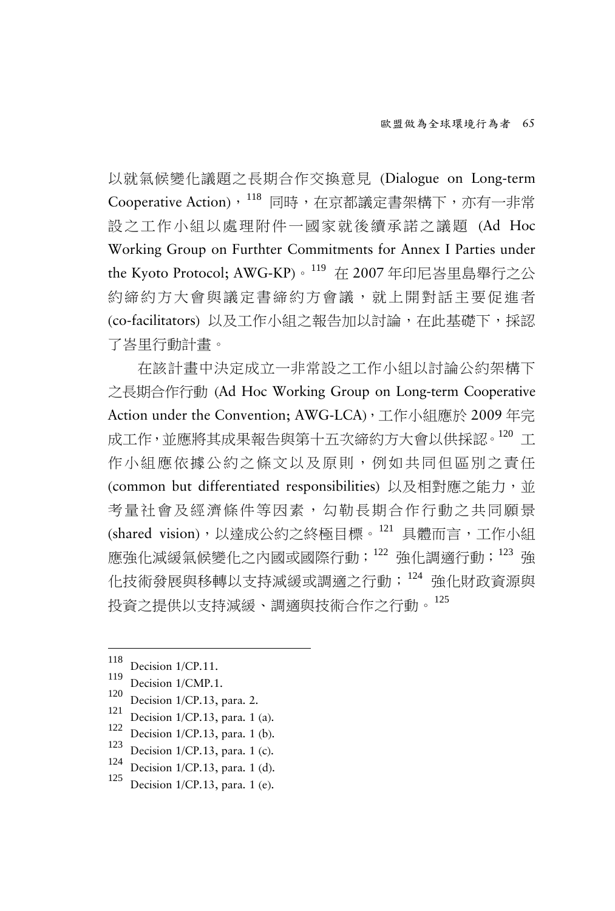以就氣候變化議題之長期合作交換意見 (Dialogue on Long-term Cooperative Action), [118](#page-38-0) 同時, 在京都議定書架構下, 亦有一非常 設之工作小組以處理附件一國家就後續承諾之議題 (Ad Hoc Working Group on Furthter Commitments for Annex I Parties under the Kyoto Protocol; AWG-KP)。[119](#page-38-1) 在 2007 年印尼峇里島舉行之公 約締約方大會與議定書締約方會議,就上開對話主要促進者 (co-facilitators) 以及工作小組之報告加以討論,在此基礎下,採認 了峇里行動計畫。

在該計畫中決定成立一非常設之工作小組以討論公約架構下 之長期合作行動 (Ad Hoc Working Group on Long-term Cooperative Action under the Convention; AWG-LCA),工作小組應於 2009年完 成工作,並應將其成果報告與第十五次締約方大會以供採認。[120](#page-38-2) T 作小組應依據公約之條文以及原則,例如共同但區別之責任 (common but differentiated responsibilities) 以及相對應之能力,並 考量社會及經濟條件等因素,勾勒長期合作行動之共同願景 (shared vision),以達成公約之終極目標。<sup>[121](#page-38-3)</sup> 具體而言,工作小組 應強化減緩氣候變化之內國或國際行動;[122](#page-38-4) 強化調適行動;[123](#page-38-5) 強 化技術發展與移轉以支持減緩或調適之行動;[124](#page-38-6) 強化財政資源與 投資之提供以支持減緩、調適與技術合作之行動。[125](#page-38-7)

<span id="page-38-1"></span><span id="page-38-0"></span><sup>118</sup> 

<span id="page-38-2"></span>

<span id="page-38-3"></span>

<span id="page-38-5"></span><span id="page-38-4"></span>

<sup>&</sup>lt;sup>118</sup> Decision 1/CP.11.<br>
<sup>119</sup> Decision 1/CMP.1.<br>
<sup>120</sup> Decision 1/CP.13, para. 2.<br>
<sup>121</sup> Decision 1/CP.13, para. 1 (a).<br>
<sup>122</sup> Decision 1/CP.13, para. 1 (b).<br>
<sup>123</sup> Decision 1/CP.13, para. 1 (c).<br>
<sup>124</sup> Decision 1/CP.13,

<span id="page-38-6"></span>

<span id="page-38-7"></span>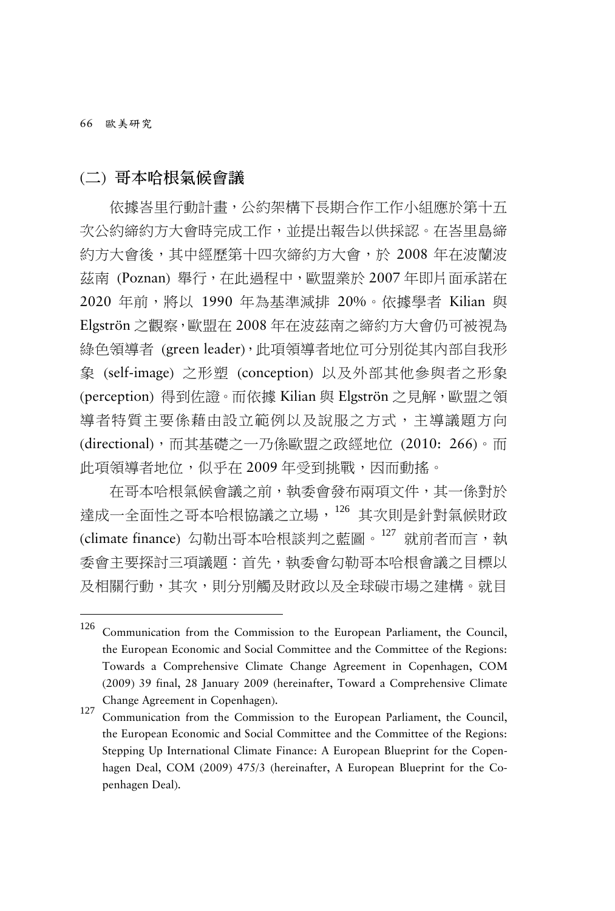66 歐美研究

(二) 哥本哈根氣候會議

依據峇里行動計畫,公約架構下長期合作工作小組應於第十五 次公約締約方大會時完成工作,並提出報告以供採認。在峇里島締 約方大會後,其中經歷第十四次締約方大會,於 2008 年在波蘭波 茲南 (Poznan) 舉行, 在此過程中, 歐盟業於 2007 年即片面承諾在 2020 年前,將以 1990 年為基準減排 20%。依據學者 Kilian 與 Elgströn 之觀察,歐盟在 2008 年在波茲南之締約方大會仍可被視為 綠色領導者 (green leader),此項領導者地位可分別從其內部自我形 象 (self-image) 之形塑 (conception) 以及外部其他參與者之形象 (perception) 得到佐證。而依據 Kilian 與 Elgströn 之見解,歐盟之領 導者特質主要係藉由設立範例以及說服之方式,主導議題方向 (directional),而其基礎之一乃係歐盟之政經地位 (2010: 266)。而 此項領導者地位,似乎在 2009年受到挑戰,因而動搖。

在哥本哈根氣候會議之前,執委會發布兩項文件,其一係對於 達成一全面性之哥本哈根協議之立場,[126](#page-39-0) 其次則是針對氣候財政 (climate finance) 勾勒出哥本哈根談判之藍圖。[127](#page-39-1) 就前者而言,執 委會主要探討三項議題:首先,執委會勾勒哥本哈根會議之目標以 及相關行動,其次,則分別觸及財政以及全球碳市場之建構。就目

<span id="page-39-0"></span><sup>126</sup> Communication from the Commission to the European Parliament, the Council, the European Economic and Social Committee and the Committee of the Regions: Towards a Comprehensive Climate Change Agreement in Copenhagen, COM (2009) 39 final, 28 January 2009 (hereinafter, Toward a Comprehensive Climate Change Agreement in Copenhagen). <sup>127</sup> Communication from the Commission to the European Parliament, the Council,

<span id="page-39-1"></span>the European Economic and Social Committee and the Committee of the Regions: Stepping Up International Climate Finance: A European Blueprint for the Copenhagen Deal, COM (2009) 475/3 (hereinafter, A European Blueprint for the Copenhagen Deal).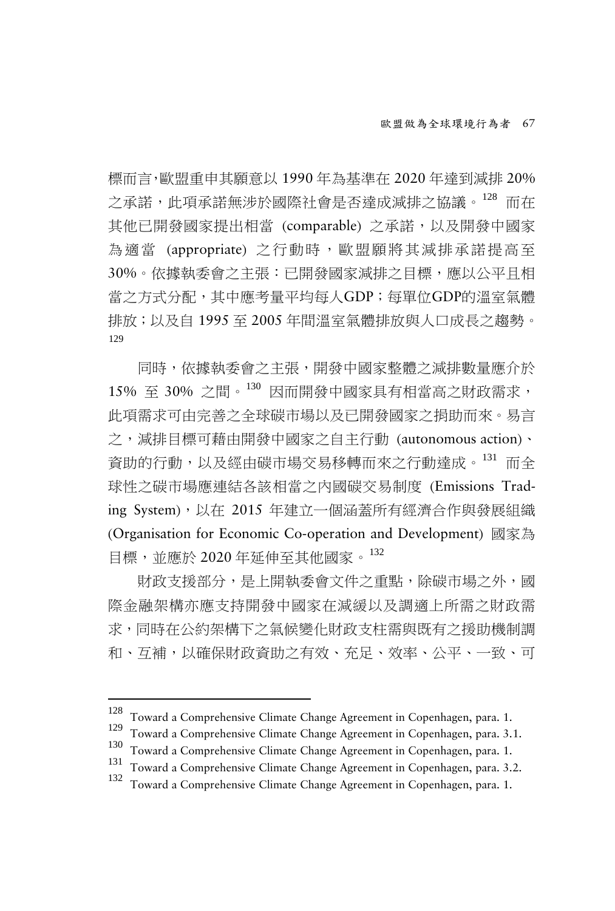標而言,歐盟重申其願意以 1990 年為基準在 2020 年達到減排 20% 之承諾,此項承諾無涉於國際社會是否達成減排之協議。<sup>[128](#page-40-0)</sup> 而在 其他已開發國家提出相當 (comparable) 之承諾,以及開發中國家 為適當 (appropriate) 之行動時,歐盟願將其減排承諾提高至 30%。依據執委會之主張:已開發國家減排之目標,應以公平且相 當之方式分配,其中應考量平均每人GDP;每單位GDP的溫室氣體 排放;以及自 1995 至 2005 年間溫室氣體排放與人口成長之趨勢。 [129](#page-40-1)

同時,依據執委會之主張,開發中國家整體之減排數量應介於 15% 至 30% 之間。[130](#page-40-2) 因而開發中國家具有相當高之財政需求, 此項需求可由完善之全球碳市場以及已開發國家之捐助而來。易言 之,減排目標可藉由開發中國家之自主行動 (autonomous action)、 資助的行動,以及經由碳市場交易移轉而來之行動達成。[131](#page-40-3) 而全 球性之碳市場應連結各該相當之內國碳交易制度 (Emissions Trading System),以在 2015 年建立一個涵蓋所有經濟合作與發展組織 (Organisation for Economic Co-operation and Development) 國家為 目標,並應於 2020 年延伸至其他國家。[132](#page-40-4)

財政支援部分,是上開執委會文件之重點,除碳市場之外,國 際金融架構亦應支持開發中國家在減緩以及調適上所需之財政需 求,同時在公約架構下之氣候變化財政支柱需與既有之援助機制調 和、互補,以確保財政資助之有效、充足、效率、公平、一致、可

<sup>128</sup> 

<span id="page-40-1"></span><span id="page-40-0"></span><sup>&</sup>lt;sup>128</sup> Toward a Comprehensive Climate Change Agreement in Copenhagen, para. 1.<br><sup>129</sup> Toward a Comprehensive Climate Change Agreement in Copenhagen, para. 3.1.<br><sup>130</sup> Toward a Comprehensive Climate Change Agreement in Copenh

<span id="page-40-3"></span><span id="page-40-2"></span>

<span id="page-40-4"></span>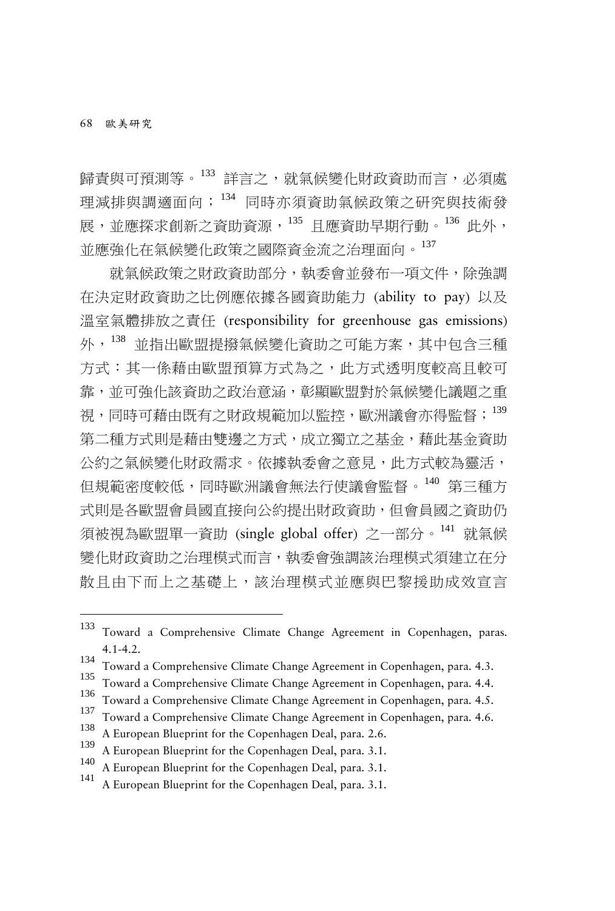歸青與可預測等。<sup>[133](#page-41-0)</sup> 詳言之,就氣候變化財政資助而言,必須處 理減排與調適面向;[134](#page-41-1) 同時亦須資助氣候政策之研究與技術發 展,並應探求創新之資助資源,[135](#page-41-2) 且應資助早期行動。[136](#page-41-3) 此外, 並應強化在氣候變化政策之國際資金流之治理面向。[137](#page-41-4)

就氣候政策之財政資助部分,執委會並發布一項文件,除強調 在決定財政資助之比例應依據各國資助能力 (ability to pay) 以及 溫室氣體排放之責任 (responsibility for greenhouse gas emissions) 外,[138](#page-41-5) 並指出歐盟提撥氣候變化資助之可能方案,其中包含三種 方式:其一係藉由歐盟預算方式為之,此方式透明度較高且較可 靠,並可強化該資助之政治意涵,彰顯歐盟對於氣候變化議題之重 視,同時可藉由既有之財政規範加以監控,歐洲議會亦得監督; [139](#page-41-6) 第二種方式則是藉由雙邊之方式,成立獨立之基金,藉此基金資助 公約之氣候變化財政需求。依據執委會之意見,此方式較為靈活, 但規範密度較低,同時歐洲議會無法行使議會監督。[140](#page-41-7) 第三種方 式則是各歐盟會員國直接向公約提出財政資助,但會員國之資助仍 須被視為歐盟單一資助 (single global offer) 之一部分。[141](#page-41-8) 就氣候 變化財政資助之治理模式而言,執委會強調該治理模式須建立在分 散且由下而上之基礎上,該治理模式並應與巴黎援助成效宣言

<span id="page-41-0"></span><sup>133</sup> Toward a Comprehensive Climate Change Agreement in Copenhagen, paras. 4.1-4.2.<br>
Toward a Comprehensive Climate Change Agreement in Copenhagen, para. 4.3.<br>
<sup>135</sup> Toward a Comprehensive Climate Change Agreement in Copenhagen, para. 4.4.<br>
<sup>137</sup> Toward a Comprehensive Climate Change Agreement i

<span id="page-41-1"></span>

<span id="page-41-2"></span>

<span id="page-41-3"></span>

<span id="page-41-4"></span>

<span id="page-41-5"></span>

<span id="page-41-6"></span>

<span id="page-41-7"></span>

<span id="page-41-8"></span>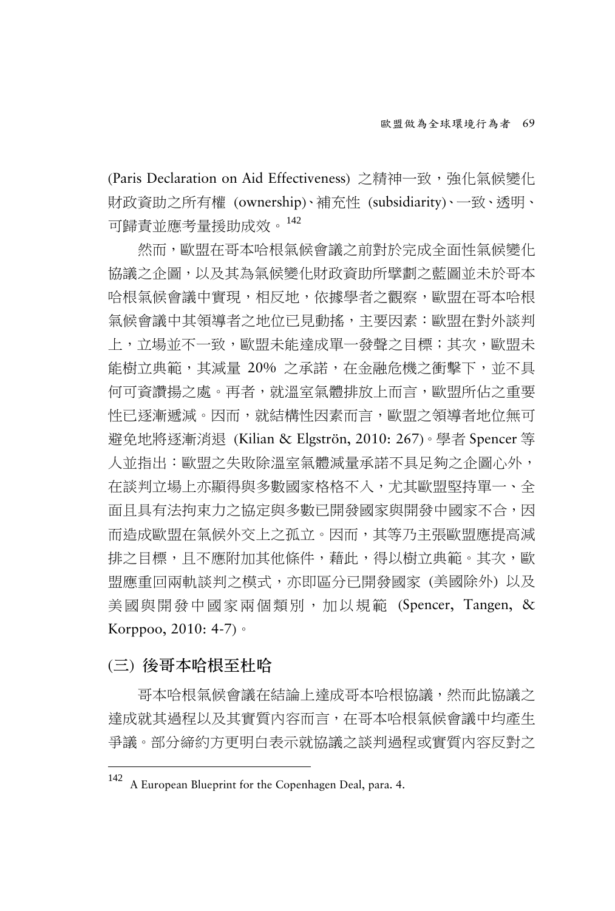(Paris Declaration on Aid Effectiveness) 之精神一致,強化氣候變化 財政資助之所有權 (ownership)、補充性 (subsidiarity)、一致、透明、 可歸責並應考量援助成效。[142](#page-42-0)

然而,歐盟在哥本哈根氣候會議之前對於完成全面性氣候變化 協議之企圖,以及其為氣候變化財政資助所擘劃之藍圖並未於哥本 哈根氣候會議中實現,相反地,依據學者之觀察,歐盟在哥本哈根 氣候會議中其領導者之地位已見動搖,主要因素:歐盟在對外談判 上,立場並不一致,歐盟未能達成單一發聲之目標;其次,歐盟未 能樹立典範,其減量 20% 之承諾,在金融危機之衝擊下,並不具 何可資讚揚之處。再者,就溫室氣體排放上而言,歐盟所佔之重要 性已逐漸遞減。因而,就結構性因素而言,歐盟之領導者地位無可 避免地將逐漸消退 (Kilian & Elgströn, 2010: 267)。學者 Spencer 等 人並指出:歐盟之失敗除溫室氣體減量承諾不具足夠之企圖心外, 在談判立場上亦顯得與多數國家格格不入,尤其歐盟堅持單一、全 面日具有法拘束力之協定與多數已開發國家與開發中國家不合,因 而造成歐盟在氣候外交上之孤立。因而,其等乃主張歐盟應提高減 排之目標,且不應附加其他條件,藉此,得以樹立典範。其次,歐 盟應重回兩軌談判之模式,亦即區分已開發國家(美國除外)以及 美國與開發中國家兩個類別,加以規範 (Spencer, Tangen, & Korppoo, 2010: 4-7)。

#### (三) 後哥本哈根至杜哈

-

哥本哈根氣候會議在結論上達成哥本哈根協議,然而此協議之 達成就其過程以及其實質內容而言,在哥本哈根氣候會議中均產生 爭議。部分締約方更明白表示就協議之談判過程或實質內容反對之

<span id="page-42-0"></span><sup>142</sup> <sup>A</sup> European Blueprint for the Copenhagen Deal, para. 4.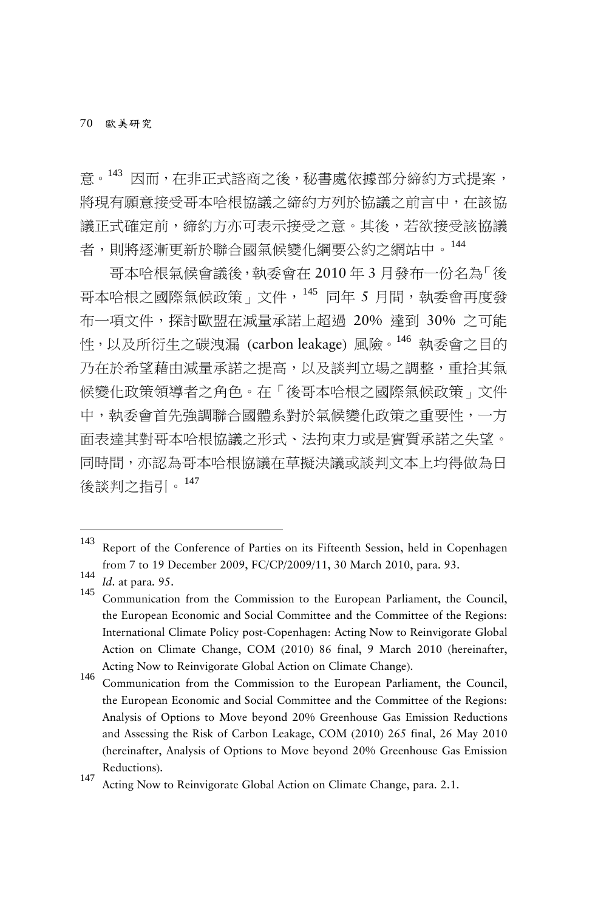70 歐美研究

意。[143](#page-43-0) 因而,在非正式諮商之後,秘書處依據部分締約方式提案, 將現有願意接受哥本哈根協議之締約方列於協議之前言中,在該協 議正式確定前,締約方亦可表示接受之意。其後,若欲接受該協議 者,則將逐漸更新於聯合國氣候變化綱要公約之網站中。[144](#page-43-1)

哥本哈根氣候會議後,執委會在 2010 年 3 月發布一份名為「後 哥本哈根之國際氣候政策, 文件, [145](#page-43-2) 同年 5 月間, 執委會再度發 布一項文件,探討歐盟在減量承諾上超過 20% 達到 30% 之可能 性,以及所衍生之碳洩漏 (carbon leakage) 風險。[146](#page-43-3) 執委會之目的 乃在於希望藉由減量承諾之提高,以及談判立場之調整,重拾其氣 候變化政策領導者之角色。在「後哥本哈根之國際氣候政策」文件 中,執委會首先強調聯合國體系對於氣候變化政策之重要性,一方 面表達其對哥本哈根協議之形式、法拘束力或是實質承諾之失望。 同時間,亦認為哥本哈根協議在草擬決議或談判文本上均得做為日 後談判之指引。[147](#page-43-4)

<span id="page-43-3"></span>the European Economic and Social Committee and the Committee of the Regions: Analysis of Options to Move beyond 20% Greenhouse Gas Emission Reductions and Assessing the Risk of Carbon Leakage, COM (2010) 265 final, 26 May 2010 (hereinafter, Analysis of Options to Move beyond 20% Greenhouse Gas Emission Reductions).<br><sup>147</sup> Acting Now to Reinvigorate Global Action on Climate Change, para. 2.1.

<span id="page-43-0"></span><sup>143</sup> Report of the Conference of Parties on its Fifteenth Session, held in Copenhagen from <sup>7</sup> to <sup>19</sup> December 2009, FC/CP/2009/11, 30 March 2010, para. 93. <sup>144</sup> *Id*. at para. 95. <sup>145</sup> Communication from the Commission to the European Parliament, the Council,

<span id="page-43-1"></span>

<span id="page-43-2"></span>the European Economic and Social Committee and the Committee of the Regions: International Climate Policy post-Copenhagen: Acting Now to Reinvigorate Global Action on Climate Change, COM (2010) 86 final, 9 March 2010 (hereinafter, Acting Now to Reinvigorate Global Action on Climate Change). <sup>146</sup> Communication from the Commission to the European Parliament, the Council,

<span id="page-43-4"></span>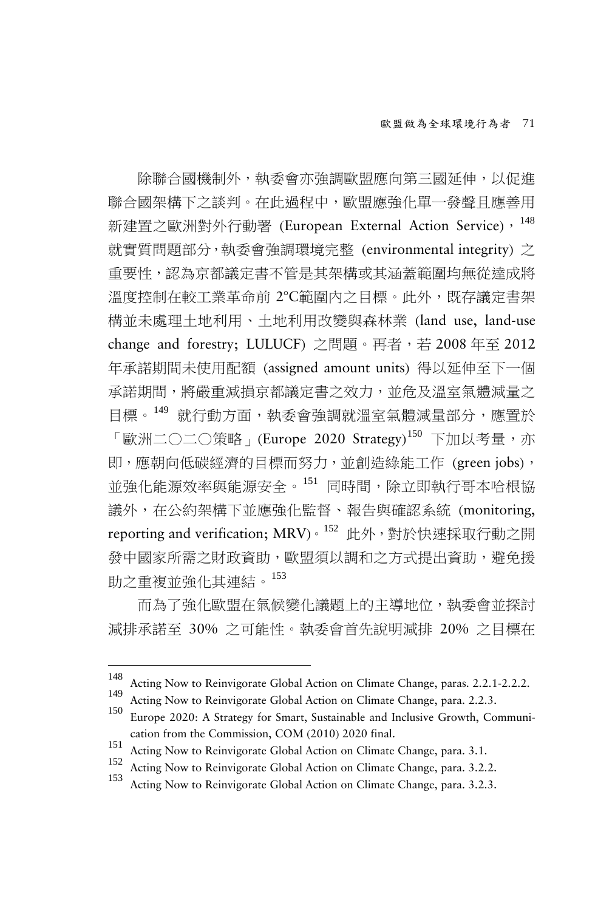除聯合國機制外,執委會亦強調歐盟應向第三國延伸,以促進 聯合國架構下之談判。在此過程中,歐盟應強化單一發聲且應善用 新建置之歐洲對外行動署 (European External Action Service), [148](#page-44-0) 就實質問題部分,執委會強調環境完整 (environmental integrity) 之 重要性,認為京都議定書不管是其架構或其涵蓋範圍均無從達成將 溫度控制在較工業革命前 2°C範圍內之目標。此外,既存議定書架 構並未處理土地利用、土地利用改變與森林業 (land use, land-use change and forestry; LULUCF) 之問題。再者,若 2008年至 2012 年承諾期間未使用配額 (assigned amount units) 得以延伸至下一個 承諾期間,將嚴重減損京都議定書之效力,並危及溫室氣體減量之 目標。<sup>[149](#page-44-1)</sup> 就行動方面,執委會強調就溫室氣體減量部分,應置於 「歐洲二〇二〇策略」(Europe 2020 Strategy)<sup>[150](#page-44-2)</sup> 下加以考量,亦 即,應朝向低碳經濟的目標而努力,並創造綠能工作 (green jobs), 並強化能源效率與能源安全。[151](#page-44-3) 同時間,除立即執行哥本哈根協 議外,在公約架構下並應強化監督、報告與確認系統 (monitoring, reporting and verification; MRV)。[152](#page-44-4) 此外, 對於快速採取行動之開 發中國家所需之財政資助,歐盟須以調和之方式提出資助,避免援 助之重複並強化其連結。[153](#page-44-5)

而為了強化歐盟在氣候變化議題上的主導地位,執委會並探討 減排承諾至 30% 之可能性。執委會首先說明減排 20% 之目標在

<span id="page-44-0"></span><sup>&</sup>lt;sup>148</sup> Acting Now to Reinvigorate Global Action on Climate Change, paras. 2.2.1-2.2.2.<br><sup>149</sup> Acting Now to Reinvigorate Global Action on Climate Change, para. 2.2.3.<br><sup>150</sup> Europe 2020: A Strategy for Smart, Sustainable and

<span id="page-44-1"></span>

<span id="page-44-2"></span>cation from the Commission, COM (2010) 2020 final.<br>
151 Acting Now to Reinvigorate Global Action on Climate Change, para. 3.1.<br>
152 Acting Now to Reinvigorate Global Action on Climate Change, para. 3.2.2.<br>
153 Acting Now t

<span id="page-44-4"></span><span id="page-44-3"></span>

<span id="page-44-5"></span>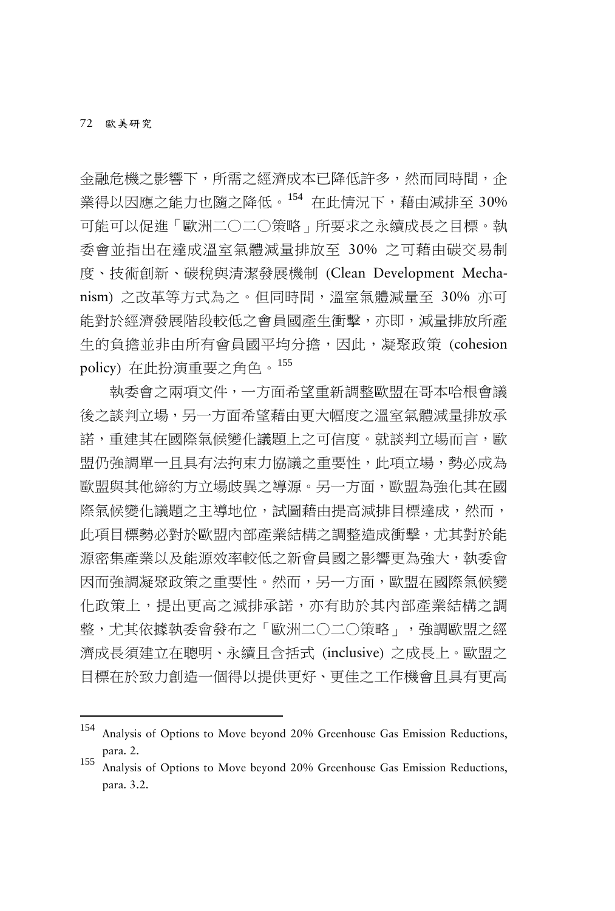-

金融危機之影響下,所需之經濟成本已降低許多,然而同時間,企 業得以因應之能力也隨之降低。[154](#page-45-0) 在此情況下,藉由減排至 30% 可能可以促進「歐洲二○二○策略」所要求之永續成長之目標。執 委會並指出在達成溫室氣體減量排放至 30% 之可藉由碳交易制 度、技術創新、碳稅與清潔發展機制 (Clean Development Mechanism) 之改革等方式為之。但同時間,溫室氣體減量至 30% 亦可 能對於經濟發展階段較低之會員國產生衝擊,亦即,減量排放所產 生的負擔並非由所有會員國平均分擔,因此,凝聚政策 (cohesion policy) 在此扮演重要之角色。[155](#page-45-1)

執委會之兩項文件,一方面希望重新調整歐盟在哥本哈根會議 後之談判立場,另一方面希望藉由更大幅度之溫室氣體減量排放承 諾,重建其在國際氣候變化議題上之可信度。就談判立場而言,歐 盟仍強調單一且具有法拘束力協議之重要性,此項立場,勢必成為 歐盟與其他締約方立場歧異之導源。另一方面,歐盟為強化其在國 際氣候變化議題之主導地位,試圖藉由提高減排目標達成,然而, 此項目標勢必對於歐盟內部產業結構之調整造成衝擊,尤其對於能 源密集產業以及能源效率較低之新會員國之影響更為強大,執委會 因而強調凝聚政策之重要性。然而,另一方面,歐盟在國際氣候變 化政策上,提出更高之減排承諾,亦有助於其內部產業結構之調 整,尤其依據執委會發布之「歐洲二○二○策略」,強調歐盟之經 濟成長須建立在聰明、永續且含括式 (inclusive) 之成長上。歐盟之 目標在於致力創造一個得以提供更好、更佳之工作機會且具有更高

<span id="page-45-0"></span><sup>154</sup> Analysis of Options to Move beyond 20% Greenhouse Gas Emission Reductions, para. 2.<br><sup>155</sup> Analysis of Options to Move beyond 20% Greenhouse Gas Emission Reductions,

<span id="page-45-1"></span>para. 3.2.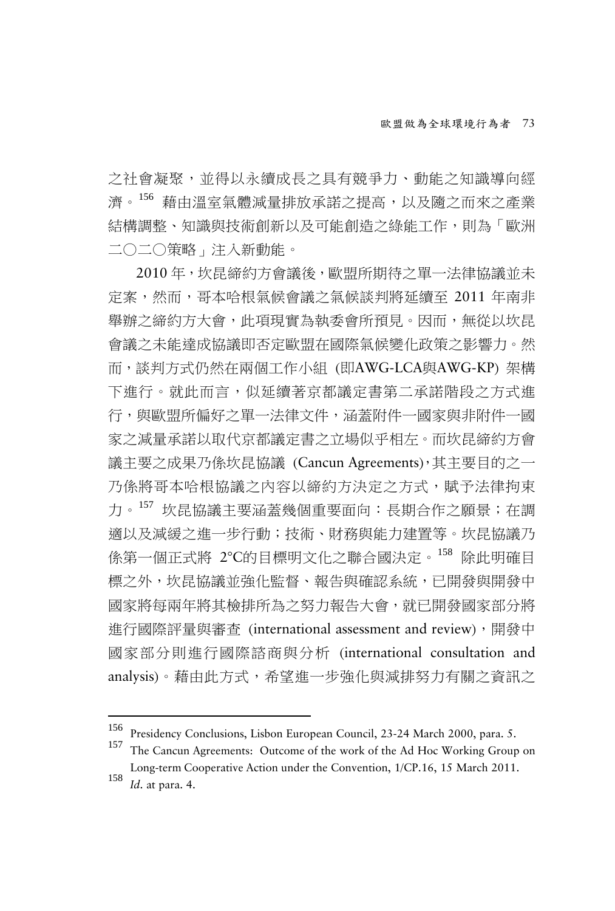之社會凝聚,並得以永續成長之具有競爭力、動能之知識導向經 濟。[156](#page-46-0) 藉由溫室氣體減量排放承諾之提高,以及隨之而來之產業 結構調整、知識與技術創新以及可能創造之綠能工作,則為「歐洲 二○二○策略」注入新動能。

2010 年,坎昆締約方會議後,歐盟所期待之單一法律協議並未 定案,然而,哥本哈根氣候會議之氣候談判將延續至 2011 年南非 舉辦之締約方大會,此項現實為執委會所預見。因而,無從以坎昆 會議之未能達成協議即否定歐盟在國際氣候變化政策之影響力。然 而,談判方式仍然在兩個工作小組 (即AWG-LCA與AWG-KP) 架構 下進行。就此而言,似延續著京都議定書第二承諾階段之方式進 行,與歐盟所偏好之單一法律文件,涵蓋附件一國家與非附件一國 家之減量承諾以取代京都議定書之立場似乎相左。而坎昆締約方會 議主要之成果乃係坎昆協議 (Cancun Agreements),其主要目的之一 乃係將哥本哈根協議之內容以締約方決定之方式,賦予法律拘束 力。<sup>[157](#page-46-1)</sup>坎昆協議主要涵蓋幾個重要面向:長期合作之願景;在調 適以及減緩之進一步行動;技術、財務與能力建置等。坎昆協議乃 係第一個正式將 2°C的目標明文化之聯合國決定。[158](#page-46-2) 除此明確目 標之外,坎昆協議並強化監督、報告與確認系統,已開發與開發中 國家將每兩年將其檢排所為之努力報告大會,就已開發國家部分將 進行國際評量與審查 (international assessment and review),開發中 國家部分則進行國際諮商與分析 (international consultation and analysis)。藉由此方式,希望進一步強化與減排努力有關之資訊之

<span id="page-46-1"></span><span id="page-46-0"></span><sup>156</sup> Presidency Conclusions, Lisbon European Council, 23-24 March 2000, para. 5. <sup>157</sup> The Cancun Agreements: Outcome of the work of the Ad Hoc Working Group on Long-term Cooperative Action under the Convention, 1/CP.16, 15 March 2011. <sup>158</sup> *Id*. at para. 4.

<span id="page-46-2"></span>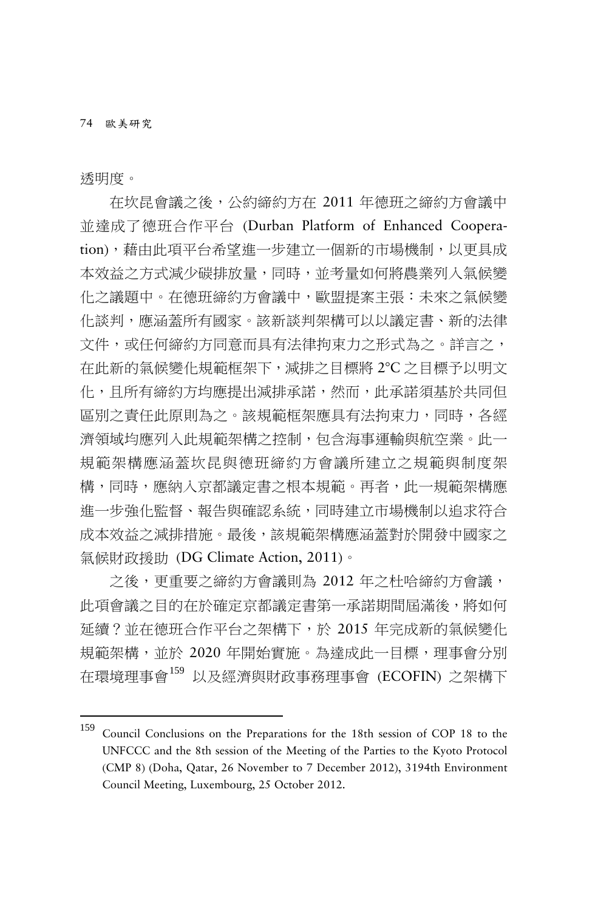透明度。

-

在坎昆會議之後,公約締約方在 2011 年德班之締約方會議中 並達成了德班合作平台 (Durban Platform of Enhanced Cooperation), 藉由此項平台希望進一步建立一個新的市場機制, 以更具成 本效益之方式減少碳排放量,同時,並考量如何將農業列入氣候變 化之議題中。在德班締約方會議中,歐盟提案主張:未來之氣候變 化談判,應涵蓋所有國家。該新談判架構可以以議定書、新的法律 文件,或任何締約方同意而具有法律拘束力之形式為之。詳言之, 在此新的氣候變化規範框架下,減排之目標將 2°C 之目標予以明文 化,且所有締約方均應提出減排承諾,然而,此承諾須基於共同但 區別之責任此原則為之。該規範框架應具有法拘束力,同時,各經 濟領域均應列入此規範架構之控制,包含海事運輸與航空業。此一 規範架構應涵蓋坎昆與德班締約方會議所建立之規範與制度架 構,同時,應納入京都議定書之根本規範。再者,此一規範架構應 進一步強化監督、報告與確認系統,同時建立市場機制以追求符合 成本效益之減排措施。最後,該規範架構應涵蓋對於開發中國家之 氣候財政援助 (DG Climate Action, 2011)。

之後,更重要之締約方會議則為 2012 年之杜哈締約方會議, 此項會議之目的在於確定京都議定書第一承諾期間屆滿後,將如何 延續?並在德班合作平台之架構下,於 2015 年完成新的氣候變化 規範架構,並於 2020 年開始實施。為達成此一目標,理事會分別 在環境理事會[159](#page-47-0) 以及經濟與財政事務理事會 (ECOFIN) 之架構下

<span id="page-47-0"></span><sup>159</sup> Council Conclusions on the Preparations for the 18th session of COP <sup>18</sup> to the UNFCCC and the 8th session of the Meeting of the Parties to the Kyoto Protocol (CMP 8) (Doha, Qatar, 26 November to 7 December 2012), 3194th Environment Council Meeting, Luxembourg, 25 October 2012.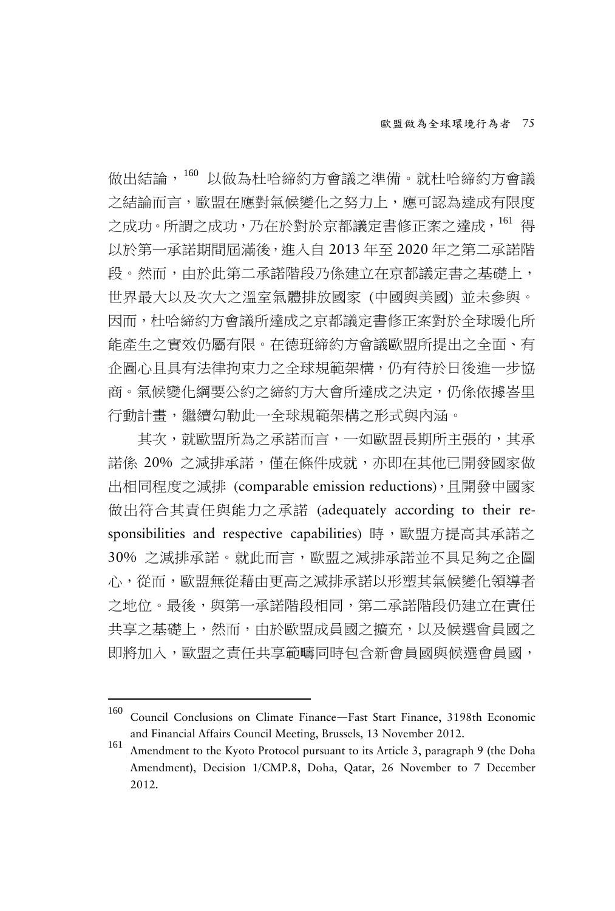做出結論,[160](#page-48-0) 以做為杜哈締約方會議之準備。就杜哈締約方會議 之結論而言,歐盟在應對氣候變化之努力上,應可認為達成有限度 之成功。所謂之成功,乃在於對於京都議定書修正案之達成,[161](#page-48-1) 得 以於第一承諾期間屆滿後,進入自 2013 年至 2020 年之第二承諾階 段。然而,由於此第二承諾階段乃係建立在京都議定書之基礎上, 世界最大以及次大之溫室氣體排放國家 (中國與美國) 並未參與。 因而,杜哈締約方會議所達成之京都議定書修正案對於全球暖化所 能產生之實效仍屬有限。在德班締約方會議歐盟所提出之全面、有 企圖心且具有法律拘束力之全球規範架構,仍有待於日後進一步協 商。氣候變化綱要公約之締約方大會所達成之決定,仍係依據峇里 行動計畫,繼續勾勒此一全球規範架構之形式與內涵。

其次,就歐盟所為之承諾而言,一如歐盟長期所主張的,其承 諾係 20% 之減排承諾,僅在條件成就,亦即在其他已開發國家做 出相同程度之減排 (comparable emission reductions),且開發中國家 做出符合其責任與能力之承諾 (adequately according to their responsibilities and respective capabilities) 時,歐盟方提高其承諾之 30% 之減排承諾。就此而言,歐盟之減排承諾並不具足夠之企圖 心,從而,歐盟無從藉由更高之減排承諾以形塑其氣候變化領導者 之地位。最後,與第一承諾階段相同,第二承諾階段仍建立在責任 共享之基礎上,然而,由於歐盟成員國之擴充,以及候選會員國之 即將加入,歐盟之責任共享範疇同時包含新會員國與候選會員國,

<span id="page-48-0"></span><sup>160</sup> Council Conclusions on Climate Finance—Fast Start Finance, 3198th Economic and Financial Affairs Council Meeting, Brussels, 13 November 2012. <sup>161</sup> Amendment to the Kyoto Protocol pursuant to its Article 3, paragraph 9 (the Doha

<span id="page-48-1"></span>Amendment), Decision 1/CMP.8, Doha, Qatar, 26 November to 7 December 2012.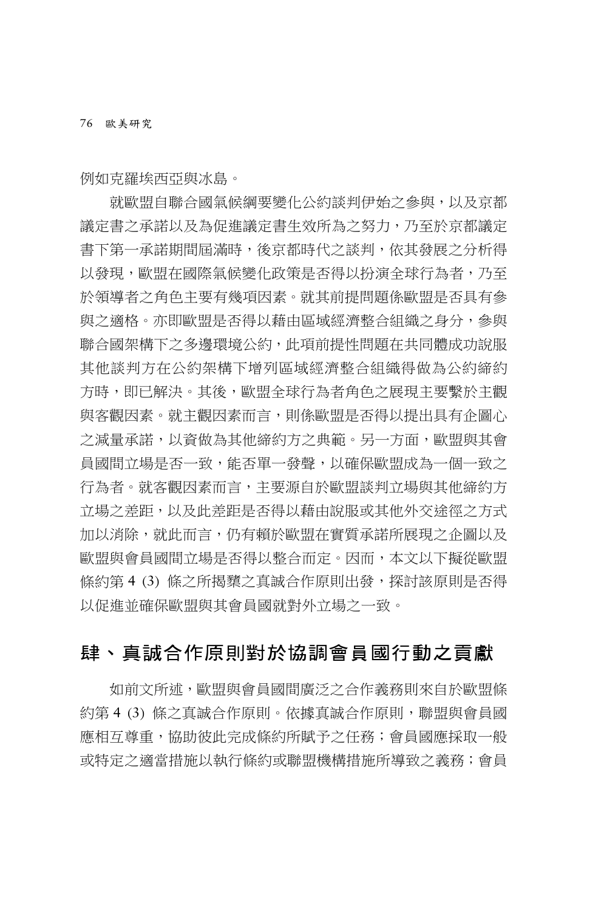例如克羅埃西亞與冰島。

就歐盟自聯合國氣候綱要變化公約談判伊始之參與,以及京都 議定書之承諾以及為促進議定書生效所為之努力,乃至於京都議定 書下第一承諾期間屆滿時,後京都時代之談判,依其發展之分析得 以發現,歐盟在國際氣候變化政策是否得以扮演全球行為者,乃至 於領導者之角色主要有幾項因素。就其前提問題係歐盟是否具有參 與之適格。亦即歐盟是否得以藉由區域經濟整合組織之身分,參與 聯合國架構下之多邊環境公約,此項前提性問題在共同體成功說服 其他談判方在公約架構下增列區域經濟整合組織得做為公約締約 方時,即已解決。其後,歐盟全球行為者角色之展現主要繫於主觀 與客觀因素。就主觀因素而言,則係歐盟是否得以提出具有企圖心 之減量承諾,以資做為其他締約方之典範。另一方面,歐盟與其會 員國間立場是否一致,能否單一發聲,以確保歐盟成為一個一致之 行為者。就客觀因素而言,主要源自於歐盟談判立場與其他締約方 立場之差距,以及此差距是否得以藉由說服或其他外交途徑之方式 加以消除,就此而言,仍有賴於歐盟在實質承諾所展現之企圖以及 歐盟與會員國間立場是否得以整合而定。因而,本文以下擬從歐盟 條約第 4 (3) 條之所揭櫫之真誠合作原則出發,探討該原則是否得 以促進並確保歐盟與其會員國就對外立場之一致。

# 肆、真誠合作原則對於協調會員國行動之貢獻

如前文所述,歐盟與會員國間廣泛之合作義務則來自於歐盟條 約第 4 (3) 條之真誠合作原則。依據真誠合作原則,聯盟與會員國 應相互尊重,協助彼此宗成條約所賦予之任務;會員國應採取一般 或特定之適當措施以執行條約或聯盟機構措施所導致之義務;會員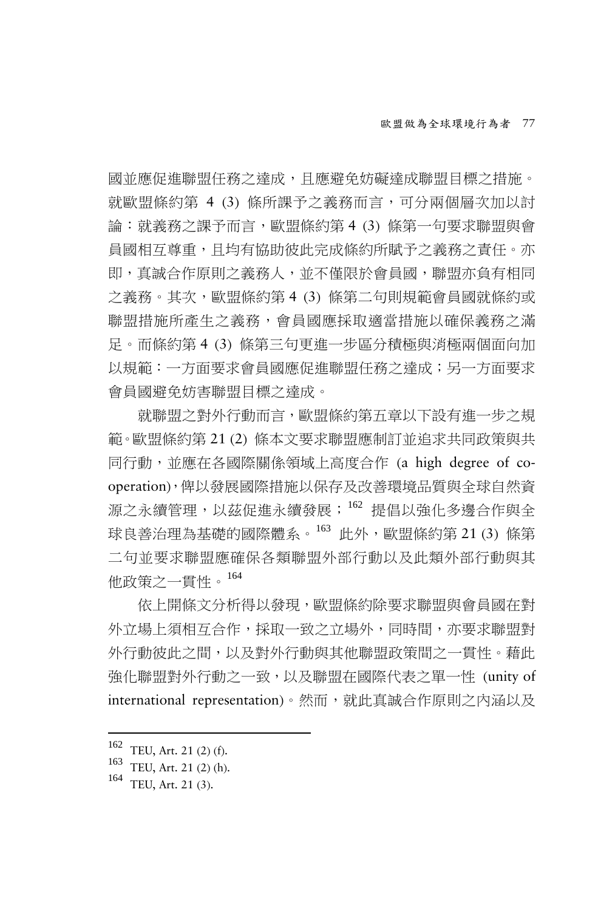國並應促進聯盟任務之達成,且應避免妨礙達成聯盟目標之措施。 就歐盟條約第 4 (3) 條所課予之義務而言,可分兩個層次加以討 論:就義務之課予而言,歐盟條約第 4 (3) 條第一句要求聯盟與會 員國相互尊重,且均有協助彼此完成條約所賦予之義務之責任。亦 即,真誠合作原則之義務人,並不僅限於會員國,聯盟亦負有相同 之義務。其次,歐盟條約第 4 (3) 條第二句則規範會員國就條約或 聯盟措施所產生之義務,會員國應採取適當措施以確保義務之滿 足。而條約第 4 (3) 條第三句更進一步區分積極與消極兩個面向加 以規範:一方面要求會員國應促進聯盟任務之達成;另一方面要求 會員國避免妨害聯盟目標之達成。

就聯盟之對外行動而言,歐盟條約第五章以下設有進一步之規 範。歐盟條約第 21 (2) 條本文要求聯盟應制訂並追求共同政策與共 同行動,並應在各國際關係領域上高度合作 (a high degree of cooperation),俾以發展國際措施以保存及改善環境品質與全球自然資 源之永續管理,以茲促進永續發展; [162](#page-50-0) 提倡以強化多邊合作與全 球良善治理為基礎的國際體系。[163](#page-50-1) 此外,歐盟條約第 21 (3) 條第 二句並要求聯盟應確保各類聯盟外部行動以及此類外部行動與其 他政策之一貫性。[164](#page-50-2)

依上開條文分析得以發現,歐盟條約除要求聯盟與會員國在對 外立場上須相互合作,採取一致之立場外,同時間,亦要求聯盟對 外行動彼此之間,以及對外行動與其他聯盟政策間之一貫性。藉此 強化聯盟對外行動之一致,以及聯盟在國際代表之單一性 (unity of international representation)。然而,就此真誠合作原則之内涵以及

<span id="page-50-1"></span><span id="page-50-0"></span><sup>162</sup> TEU, Art. 21 (2) (f).<br>
163 TEU, Art. 21 (2) (h).<br>
164 TEU, Art. 21 (3).

<span id="page-50-2"></span>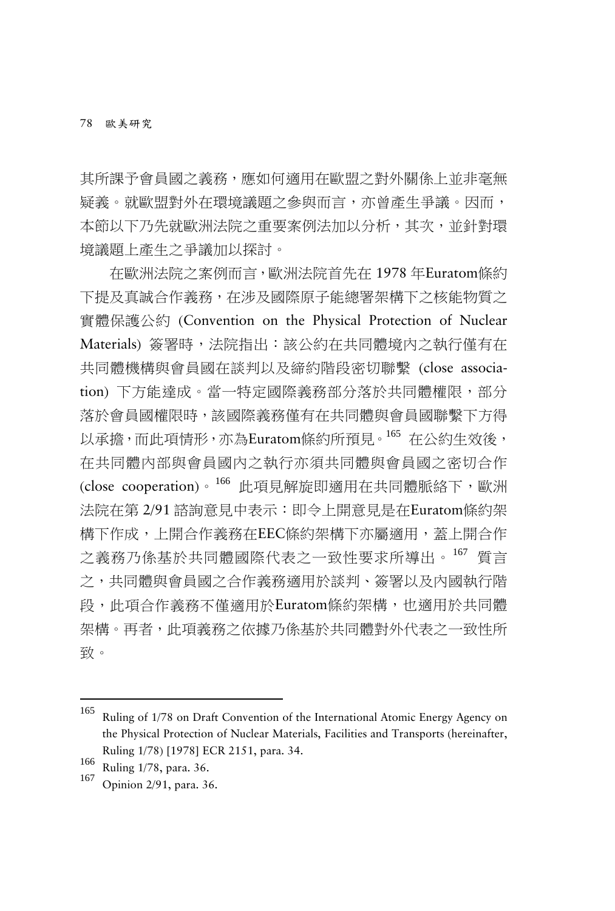其所課予會員國之義務,應如何適用在歐盟之對外關係上並非毫無 疑義。就歐盟對外在環境議題之參與而言,亦曾產生爭議。因而, 本節以下乃先就歐洲法院之重要案例法加以分析,其次,並針對環 境議題上產生之爭議加以探討。

在歐洲法院之案例而言,歐洲法院首先在 1978 年Euratom條約 下提及真誠合作義務,在涉及國際原子能總署架構下之核能物質之 實體保護公約 (Convention on the Physical Protection of Nuclear Materials) 簽署時,法院指出:該公約在共同體境內之執行僅有在 共同體機構與會員國在談判以及締約階段密切聯繫 (close association) 下方能達成。當一特定國際義務部分落於共同體權限,部分 落於會員國權限時,該國際義務僅有在共同體與會員國聯繫下方得 以承擔,而此項情形,亦為Euratom條約所預見。[165](#page-51-0) 在公約生效後, 在共同體內部與會員國內之執行亦須共同體與會員國之密切合作 (close cooperation)。[166](#page-51-1) 此項見解旋即適用在共同體脈絡下,歐洲 法院在第 2/91 諮詢意見中表示:即令上開意見是在Euratom條約架 構下作成,上開合作義務在EEC條約架構下亦屬適用,蓋上開合作 之義務乃係基於共同體國際代表之一致性要求所導出。[167](#page-51-2) 質言 之,共同體與會員國之合作義務適用於談判、簽署以及內國執行階 段,此項合作義務不僅適用於Euratom條約架構,也適用於共同體 架構。再者,此項義務之依據乃係基於共同體對外代表之一致性所 致。

<span id="page-51-0"></span><sup>165</sup> Ruling of 1/78 on Draft Convention of the International Atomic Energy Agency on the Physical Protection of Nuclear Materials, Facilities and Transports (hereinafter, Ruling 1/78) [1978] ECR 2151, para. 34. <sup>166</sup> Ruling 1/78, para. 36. <sup>167</sup> Opinion 2/91, para. 36.

<span id="page-51-1"></span>

<span id="page-51-2"></span>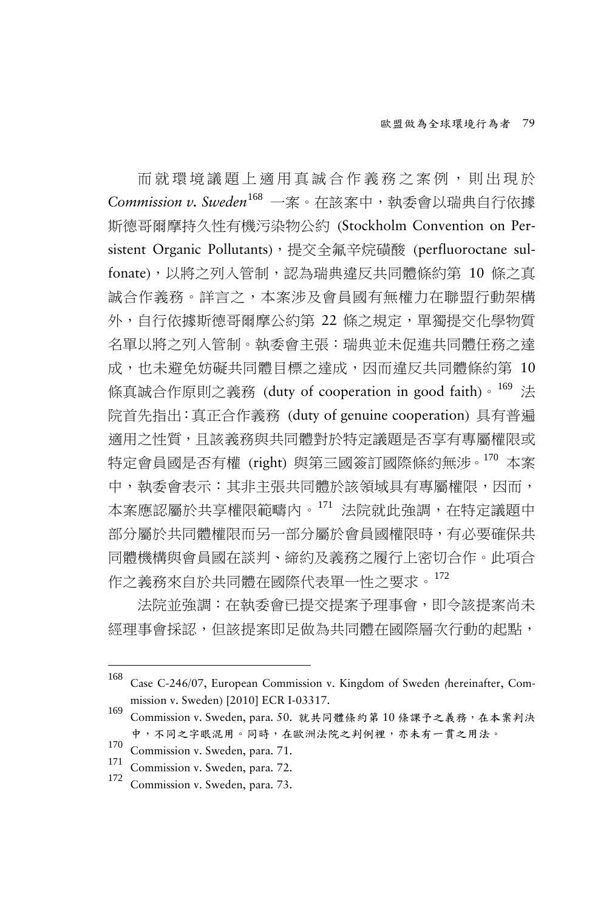而就環境議題上適用真誠合作義務之案例,則出現於 *Commission v. Sweden*[168](#page-52-0) 一案。在該案中,執委會以瑞典自行依據 斯德哥爾摩持久性有機污染物公約 (Stockholm Convention on Persistent Organic Pollutants), 提交全氟辛烷磺酸 (perfluoroctane sulfonate),以將之列入管制,認為瑞典違反共同體條約第 10 條之真 誠合作義務。詳言之,本案涉及會員國有無權力在聯盟行動架構 外,自行依據斯德哥爾摩公約第 22 條之規定,單獨提交化學物質 名單以將之列入管制。執委會主張:瑞典並未促進共同體任務之達 成,也未避免妨礙共同體目標之達成,因而違反共同體條約第 10 條真誠合作原則之義務 (duty of cooperation in good faith)。[169](#page-52-1) 法 院首先指出:真正合作義務 (duty of genuine cooperation) 具有普遍 適用之性質,且該義務與共同體對於特定議題是否享有專屬權限或 特定會員國是否有權 (right) 與第三國簽訂國際條約無涉。[170](#page-52-2) 本案 中,執委會表示:其非主張共同體於該領域具有專屬權限,因而, 本案應認屬於共享權限範疇內。[171](#page-52-3) 法院就此強調,在特定議題中 部分屬於共同體權限而另一部分屬於會員國權限時,有必要確保共 同體機構與會員國在談判、締約及義務之履行上密切合作。此項合 作之義務來自於共同體在國際代表單一性之要求。[172](#page-52-4)

法院並強調:在執委會已提交提案予理事會,即令該提案尚未 經理事會採認,但該提案即足做為共同體在國際層次行動的起點,

<span id="page-52-0"></span><sup>168</sup> Case C-246/07, European Commission v. Kingdom of Sweden (hereinafter, Commission v. Sweden) [2010] ECR I-03317.<br><sup>169</sup> Commission v. Sweden, para. 50. 就共同體條約第 10 條課予之義務,在本案判決

<span id="page-52-1"></span>中,不同之字眼混用。同時,在歐洲法院之判例裡,亦未有一貫之用法。

<span id="page-52-2"></span> $\frac{170}{171}$  Commission v. Sweden, para. 71.<br>  $\frac{171}{172}$  Commission v. Sweden, para. 72.<br>
Commission v. Sweden, para. 73.

<span id="page-52-3"></span>

<span id="page-52-4"></span>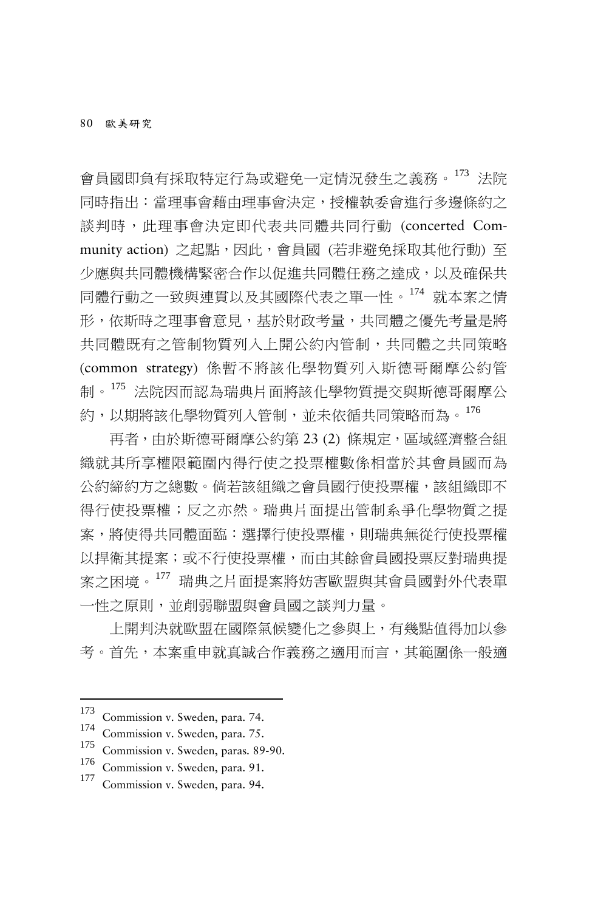會員國即負有採取特定行為或避免一定情況發生之義務。[173](#page-53-0) 法院 同時指出:當理事會藉由理事會決定,授權執委會進行多邊條約之 談判時,此理事會決定即代表共同體共同行動 (concerted Community action) 之起點,因此,會員國 (若非避免採取其他行動) 至 少應與共同體機構緊密合作以促進共同體任務之達成,以及確保共 同體行動之一致與連貫以及其國際代表之單一性。[174](#page-53-1) 就本案之情 形,依斯時之理事會意見,基於財政考量,共同體之優先考量是將 共同體既有之管制物質列入上開公約內管制,共同體之共同策略 (common strategy) 係暫不將該化學物質列入斯德哥爾摩公約管 制。[175](#page-53-2) 法院因而認為瑞典片面將該化學物質提交與斯德哥爾摩公 約,以期將該化學物質列入管制,並未依循共同策略而為。[176](#page-53-3)

再者,由於斯德哥爾摩公約第 23 (2) 條規定,區域經濟整合組 織就其所享權限範圍內得行使之投票權數係相當於其會員國而為 公約締約方之總數。倘若該組織之會員國行使投票權,該組織即不 得行使投票權;反之亦然。瑞典片面提出管制系爭化學物質之提 案,將使得共同體面臨:選擇行使投票權,則瑞典無從行使投票權 以捍衛其提案;或不行使投票權,而由其餘會員國投票反對瑞典提 案之困境。[177](#page-53-4) 瑞典之片面提案將妨害歐盟與其會員國對外代表單 一性之原則,並削弱聯盟與會員國之談判力量。

上開判決就歐盟在國際氣候變化之參與上,有幾點值得加以參 考。首先,本案重申就真誠合作義務之適用而言,其範圍係一般適

<span id="page-53-2"></span><span id="page-53-1"></span>

<span id="page-53-0"></span><sup>173</sup> Commission v. Sweden, para. 74.<br>174 Commission v. Sweden, para. 75.<br>175 Commission v. Sweden, para. 89-90.<br>176 Commission v. Sweden, para. 91.<br>177 Commission v. Sweden, para. 94.

<span id="page-53-3"></span>

<span id="page-53-4"></span>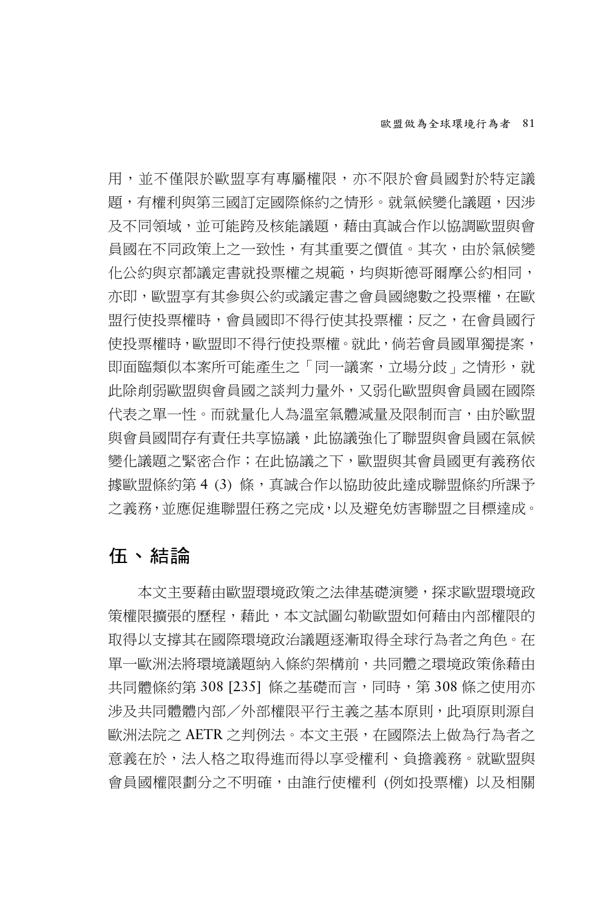用,並不僅限於歐盟享有專屬權限,亦不限於會員國對於特定議 題,有權利與第三國訂定國際條約之情形。就氣候變化議題,因涉 及不同領域,並可能跨及核能議題,藉由真誠合作以協調歐盟與會 員國在不同政策上之一致性,有其重要之價值。其次,由於氣候變 化公約與京都議定書就投票權之規範,均與斯德哥爾摩公約相同, 亦即,歐盟享有其參與公約或議定書之會員國總數之投票權,在歐 盟行使投票權時,會員國即不得行使其投票權;反之,在會員國行 使投票權時,歐盟即不得行使投票權。就此,倘若會員國單獨提案, 即面臨類似本案所可能產生之「同一議案,立場分歧」之情形,就 此除削弱歐盟與會員國之談判力量外,又弱化歐盟與會員國在國際 代表之單一性。而就量化人為溫室氣體減量及限制而言,由於歐盟 與會員國間存有責任共享協議,此協議強化了聯盟與會員國在氣候 變化議題之緊密合作;在此協議之下,歐盟與其會員國更有義務依 據歐盟條約第 4 (3) 條, 真誠合作以協助彼此達成聯盟條約所課予 之義務,並應促進聯盟任務之完成,以及避免妨害聯盟之目標達成。

# 伍、結論

本文主要藉由歐盟環境政策之法律基礎演變,探求歐盟環境政 策權限擴張的歷程,藉此,本文試圖勾勒歐盟如何藉由內部權限的 取得以支撐其在國際環境政治議題逐漸取得全球行為者之角色。在 單一歐洲法將環境議題納入條約架構前,共同體之環境政策係藉由 共同體條約第 308 [235] 條之基礎而言,同時,第 308 條之使用亦 涉及共同體體內部/外部權限平行主義之基本原則,此項原則源自 歐洲法院之 AETR 之判例法。本文主張,在國際法上做為行為者之 意義在於,法人格之取得進而得以享受權利、負擔義務。就歐盟與 會員國權限劃分之不明確,由誰行使權利 (例如投票權) 以及相關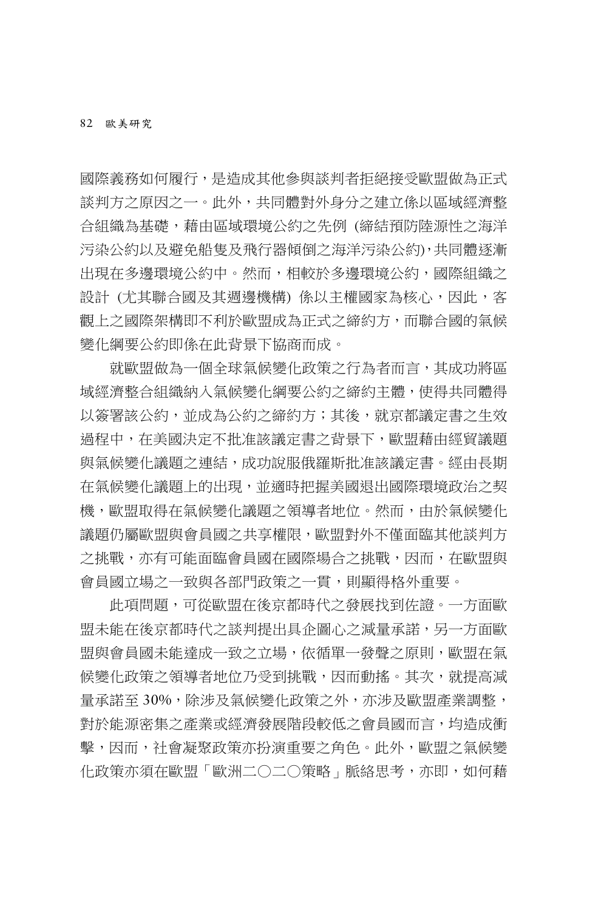國際義務如何履行,是造成其他參與談判者拒絕接受歐盟做為正式 談判方之原因之一。此外,共同體對外身分之建立係以區域經濟整 合組織為基礎,藉由區域環境公約之先例 (締結預防陸源性之海洋 污染公約以及避免船隻及飛行器傾倒之海洋污染公約),共同體逐漸 出現在多邊環境公約中。然而,相較於多邊環境公約,國際組織之 設計 (尤其聯合國及其週邊機構) 係以主權國家為核心,因此,客 觀上之國際架構即不利於歐盟成為正式之締約方,而聯合國的氣候 變化綱要公約即係在此背景下協商而成。

就歐盟做為一個全球氣候變化政策之行為者而言,其成功將區 域經濟整合組織納入氣候變化綱要公約之締約主體,使得共同體得 以簽署該公約,並成為公約之締約方;其後,就京都議定書之生效 過程中,在美國決定不批准該議定書之背景下,歐盟藉由經貿議題 與氣候變化議題之連結,成功說服俄羅斯批准該議定書。經由長期 在氣候變化議題上的出現,並適時把握美國退出國際環境政治之契 機,歐盟取得在氣候變化議題之領導者地位。然而,由於氣候變化 議題仍屬歐盟與會員國之共享權限,歐盟對外不僅面臨其他談判方 之挑戰,亦有可能面臨會員國在國際場合之挑戰,因而,在歐盟與 會員國立場之一致與各部門政策之一貫,則顯得格外重要。

此項問題,可從歐盟在後京都時代之發展找到佐證。一方面歐 盟未能在後京都時代之談判提出具企圖心之減量承諾,另一方面歐 盟與會員國未能達成一致之立場,依循單一發聲之原則,歐盟在氣 候變化政策之領導者地位乃受到挑戰,因而動搖。其次,就提高減 量承諾至 30%,除涉及氣候變化政策之外,亦涉及歐盟產業調整, 對於能源密集之產業或經濟發展階段較低之會員國而言,均造成衝 擊,因而,社會凝聚政策亦扮演重要之角色。此外,歐盟之氣候變 化政策亦須在歐盟「歐洲二○二○策略」脈絡思考,亦即,如何藉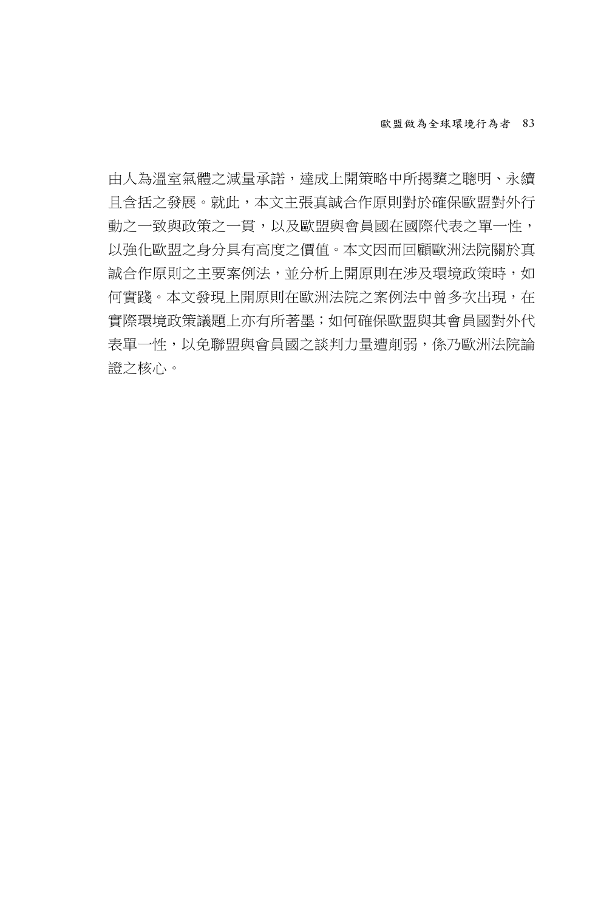由人為溫室氣體之減量承諾,達成上開策略中所揭櫫之聰明、永續 且含括之發展。就此,本文主張真誠合作原則對於確保歐盟對外行 動之一致與政策之一貫,以及歐盟與會員國在國際代表之單一性, 以強化歐盟之身分具有高度之價值。本文因而回顧歐洲法院關於真 誠合作原則之主要案例法,並分析上開原則在涉及環境政策時,如 何實踐。本文發現上開原則在歐洲法院之案例法中曾多次出現,在 實際環境政策議題上亦有所著墨;如何確保歐盟與其會員國對外代 表單一性,以免聯盟與會員國之談判力量遭削弱,係乃歐洲法院論 證之核心。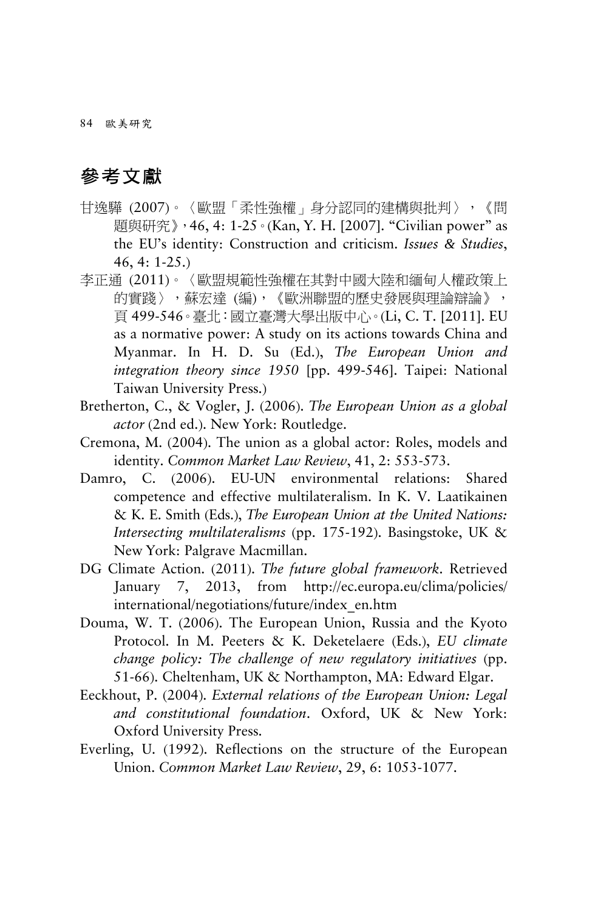84 歐美研究

# 參考文獻

- 甘逸驊 (2007)。〈歐盟「柔性強權」身分認同的建構與批判〉,《問 題與研究》,46, 4: 1-25。(Kan, Y. H. [2007]. "Civilian power" as the EU's identity: Construction and criticism. *Issues & Studies*, 46, 4: 1-25.)
- 李正通 (2011)。〈歐盟規範性強權在其對中國大陸和緬甸人權政策上 的實踐〉,蘇宏達 (編),《歐洲聯盟的歷史發展與理論辯論》, 頁 499-546。臺北:國立臺灣大學出版中心。(Li, C. T. [2011]. EU as a normative power: A study on its actions towards China and Myanmar. In H. D. Su (Ed.), *The European Union and integration theory since 1950* [pp. 499-546]. Taipei: National Taiwan University Press.)
- Bretherton, C., & Vogler, J. (2006). *The European Union as a global actor* (2nd ed.). New York: Routledge.
- Cremona, M. (2004). The union as a global actor: Roles, models and identity. *Common Market Law Review*, 41, 2: 553-573.
- Damro, C. (2006). EU-UN environmental relations: Shared competence and effective multilateralism. In K. V. Laatikainen & K. E. Smith (Eds.), *The European Union at the United Nations: Intersecting multilateralisms* (pp. 175-192). Basingstoke, UK & New York: Palgrave Macmillan.
- DG Climate Action. (2011). *The future global framework*. Retrieved January 7, 2013, from http://ec.europa.eu/clima/policies/ international/negotiations/future/index\_en.htm
- Douma, W. T. (2006). The European Union, Russia and the Kyoto Protocol. In M. Peeters & K. Deketelaere (Eds.), *EU climate change policy: The challenge of new regulatory initiatives* (pp. 51-66). Cheltenham, UK & Northampton, MA: Edward Elgar.
- Eeckhout, P. (2004). *External relations of the European Union: Legal and constitutional foundation*. Oxford, UK & New York: Oxford University Press.
- Everling, U. (1992). Reflections on the structure of the European Union. *Common Market Law Review*, 29, 6: 1053-1077.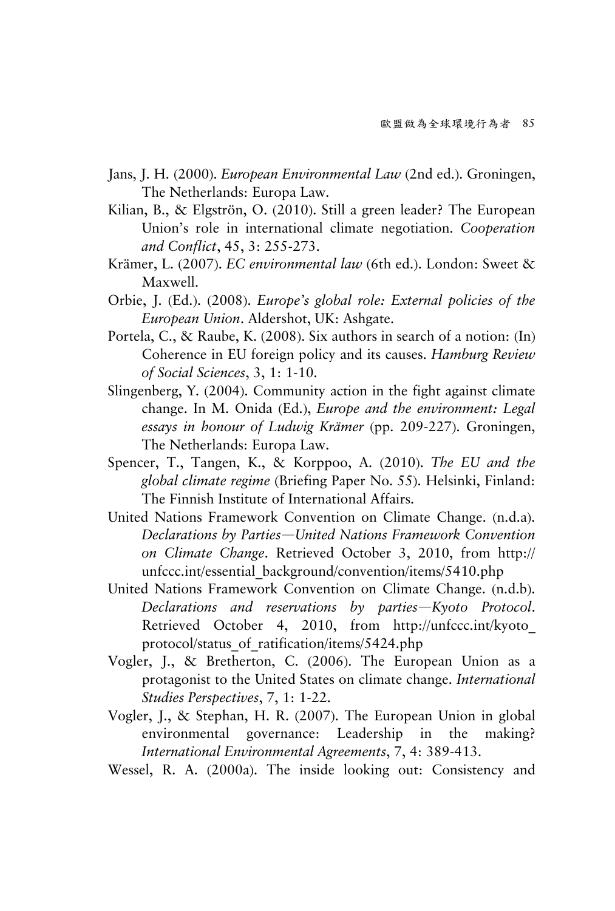- Jans, J. H. (2000). *European Environmental Law* (2nd ed.). Groningen, The Netherlands: Europa Law.
- Kilian, B., & Elgströn, O. (2010). Still a green leader? The European Union's role in international climate negotiation. *Cooperation and Conflict*, 45, 3: 255-273.
- Krämer, L. (2007). *EC environmental law* (6th ed.). London: Sweet & Maxwell.
- Orbie, J. (Ed.). (2008). *Europe's global role: External policies of the European Union*. Aldershot, UK: Ashgate.
- Portela, C., & Raube, K. (2008). Six authors in search of a notion: (In) Coherence in EU foreign policy and its causes. *Hamburg Review of Social Sciences*, 3, 1: 1-10.
- Slingenberg, Y. (2004). Community action in the fight against climate change. In M. Onida (Ed.), *Europe and the environment: Legal essays in honour of Ludwig Krämer* (pp. 209-227). Groningen, The Netherlands: Europa Law.
- Spencer, T., Tangen, K., & Korppoo, A. (2010). *The EU and the global climate regime* (Briefing Paper No. 55). Helsinki, Finland: The Finnish Institute of International Affairs.
- United Nations Framework Convention on Climate Change. (n.d.a). *Declarations by Parties*—*United Nations Framework Convention on Climate Change*. Retrieved October 3, 2010, from http:// unfccc.int/essential\_background/convention/items/5410.php
- United Nations Framework Convention on Climate Change. (n.d.b). *Declarations and reservations by parties*—*Kyoto Protocol*. Retrieved October 4, 2010, from http://unfccc.int/kyoto\_ protocol/status\_of\_ratification/items/5424.php
- Vogler, J., & Bretherton, C. (2006). The European Union as a protagonist to the United States on climate change. *International Studies Perspectives*, 7, 1: 1-22.
- Vogler, J., & Stephan, H. R. (2007). The European Union in global environmental governance: Leadership in the making? *International Environmental Agreements*, 7, 4: 389-413.
- Wessel, R. A. (2000a). The inside looking out: Consistency and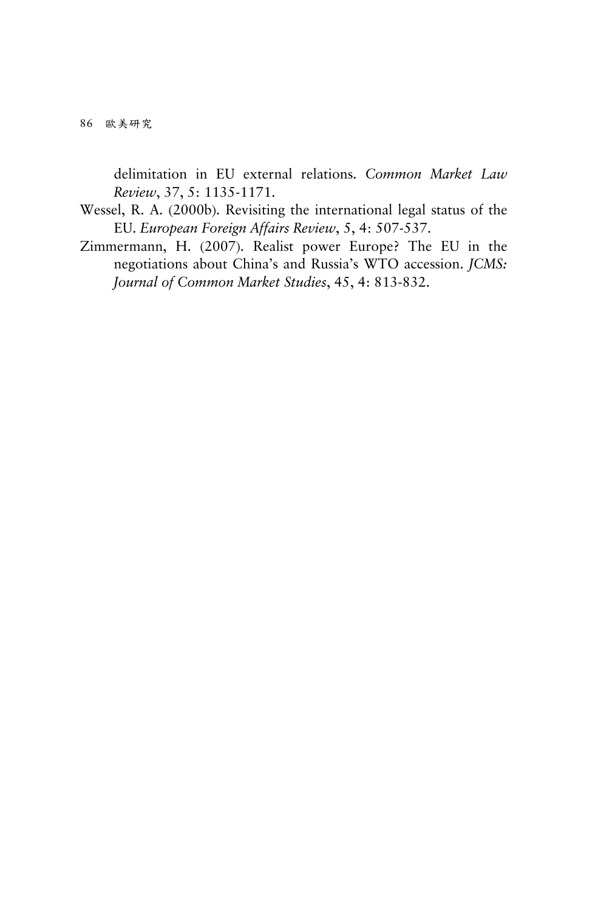86 歐美研究

delimitation in EU external relations. *Common Market Law Review*, 37, 5: 1135-1171.

- Wessel, R. A. (2000b). Revisiting the international legal status of the EU. *European Foreign Affairs Review*, 5, 4: 507-537.
- Zimmermann, H. (2007). Realist power Europe? The EU in the negotiations about China's and Russia's WTO accession. *JCMS: Journal of Common Market Studies*, 45, 4: 813-832.